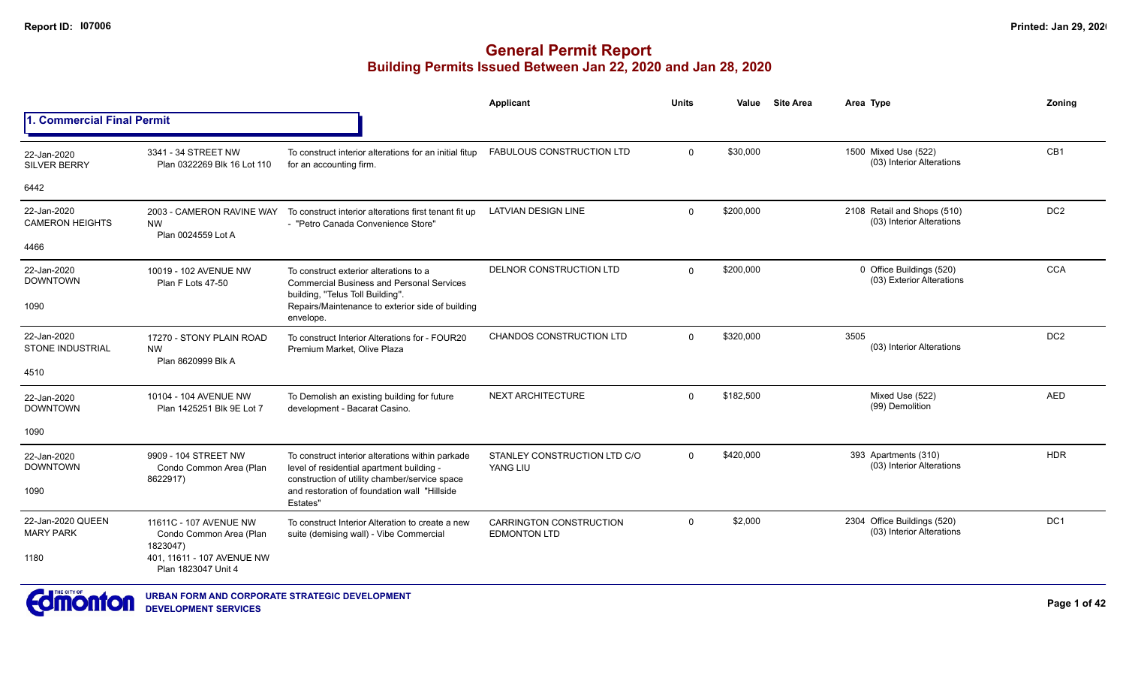|                                        |                                                               |                                                                                                                                                | Applicant                                             | <b>Units</b> | Value     | <b>Site Area</b> | Area Type                                                | Zoning          |
|----------------------------------------|---------------------------------------------------------------|------------------------------------------------------------------------------------------------------------------------------------------------|-------------------------------------------------------|--------------|-----------|------------------|----------------------------------------------------------|-----------------|
| 1. Commercial Final Permit             |                                                               |                                                                                                                                                |                                                       |              |           |                  |                                                          |                 |
| 22-Jan-2020<br><b>SILVER BERRY</b>     | 3341 - 34 STREET NW<br>Plan 0322269 Blk 16 Lot 110            | To construct interior alterations for an initial fitup<br>for an accounting firm.                                                              | FABULOUS CONSTRUCTION LTD                             | $\Omega$     | \$30,000  |                  | 1500 Mixed Use (522)<br>(03) Interior Alterations        | CB1             |
| 6442                                   |                                                               |                                                                                                                                                |                                                       |              |           |                  |                                                          |                 |
| 22-Jan-2020<br><b>CAMERON HEIGHTS</b>  | 2003 - CAMERON RAVINE WAY<br><b>NW</b><br>Plan 0024559 Lot A  | To construct interior alterations first tenant fit up<br>- "Petro Canada Convenience Store"                                                    | <b>LATVIAN DESIGN LINE</b>                            | $\Omega$     | \$200,000 |                  | 2108 Retail and Shops (510)<br>(03) Interior Alterations | DC <sub>2</sub> |
| 4466                                   |                                                               |                                                                                                                                                |                                                       |              |           |                  |                                                          |                 |
| 22-Jan-2020<br><b>DOWNTOWN</b>         | 10019 - 102 AVENUE NW<br>Plan F Lots 47-50                    | To construct exterior alterations to a<br><b>Commercial Business and Personal Services</b><br>building, "Telus Toll Building".                 | DELNOR CONSTRUCTION LTD                               | $\Omega$     | \$200,000 |                  | 0 Office Buildings (520)<br>(03) Exterior Alterations    | <b>CCA</b>      |
| 1090                                   |                                                               | Repairs/Maintenance to exterior side of building<br>envelope.                                                                                  |                                                       |              |           |                  |                                                          |                 |
| 22-Jan-2020<br><b>STONE INDUSTRIAL</b> | 17270 - STONY PLAIN ROAD<br><b>NW</b><br>Plan 8620999 Blk A   | To construct Interior Alterations for - FOUR20<br>Premium Market, Olive Plaza                                                                  | <b>CHANDOS CONSTRUCTION LTD</b>                       | $\Omega$     | \$320,000 |                  | 3505<br>(03) Interior Alterations                        | DC <sub>2</sub> |
| 4510                                   |                                                               |                                                                                                                                                |                                                       |              |           |                  |                                                          |                 |
| 22-Jan-2020<br><b>DOWNTOWN</b>         | 10104 - 104 AVENUE NW<br>Plan 1425251 Blk 9E Lot 7            | To Demolish an existing building for future<br>development - Bacarat Casino.                                                                   | NEXT ARCHITECTURE                                     | $\Omega$     | \$182,500 |                  | Mixed Use (522)<br>(99) Demolition                       | <b>AED</b>      |
| 1090                                   |                                                               |                                                                                                                                                |                                                       |              |           |                  |                                                          |                 |
| 22-Jan-2020<br><b>DOWNTOWN</b>         | 9909 - 104 STREET NW<br>Condo Common Area (Plan<br>8622917)   | To construct interior alterations within parkade<br>level of residential apartment building -<br>construction of utility chamber/service space | STANLEY CONSTRUCTION LTD C/O<br>YANG LIU              | $\Omega$     | \$420,000 |                  | 393 Apartments (310)<br>(03) Interior Alterations        | <b>HDR</b>      |
| 1090                                   |                                                               | and restoration of foundation wall "Hillside"<br>Estates"                                                                                      |                                                       |              |           |                  |                                                          |                 |
| 22-Jan-2020 QUEEN<br><b>MARY PARK</b>  | 11611C - 107 AVENUE NW<br>Condo Common Area (Plan<br>1823047) | To construct Interior Alteration to create a new<br>suite (demising wall) - Vibe Commercial                                                    | <b>CARRINGTON CONSTRUCTION</b><br><b>EDMONTON LTD</b> | $\Omega$     | \$2,000   |                  | 2304 Office Buildings (520)<br>(03) Interior Alterations | DC <sub>1</sub> |
| 1180                                   | 401, 11611 - 107 AVENUE NW<br>Plan 1823047 Unit 4             |                                                                                                                                                |                                                       |              |           |                  |                                                          |                 |
|                                        |                                                               |                                                                                                                                                |                                                       |              |           |                  |                                                          |                 |

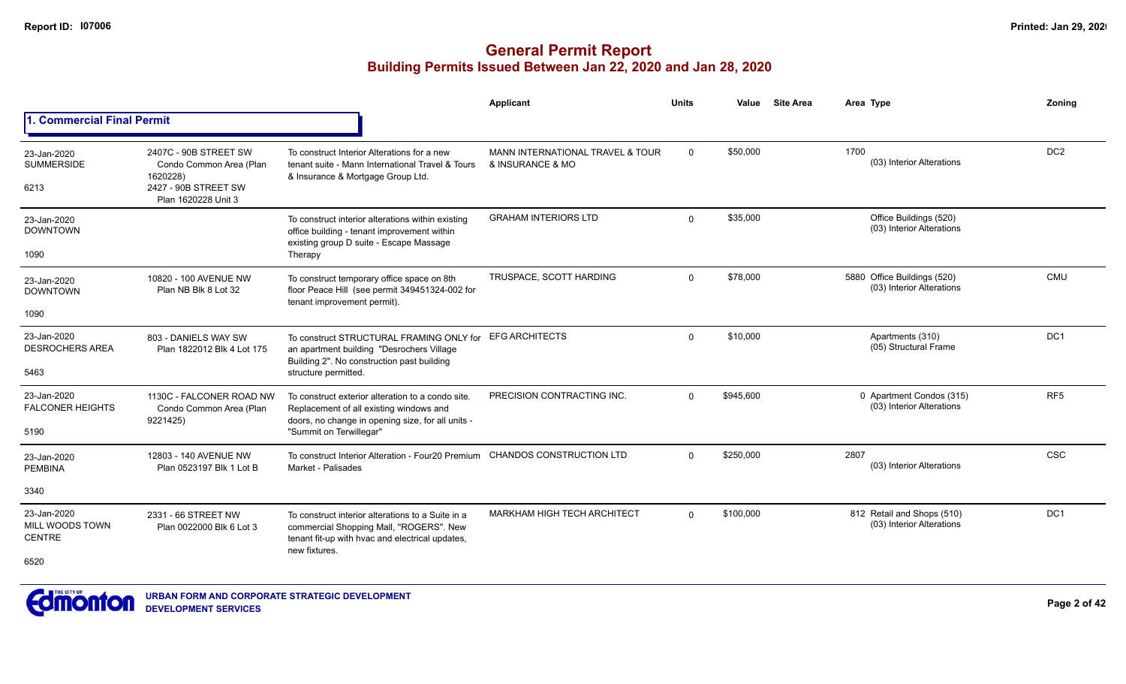|                                                 |                                                                                                             |                                                                                                                                                                              | Applicant                                            | <b>Units</b> | Value     | <b>Site Area</b> | Area Type                                                | Zonina          |
|-------------------------------------------------|-------------------------------------------------------------------------------------------------------------|------------------------------------------------------------------------------------------------------------------------------------------------------------------------------|------------------------------------------------------|--------------|-----------|------------------|----------------------------------------------------------|-----------------|
| 1. Commercial Final Permit                      |                                                                                                             |                                                                                                                                                                              |                                                      |              |           |                  |                                                          |                 |
| 23-Jan-2020<br><b>SUMMERSIDE</b><br>6213        | 2407C - 90B STREET SW<br>Condo Common Area (Plan<br>1620228)<br>2427 - 90B STREET SW<br>Plan 1620228 Unit 3 | To construct Interior Alterations for a new<br>tenant suite - Mann International Travel & Tours<br>& Insurance & Mortgage Group Ltd.                                         | MANN INTERNATIONAL TRAVEL & TOUR<br>& INSURANCE & MO | 0            | \$50,000  |                  | 1700<br>(03) Interior Alterations                        | DC <sub>2</sub> |
| 23-Jan-2020<br><b>DOWNTOWN</b><br>1090          |                                                                                                             | To construct interior alterations within existing<br>office building - tenant improvement within<br>existing group D suite - Escape Massage<br>Therapy                       | <b>GRAHAM INTERIORS LTD</b>                          | $\Omega$     | \$35,000  |                  | Office Buildings (520)<br>(03) Interior Alterations      |                 |
| 23-Jan-2020<br><b>DOWNTOWN</b><br>1090          | 10820 - 100 AVENUE NW<br>Plan NB Blk 8 Lot 32                                                               | To construct temporary office space on 8th<br>floor Peace Hill (see permit 349451324-002 for<br>tenant improvement permit).                                                  | TRUSPACE, SCOTT HARDING                              | $\Omega$     | \$78,000  |                  | 5880 Office Buildings (520)<br>(03) Interior Alterations | <b>CMU</b>      |
| 23-Jan-2020<br><b>DESROCHERS AREA</b><br>5463   | 803 - DANIELS WAY SW<br>Plan 1822012 Blk 4 Lot 175                                                          | To construct STRUCTURAL FRAMING ONLY for<br>an apartment building "Desrochers Village<br>Building 2". No construction past building<br>structure permitted.                  | <b>EFG ARCHITECTS</b>                                | $\Omega$     | \$10,000  |                  | Apartments (310)<br>(05) Structural Frame                | DC <sub>1</sub> |
| 23-Jan-2020<br><b>FALCONER HEIGHTS</b><br>5190  | 1130C - FALCONER ROAD NW<br>Condo Common Area (Plan<br>9221425)                                             | To construct exterior alteration to a condo site.<br>Replacement of all existing windows and<br>doors, no change in opening size, for all units -<br>"Summit on Terwillegar" | PRECISION CONTRACTING INC.                           | $\Omega$     | \$945.600 |                  | 0 Apartment Condos (315)<br>(03) Interior Alterations    | RF <sub>5</sub> |
| 23-Jan-2020<br><b>PEMBINA</b>                   | 12803 - 140 AVENUE NW<br>Plan 0523197 Blk 1 Lot B                                                           | To construct Interior Alteration - Four20 Premium<br>Market - Palisades                                                                                                      | <b>CHANDOS CONSTRUCTION LTD</b>                      | $\Omega$     | \$250,000 |                  | 2807<br>(03) Interior Alterations                        | <b>CSC</b>      |
| 3340                                            |                                                                                                             |                                                                                                                                                                              |                                                      |              |           |                  |                                                          |                 |
| 23-Jan-2020<br>MILL WOODS TOWN<br><b>CENTRE</b> | 2331 - 66 STREET NW<br>Plan 0022000 Blk 6 Lot 3                                                             | To construct interior alterations to a Suite in a<br>commercial Shopping Mall, "ROGERS". New<br>tenant fit-up with hvac and electrical updates,<br>new fixtures.             | <b>MARKHAM HIGH TECH ARCHITECT</b>                   | $\Omega$     | \$100,000 |                  | 812 Retail and Shops (510)<br>(03) Interior Alterations  | DC1             |
| 6520                                            |                                                                                                             |                                                                                                                                                                              |                                                      |              |           |                  |                                                          |                 |

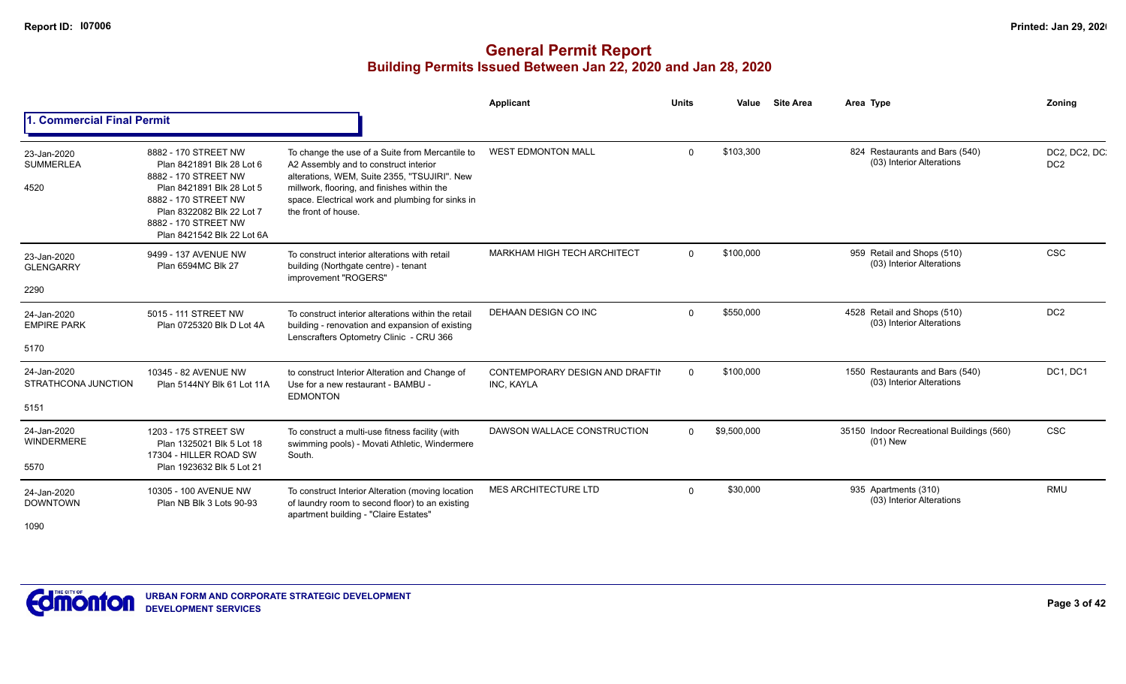|                                            |                                                                                                                                                                                                                   |                                                                                                                                                                                                                                                                    | Applicant                                     | <b>Units</b> | Value       | <b>Site Area</b> | Area Type                                                    | Zonina                           |
|--------------------------------------------|-------------------------------------------------------------------------------------------------------------------------------------------------------------------------------------------------------------------|--------------------------------------------------------------------------------------------------------------------------------------------------------------------------------------------------------------------------------------------------------------------|-----------------------------------------------|--------------|-------------|------------------|--------------------------------------------------------------|----------------------------------|
| . Commercial Final Permit                  |                                                                                                                                                                                                                   |                                                                                                                                                                                                                                                                    |                                               |              |             |                  |                                                              |                                  |
| 23-Jan-2020<br><b>SUMMERLEA</b><br>4520    | 8882 - 170 STREET NW<br>Plan 8421891 Blk 28 Lot 6<br>8882 - 170 STREET NW<br>Plan 8421891 Blk 28 Lot 5<br>8882 - 170 STREET NW<br>Plan 8322082 Blk 22 Lot 7<br>8882 - 170 STREET NW<br>Plan 8421542 Blk 22 Lot 6A | To change the use of a Suite from Mercantile to<br>A2 Assembly and to construct interior<br>alterations, WEM, Suite 2355, "TSUJIRI". New<br>millwork, flooring, and finishes within the<br>space. Electrical work and plumbing for sinks in<br>the front of house. | <b>WEST EDMONTON MALL</b>                     | $\Omega$     | \$103,300   |                  | 824 Restaurants and Bars (540)<br>(03) Interior Alterations  | DC2, DC2, DC.<br>DC <sub>2</sub> |
| 23-Jan-2020<br><b>GLENGARRY</b><br>2290    | 9499 - 137 AVENUE NW<br>Plan 6594MC Blk 27                                                                                                                                                                        | To construct interior alterations with retail<br>building (Northgate centre) - tenant<br>improvement "ROGERS"                                                                                                                                                      | MARKHAM HIGH TECH ARCHITECT                   | $\Omega$     | \$100,000   |                  | 959 Retail and Shops (510)<br>(03) Interior Alterations      | <b>CSC</b>                       |
| 24-Jan-2020<br><b>EMPIRE PARK</b><br>5170  | 5015 - 111 STREET NW<br>Plan 0725320 Blk D Lot 4A                                                                                                                                                                 | To construct interior alterations within the retail<br>building - renovation and expansion of existing<br>Lenscrafters Optometry Clinic - CRU 366                                                                                                                  | DEHAAN DESIGN CO INC                          | $\Omega$     | \$550,000   |                  | 4528 Retail and Shops (510)<br>(03) Interior Alterations     | DC <sub>2</sub>                  |
| 24-Jan-2020<br>STRATHCONA JUNCTION<br>5151 | 10345 - 82 AVENUE NW<br>Plan 5144NY Blk 61 Lot 11A                                                                                                                                                                | to construct Interior Alteration and Change of<br>Use for a new restaurant - BAMBU -<br><b>EDMONTON</b>                                                                                                                                                            | CONTEMPORARY DESIGN AND DRAFTII<br>INC, KAYLA | $\Omega$     | \$100,000   |                  | 1550 Restaurants and Bars (540)<br>(03) Interior Alterations | DC1, DC1                         |
| 24-Jan-2020<br><b>WINDERMERE</b><br>5570   | 1203 - 175 STREET SW<br>Plan 1325021 Blk 5 Lot 18<br>17304 - HILLER ROAD SW<br>Plan 1923632 Blk 5 Lot 21                                                                                                          | To construct a multi-use fitness facility (with<br>swimming pools) - Movati Athletic, Windermere<br>South.                                                                                                                                                         | DAWSON WALLACE CONSTRUCTION                   | $\Omega$     | \$9,500,000 |                  | 35150 Indoor Recreational Buildings (560)<br>$(01)$ New      | <b>CSC</b>                       |
| 24-Jan-2020<br><b>DOWNTOWN</b><br>1090     | 10305 - 100 AVENUE NW<br>Plan NB Blk 3 Lots 90-93                                                                                                                                                                 | To construct Interior Alteration (moving location<br>of laundry room to second floor) to an existing<br>apartment building - "Claire Estates"                                                                                                                      | <b>MES ARCHITECTURE LTD</b>                   | $\Omega$     | \$30,000    |                  | 935 Apartments (310)<br>(03) Interior Alterations            | <b>RMU</b>                       |

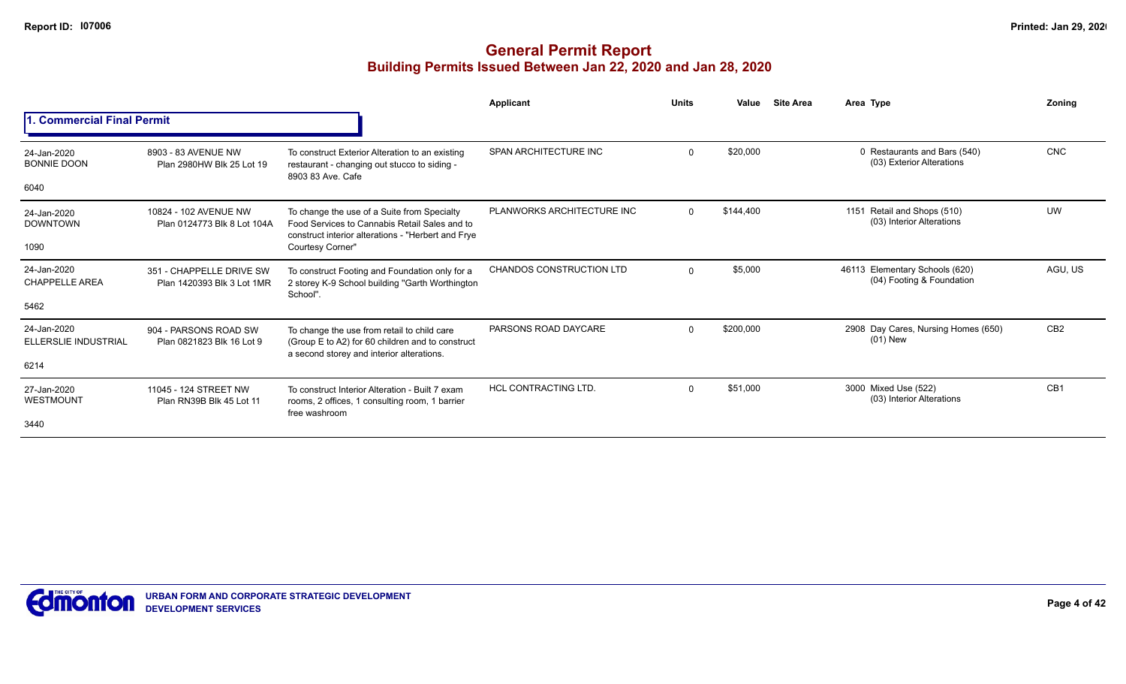|                                            |                                                        |                                                                                                                                                    | Applicant                       | <b>Units</b> | Value     | <b>Site Area</b> | Area Type                                                   | Zoning          |
|--------------------------------------------|--------------------------------------------------------|----------------------------------------------------------------------------------------------------------------------------------------------------|---------------------------------|--------------|-----------|------------------|-------------------------------------------------------------|-----------------|
| 1. Commercial Final Permit                 |                                                        |                                                                                                                                                    |                                 |              |           |                  |                                                             |                 |
| 24-Jan-2020<br><b>BONNIE DOON</b>          | 8903 - 83 AVENUE NW<br>Plan 2980HW Blk 25 Lot 19       | To construct Exterior Alteration to an existing<br>restaurant - changing out stucco to siding -<br>8903 83 Ave. Cafe                               | SPAN ARCHITECTURE INC           | $\Omega$     | \$20,000  |                  | 0 Restaurants and Bars (540)<br>(03) Exterior Alterations   | <b>CNC</b>      |
| 6040                                       |                                                        |                                                                                                                                                    |                                 |              |           |                  |                                                             |                 |
| 24-Jan-2020<br><b>DOWNTOWN</b>             | 10824 - 102 AVENUE NW<br>Plan 0124773 Blk 8 Lot 104A   | To change the use of a Suite from Specialty<br>Food Services to Cannabis Retail Sales and to<br>construct interior alterations - "Herbert and Frye | PLANWORKS ARCHITECTURE INC      | $\Omega$     | \$144.400 |                  | 1151 Retail and Shops (510)<br>(03) Interior Alterations    | <b>UW</b>       |
| 1090                                       |                                                        | Courtesy Corner"                                                                                                                                   |                                 |              |           |                  |                                                             |                 |
| 24-Jan-2020<br><b>CHAPPELLE AREA</b>       | 351 - CHAPPELLE DRIVE SW<br>Plan 1420393 Blk 3 Lot 1MR | To construct Footing and Foundation only for a<br>2 storey K-9 School building "Garth Worthington<br>School".                                      | <b>CHANDOS CONSTRUCTION LTD</b> | $\mathbf 0$  | \$5,000   |                  | 46113 Elementary Schools (620)<br>(04) Footing & Foundation | AGU, US         |
| 5462                                       |                                                        |                                                                                                                                                    |                                 |              |           |                  |                                                             |                 |
| 24-Jan-2020<br><b>ELLERSLIE INDUSTRIAL</b> | 904 - PARSONS ROAD SW<br>Plan 0821823 Blk 16 Lot 9     | To change the use from retail to child care<br>(Group E to A2) for 60 children and to construct<br>a second storey and interior alterations.       | PARSONS ROAD DAYCARE            | $\Omega$     | \$200,000 |                  | 2908 Day Cares, Nursing Homes (650)<br>$(01)$ New           | CB <sub>2</sub> |
| 6214                                       |                                                        |                                                                                                                                                    |                                 |              |           |                  |                                                             |                 |
| 27-Jan-2020<br>WESTMOUNT                   | 11045 - 124 STREET NW<br>Plan RN39B Blk 45 Lot 11      | To construct Interior Alteration - Built 7 exam<br>rooms, 2 offices, 1 consulting room, 1 barrier<br>free washroom                                 | <b>HCL CONTRACTING LTD.</b>     | $\Omega$     | \$51,000  |                  | 3000 Mixed Use (522)<br>(03) Interior Alterations           | CB <sub>1</sub> |
| 3440                                       |                                                        |                                                                                                                                                    |                                 |              |           |                  |                                                             |                 |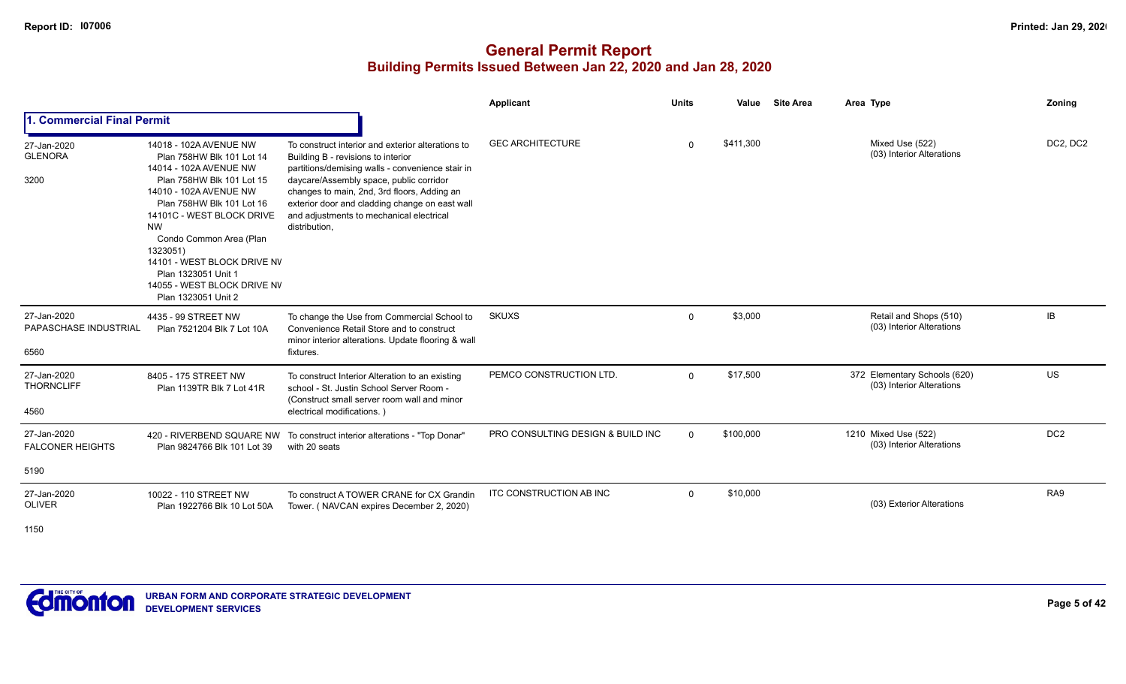# **General Permit Report Building Permits Issued Between Jan 22, 2020 and Jan 28, 2020**

|                                                |                                                                                                                                                                                                                                                                                                                                                                |                                                                                                                                                                                                                                                                                                                                                      | Applicant                         | <b>Units</b> | Value     | <b>Site Area</b> | Area Type                                                 | Zoning          |
|------------------------------------------------|----------------------------------------------------------------------------------------------------------------------------------------------------------------------------------------------------------------------------------------------------------------------------------------------------------------------------------------------------------------|------------------------------------------------------------------------------------------------------------------------------------------------------------------------------------------------------------------------------------------------------------------------------------------------------------------------------------------------------|-----------------------------------|--------------|-----------|------------------|-----------------------------------------------------------|-----------------|
| . Commercial Final Permit                      |                                                                                                                                                                                                                                                                                                                                                                |                                                                                                                                                                                                                                                                                                                                                      |                                   |              |           |                  |                                                           |                 |
| 27-Jan-2020<br><b>GLENORA</b><br>3200          | 14018 - 102A AVENUE NW<br>Plan 758HW Blk 101 Lot 14<br>14014 - 102A AVENUE NW<br>Plan 758HW Blk 101 Lot 15<br>14010 - 102A AVENUE NW<br>Plan 758HW Blk 101 Lot 16<br>14101C - WEST BLOCK DRIVE<br><b>NW</b><br>Condo Common Area (Plan<br>1323051)<br>14101 - WEST BLOCK DRIVE NV<br>Plan 1323051 Unit 1<br>14055 - WEST BLOCK DRIVE NV<br>Plan 1323051 Unit 2 | To construct interior and exterior alterations to<br>Building B - revisions to interior<br>partitions/demising walls - convenience stair in<br>daycare/Assembly space, public corridor<br>changes to main, 2nd, 3rd floors, Adding an<br>exterior door and cladding change on east wall<br>and adjustments to mechanical electrical<br>distribution, | <b>GEC ARCHITECTURE</b>           | $\Omega$     | \$411,300 |                  | Mixed Use (522)<br>(03) Interior Alterations              | DC2, DC2        |
| 27-Jan-2020<br>PAPASCHASE INDUSTRIAL<br>6560   | 4435 - 99 STREET NW<br>Plan 7521204 Blk 7 Lot 10A                                                                                                                                                                                                                                                                                                              | To change the Use from Commercial School to<br>Convenience Retail Store and to construct<br>minor interior alterations. Update flooring & wall<br>fixtures.                                                                                                                                                                                          | <b>SKUXS</b>                      | $\mathbf 0$  | \$3,000   |                  | Retail and Shops (510)<br>(03) Interior Alterations       | <b>IB</b>       |
| 27-Jan-2020<br><b>THORNCLIFF</b><br>4560       | 8405 - 175 STREET NW<br>Plan 1139TR Blk 7 Lot 41R                                                                                                                                                                                                                                                                                                              | To construct Interior Alteration to an existing<br>school - St. Justin School Server Room -<br>(Construct small server room wall and minor<br>electrical modifications.)                                                                                                                                                                             | PEMCO CONSTRUCTION LTD.           | $\Omega$     | \$17,500  |                  | 372 Elementary Schools (620)<br>(03) Interior Alterations | US              |
| 27-Jan-2020<br><b>FALCONER HEIGHTS</b><br>5190 | Plan 9824766 Blk 101 Lot 39                                                                                                                                                                                                                                                                                                                                    | 420 - RIVERBEND SQUARE NW To construct interior alterations - "Top Donar"<br>with 20 seats                                                                                                                                                                                                                                                           | PRO CONSULTING DESIGN & BUILD INC | $\Omega$     | \$100,000 |                  | 1210 Mixed Use (522)<br>(03) Interior Alterations         | DC <sub>2</sub> |
| 27-Jan-2020<br><b>OLIVER</b>                   | 10022 - 110 STREET NW<br>Plan 1922766 Blk 10 Lot 50A                                                                                                                                                                                                                                                                                                           | To construct A TOWER CRANE for CX Grandin<br>Tower. (NAVCAN expires December 2, 2020)                                                                                                                                                                                                                                                                | ITC CONSTRUCTION AB INC           | $\mathbf 0$  | \$10,000  |                  | (03) Exterior Alterations                                 | RA <sub>9</sub> |

1150

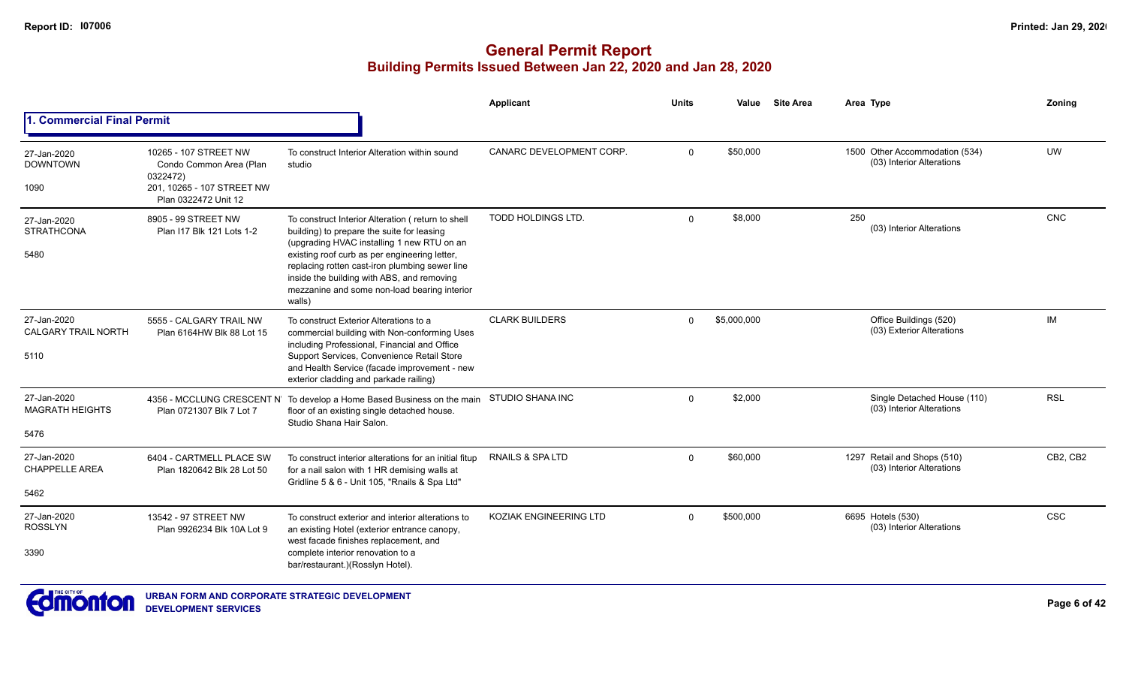|                                                   |                                                                                            |                                                                                                                                                                                                                                                                                                                                                          | Applicant                     | <b>Units</b> | Value       | <b>Site Area</b> | Area Type                                                   | Zoning     |
|---------------------------------------------------|--------------------------------------------------------------------------------------------|----------------------------------------------------------------------------------------------------------------------------------------------------------------------------------------------------------------------------------------------------------------------------------------------------------------------------------------------------------|-------------------------------|--------------|-------------|------------------|-------------------------------------------------------------|------------|
| <b>Commercial Final Permit</b>                    |                                                                                            |                                                                                                                                                                                                                                                                                                                                                          |                               |              |             |                  |                                                             |            |
| 27-Jan-2020<br><b>DOWNTOWN</b><br>1090            | 10265 - 107 STREET NW<br>Condo Common Area (Plan<br>0322472)<br>201, 10265 - 107 STREET NW | To construct Interior Alteration within sound<br>studio                                                                                                                                                                                                                                                                                                  | CANARC DEVELOPMENT CORP.      | $\Omega$     | \$50,000    |                  | 1500 Other Accommodation (534)<br>(03) Interior Alterations | UW         |
| 27-Jan-2020<br><b>STRATHCONA</b><br>5480          | Plan 0322472 Unit 12<br>8905 - 99 STREET NW<br>Plan I17 Blk 121 Lots 1-2                   | To construct Interior Alteration (return to shell<br>building) to prepare the suite for leasing<br>(upgrading HVAC installing 1 new RTU on an<br>existing roof curb as per engineering letter,<br>replacing rotten cast-iron plumbing sewer line<br>inside the building with ABS, and removing<br>mezzanine and some non-load bearing interior<br>walls) | TODD HOLDINGS LTD.            | $\mathbf 0$  | \$8,000     |                  | 250<br>(03) Interior Alterations                            | CNC        |
| 27-Jan-2020<br><b>CALGARY TRAIL NORTH</b><br>5110 | 5555 - CALGARY TRAIL NW<br>Plan 6164HW Blk 88 Lot 15                                       | To construct Exterior Alterations to a<br>commercial building with Non-conforming Uses<br>including Professional, Financial and Office<br>Support Services, Convenience Retail Store<br>and Health Service (facade improvement - new<br>exterior cladding and parkade railing)                                                                           | <b>CLARK BUILDERS</b>         | $\Omega$     | \$5,000,000 |                  | Office Buildings (520)<br>(03) Exterior Alterations         | <b>IM</b>  |
| 27-Jan-2020<br><b>MAGRATH HEIGHTS</b><br>5476     | Plan 0721307 Blk 7 Lot 7                                                                   | 4356 - MCCLUNG CRESCENT N' To develop a Home Based Business on the main<br>floor of an existing single detached house.<br>Studio Shana Hair Salon.                                                                                                                                                                                                       | STUDIO SHANA INC              | $\Omega$     | \$2,000     |                  | Single Detached House (110)<br>(03) Interior Alterations    | <b>RSL</b> |
| 27-Jan-2020<br><b>CHAPPELLE AREA</b><br>5462      | 6404 - CARTMELL PLACE SW<br>Plan 1820642 Blk 28 Lot 50                                     | To construct interior alterations for an initial fitup<br>for a nail salon with 1 HR demising walls at<br>Gridline 5 & 6 - Unit 105, "Rnails & Spa Ltd"                                                                                                                                                                                                  | <b>RNAILS &amp; SPALTD</b>    | $\Omega$     | \$60,000    |                  | 1297 Retail and Shops (510)<br>(03) Interior Alterations    | CB2, CB2   |
| 27-Jan-2020<br><b>ROSSLYN</b><br>3390             | 13542 - 97 STREET NW<br>Plan 9926234 Blk 10A Lot 9                                         | To construct exterior and interior alterations to<br>an existing Hotel (exterior entrance canopy,<br>west facade finishes replacement, and<br>complete interior renovation to a<br>bar/restaurant.)(Rosslyn Hotel).                                                                                                                                      | <b>KOZIAK ENGINEERING LTD</b> | $\Omega$     | \$500,000   |                  | 6695 Hotels (530)<br>(03) Interior Alterations              | <b>CSC</b> |

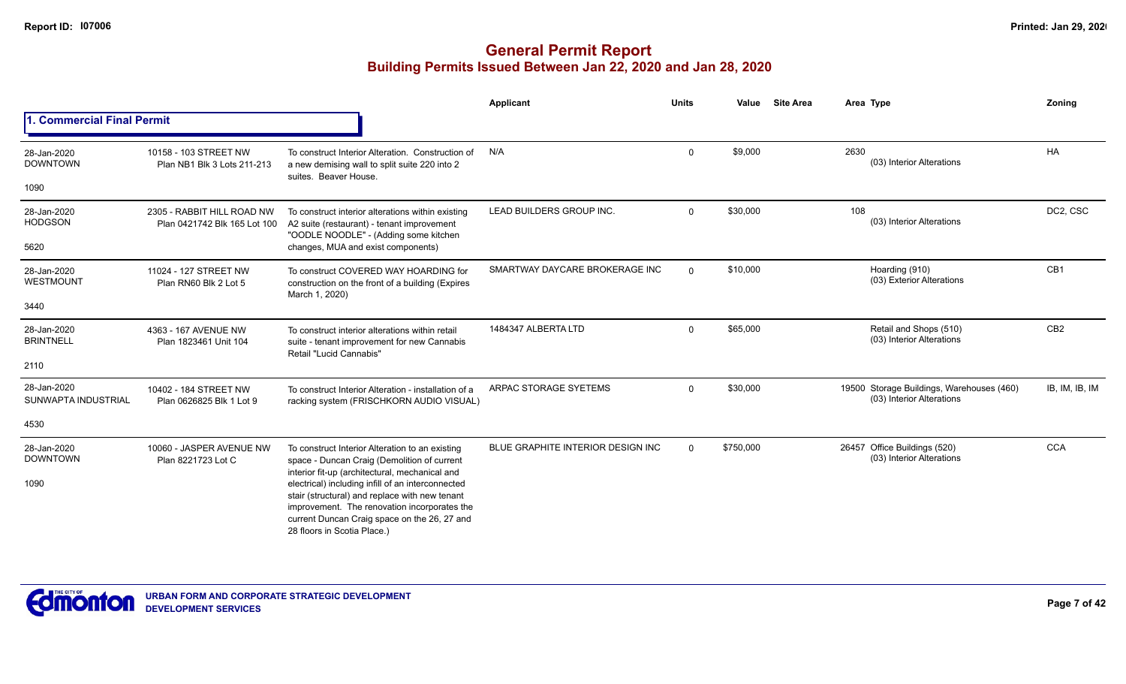|                                    |                                                            |                                                                                                                                                                                                                                                                                      | Applicant                                | <b>Units</b> | Value     | <b>Site Area</b> | Area Type                                                              | Zoning          |
|------------------------------------|------------------------------------------------------------|--------------------------------------------------------------------------------------------------------------------------------------------------------------------------------------------------------------------------------------------------------------------------------------|------------------------------------------|--------------|-----------|------------------|------------------------------------------------------------------------|-----------------|
| <b>Commercial Final Permit</b>     |                                                            |                                                                                                                                                                                                                                                                                      |                                          |              |           |                  |                                                                        |                 |
| 28-Jan-2020<br><b>DOWNTOWN</b>     | 10158 - 103 STREET NW<br>Plan NB1 Blk 3 Lots 211-213       | To construct Interior Alteration. Construction of<br>a new demising wall to split suite 220 into 2<br>suites. Beaver House.                                                                                                                                                          | N/A                                      | $\Omega$     | \$9,000   |                  | 2630<br>(03) Interior Alterations                                      | <b>HA</b>       |
| 1090                               |                                                            |                                                                                                                                                                                                                                                                                      |                                          |              |           |                  |                                                                        |                 |
| 28-Jan-2020<br><b>HODGSON</b>      | 2305 - RABBIT HILL ROAD NW<br>Plan 0421742 Blk 165 Lot 100 | To construct interior alterations within existing<br>A2 suite (restaurant) - tenant improvement<br>"OODLE NOODLE" - (Adding some kitchen                                                                                                                                             | LEAD BUILDERS GROUP INC.                 | $\Omega$     | \$30,000  |                  | 108<br>(03) Interior Alterations                                       | DC2, CSC        |
| 5620                               |                                                            | changes, MUA and exist components)                                                                                                                                                                                                                                                   |                                          |              |           |                  |                                                                        |                 |
| 28-Jan-2020<br>WESTMOUNT           | 11024 - 127 STREET NW<br>Plan RN60 Blk 2 Lot 5             | To construct COVERED WAY HOARDING for<br>construction on the front of a building (Expires<br>March 1, 2020)                                                                                                                                                                          | SMARTWAY DAYCARE BROKERAGE INC           | $\Omega$     | \$10,000  |                  | Hoarding (910)<br>(03) Exterior Alterations                            | CB <sub>1</sub> |
| 3440                               |                                                            |                                                                                                                                                                                                                                                                                      |                                          |              |           |                  |                                                                        |                 |
| 28-Jan-2020<br><b>BRINTNELL</b>    | 4363 - 167 AVENUE NW<br>Plan 1823461 Unit 104              | To construct interior alterations within retail<br>suite - tenant improvement for new Cannabis<br>Retail "Lucid Cannabis"                                                                                                                                                            | 1484347 ALBERTA LTD                      | $\Omega$     | \$65,000  |                  | Retail and Shops (510)<br>(03) Interior Alterations                    | CB <sub>2</sub> |
| 2110                               |                                                            |                                                                                                                                                                                                                                                                                      |                                          |              |           |                  |                                                                        |                 |
| 28-Jan-2020<br>SUNWAPTA INDUSTRIAL | 10402 - 184 STREET NW<br>Plan 0626825 Blk 1 Lot 9          | To construct Interior Alteration - installation of a<br>racking system (FRISCHKORN AUDIO VISUAL)                                                                                                                                                                                     | ARPAC STORAGE SYETEMS                    | $\mathbf 0$  | \$30,000  |                  | 19500 Storage Buildings, Warehouses (460)<br>(03) Interior Alterations | IB, IM, IB, IM  |
| 4530                               |                                                            |                                                                                                                                                                                                                                                                                      |                                          |              |           |                  |                                                                        |                 |
| 28-Jan-2020<br><b>DOWNTOWN</b>     | 10060 - JASPER AVENUE NW<br>Plan 8221723 Lot C             | To construct Interior Alteration to an existing<br>space - Duncan Craig (Demolition of current                                                                                                                                                                                       | <b>BLUE GRAPHITE INTERIOR DESIGN INC</b> | $\Omega$     | \$750,000 |                  | 26457 Office Buildings (520)<br>(03) Interior Alterations              | <b>CCA</b>      |
| 1090                               |                                                            | interior fit-up (architectural, mechanical and<br>electrical) including infill of an interconnected<br>stair (structural) and replace with new tenant<br>improvement. The renovation incorporates the<br>current Duncan Craig space on the 26, 27 and<br>28 floors in Scotia Place.) |                                          |              |           |                  |                                                                        |                 |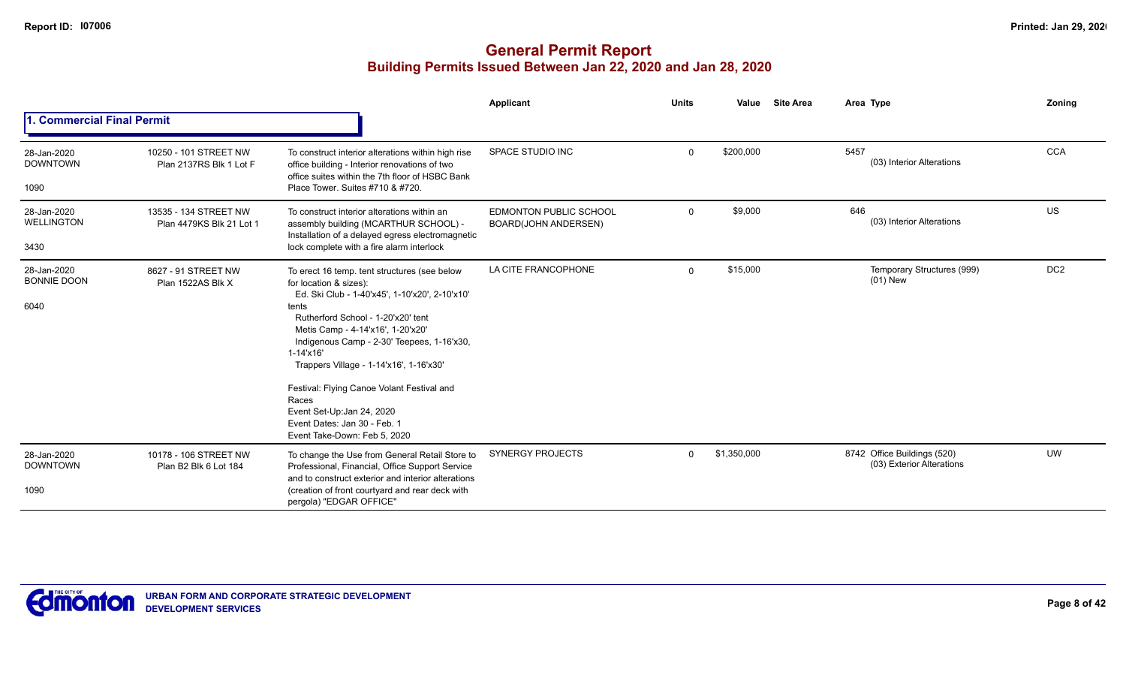|                                           |                                                   |                                                                                                                                                                                                                                                                                                                                                                                                                                                                                   | Applicant                                             | <b>Units</b> | Value       | <b>Site Area</b> | Area Type                                                | Zoning          |
|-------------------------------------------|---------------------------------------------------|-----------------------------------------------------------------------------------------------------------------------------------------------------------------------------------------------------------------------------------------------------------------------------------------------------------------------------------------------------------------------------------------------------------------------------------------------------------------------------------|-------------------------------------------------------|--------------|-------------|------------------|----------------------------------------------------------|-----------------|
| . Commercial Final Permit                 |                                                   |                                                                                                                                                                                                                                                                                                                                                                                                                                                                                   |                                                       |              |             |                  |                                                          |                 |
| 28-Jan-2020<br><b>DOWNTOWN</b><br>1090    | 10250 - 101 STREET NW<br>Plan 2137RS Blk 1 Lot F  | To construct interior alterations within high rise<br>office building - Interior renovations of two<br>office suites within the 7th floor of HSBC Bank<br>Place Tower. Suites #710 & #720.                                                                                                                                                                                                                                                                                        | <b>SPACE STUDIO INC</b>                               | $\mathbf 0$  | \$200,000   |                  | 5457<br>(03) Interior Alterations                        | <b>CCA</b>      |
| 28-Jan-2020<br><b>WELLINGTON</b><br>3430  | 13535 - 134 STREET NW<br>Plan 4479KS Blk 21 Lot 1 | To construct interior alterations within an<br>assembly building (MCARTHUR SCHOOL) -<br>Installation of a delayed egress electromagnetic<br>lock complete with a fire alarm interlock                                                                                                                                                                                                                                                                                             | <b>EDMONTON PUBLIC SCHOOL</b><br>BOARD(JOHN ANDERSEN) | $\mathbf 0$  | \$9,000     |                  | 646<br>(03) Interior Alterations                         | US              |
| 28-Jan-2020<br><b>BONNIE DOON</b><br>6040 | 8627 - 91 STREET NW<br>Plan 1522AS Blk X          | To erect 16 temp. tent structures (see below<br>for location & sizes):<br>Ed. Ski Club - 1-40'x45', 1-10'x20', 2-10'x10'<br>tents<br>Rutherford School - 1-20'x20' tent<br>Metis Camp - 4-14'x16', 1-20'x20'<br>Indigenous Camp - 2-30' Teepees, 1-16'x30,<br>$1 - 14' \times 16'$<br>Trappers Village - 1-14'x16', 1-16'x30'<br>Festival: Flying Canoe Volant Festival and<br>Races<br>Event Set-Up:Jan 24, 2020<br>Event Dates: Jan 30 - Feb. 1<br>Event Take-Down: Feb 5, 2020 | LA CITE FRANCOPHONE                                   | $\Omega$     | \$15,000    |                  | Temporary Structures (999)<br>$(01)$ New                 | DC <sub>2</sub> |
| 28-Jan-2020<br><b>DOWNTOWN</b><br>1090    | 10178 - 106 STREET NW<br>Plan B2 Blk 6 Lot 184    | To change the Use from General Retail Store to<br>Professional, Financial, Office Support Service<br>and to construct exterior and interior alterations<br>(creation of front courtyard and rear deck with<br>pergola) "EDGAR OFFICE"                                                                                                                                                                                                                                             | <b>SYNERGY PROJECTS</b>                               | $\Omega$     | \$1,350,000 |                  | 8742 Office Buildings (520)<br>(03) Exterior Alterations | UW              |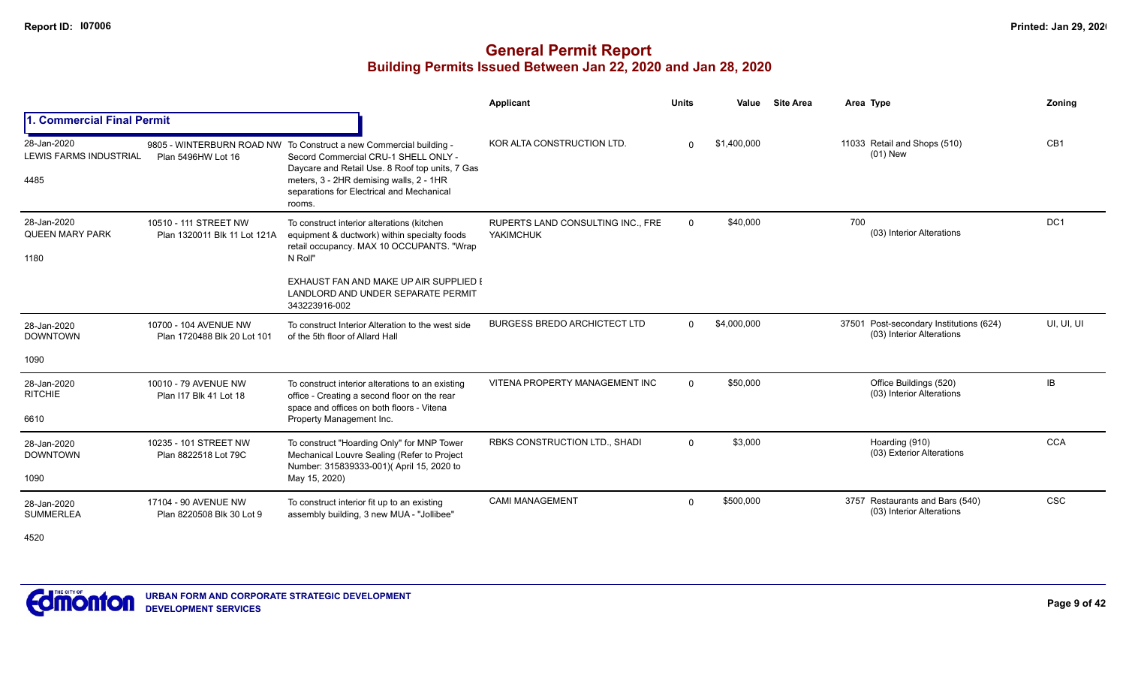## **General Permit Report Building Permits Issued Between Jan 22, 2020 and Jan 28, 2020**

|                                                      |                                                       |                                                                                                                                                                                                                                                                 | Applicant                                             | <b>Units</b> | Value       | <b>Site Area</b> | Area Type                                                            | Zoning          |
|------------------------------------------------------|-------------------------------------------------------|-----------------------------------------------------------------------------------------------------------------------------------------------------------------------------------------------------------------------------------------------------------------|-------------------------------------------------------|--------------|-------------|------------------|----------------------------------------------------------------------|-----------------|
| 1. Commercial Final Permit                           |                                                       |                                                                                                                                                                                                                                                                 |                                                       |              |             |                  |                                                                      |                 |
| 28-Jan-2020<br><b>LEWIS FARMS INDUSTRIAL</b><br>4485 | Plan 5496HW Lot 16                                    | 9805 - WINTERBURN ROAD NW To Construct a new Commercial building -<br>Secord Commercial CRU-1 SHELL ONLY -<br>Daycare and Retail Use. 8 Roof top units, 7 Gas<br>meters, 3 - 2HR demising walls, 2 - 1HR<br>separations for Electrical and Mechanical<br>rooms. | KOR ALTA CONSTRUCTION LTD.                            | $\Omega$     | \$1,400,000 |                  | 11033 Retail and Shops (510)<br>$(01)$ New                           | CB <sub>1</sub> |
| 28-Jan-2020<br><b>QUEEN MARY PARK</b><br>1180        | 10510 - 111 STREET NW<br>Plan 1320011 Blk 11 Lot 121A | To construct interior alterations (kitchen<br>equipment & ductwork) within specialty foods<br>retail occupancy. MAX 10 OCCUPANTS. "Wrap<br>N Roll"                                                                                                              | RUPERTS LAND CONSULTING INC., FRE<br><b>YAKIMCHUK</b> | $\mathbf 0$  | \$40,000    |                  | 700<br>(03) Interior Alterations                                     | DC <sub>1</sub> |
|                                                      |                                                       | EXHAUST FAN AND MAKE UP AIR SUPPLIED I<br>LANDLORD AND UNDER SEPARATE PERMIT<br>343223916-002                                                                                                                                                                   |                                                       |              |             |                  |                                                                      |                 |
| 28-Jan-2020<br><b>DOWNTOWN</b>                       | 10700 - 104 AVENUE NW<br>Plan 1720488 Blk 20 Lot 101  | To construct Interior Alteration to the west side<br>of the 5th floor of Allard Hall                                                                                                                                                                            | <b>BURGESS BREDO ARCHICTECT LTD</b>                   | $\Omega$     | \$4,000,000 |                  | 37501 Post-secondary Institutions (624)<br>(03) Interior Alterations | UI, UI, UI      |
| 1090                                                 |                                                       |                                                                                                                                                                                                                                                                 |                                                       |              |             |                  |                                                                      |                 |
| 28-Jan-2020<br><b>RITCHIE</b>                        | 10010 - 79 AVENUE NW<br>Plan I17 Blk 41 Lot 18        | To construct interior alterations to an existing<br>office - Creating a second floor on the rear<br>space and offices on both floors - Vitena                                                                                                                   | VITENA PROPERTY MANAGEMENT INC                        | $\Omega$     | \$50,000    |                  | Office Buildings (520)<br>(03) Interior Alterations                  | IB              |
| 6610                                                 |                                                       | Property Management Inc.                                                                                                                                                                                                                                        |                                                       |              |             |                  |                                                                      |                 |
| 28-Jan-2020<br><b>DOWNTOWN</b>                       | 10235 - 101 STREET NW<br>Plan 8822518 Lot 79C         | To construct "Hoarding Only" for MNP Tower<br>Mechanical Louvre Sealing (Refer to Project<br>Number: 315839333-001)( April 15, 2020 to                                                                                                                          | RBKS CONSTRUCTION LTD., SHADI                         | $\Omega$     | \$3,000     |                  | Hoarding (910)<br>(03) Exterior Alterations                          | <b>CCA</b>      |
| 1090                                                 |                                                       | May 15, 2020)                                                                                                                                                                                                                                                   |                                                       |              |             |                  |                                                                      |                 |
| 28-Jan-2020<br><b>SUMMERLEA</b>                      | 17104 - 90 AVENUE NW<br>Plan 8220508 Blk 30 Lot 9     | To construct interior fit up to an existing<br>assembly building, 3 new MUA - "Jollibee"                                                                                                                                                                        | <b>CAMI MANAGEMENT</b>                                | $\Omega$     | \$500,000   |                  | 3757 Restaurants and Bars (540)<br>(03) Interior Alterations         | <b>CSC</b>      |

4520

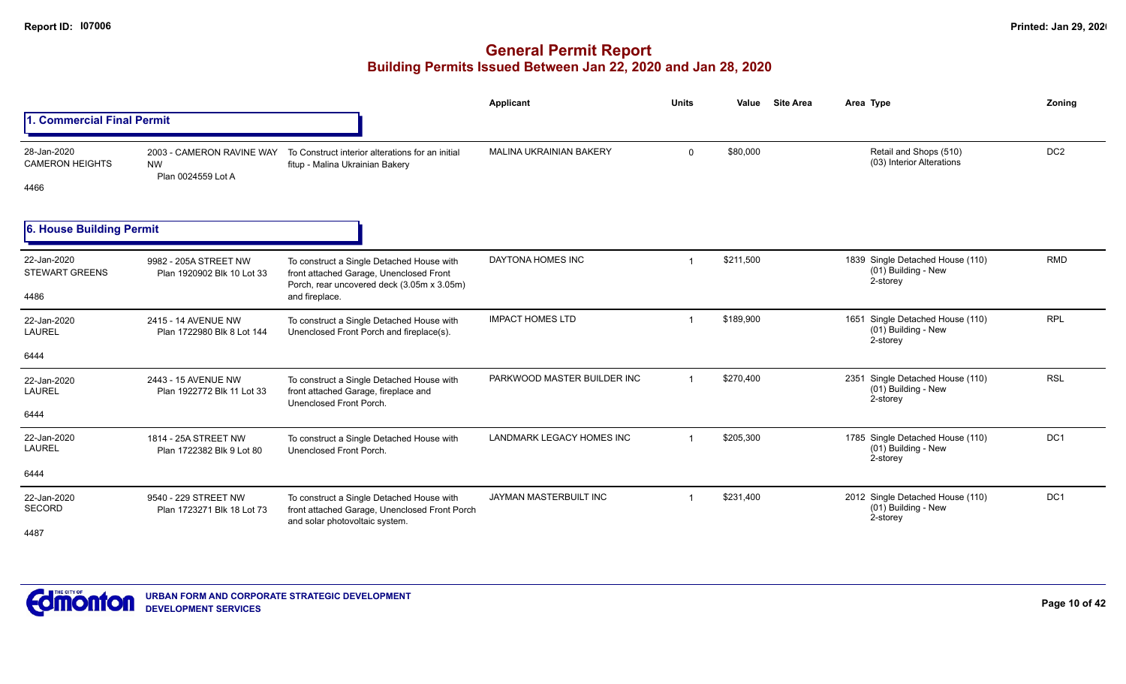|                                               |                                                              |                                                                                                                                                      | Applicant                      | <b>Units</b>            | Value     | <b>Site Area</b> | Area Type                                                           | Zonina          |
|-----------------------------------------------|--------------------------------------------------------------|------------------------------------------------------------------------------------------------------------------------------------------------------|--------------------------------|-------------------------|-----------|------------------|---------------------------------------------------------------------|-----------------|
| 1. Commercial Final Permit                    |                                                              |                                                                                                                                                      |                                |                         |           |                  |                                                                     |                 |
| 28-Jan-2020<br><b>CAMERON HEIGHTS</b><br>4466 | 2003 - CAMERON RAVINE WAY<br><b>NW</b><br>Plan 0024559 Lot A | To Construct interior alterations for an initial<br>fitup - Malina Ukrainian Bakery                                                                  | <b>MALINA UKRAINIAN BAKERY</b> | $\mathbf 0$             | \$80,000  |                  | Retail and Shops (510)<br>(03) Interior Alterations                 | DC <sub>2</sub> |
| 6. House Building Permit                      |                                                              |                                                                                                                                                      |                                |                         |           |                  |                                                                     |                 |
| 22-Jan-2020<br><b>STEWART GREENS</b><br>4486  | 9982 - 205A STREET NW<br>Plan 1920902 Blk 10 Lot 33          | To construct a Single Detached House with<br>front attached Garage, Unenclosed Front<br>Porch, rear uncovered deck (3.05m x 3.05m)<br>and fireplace. | DAYTONA HOMES INC              | $\overline{1}$          | \$211,500 |                  | 1839 Single Detached House (110)<br>(01) Building - New<br>2-storey | <b>RMD</b>      |
| 22-Jan-2020<br><b>LAUREL</b><br>6444          | 2415 - 14 AVENUE NW<br>Plan 1722980 Blk 8 Lot 144            | To construct a Single Detached House with<br>Unenclosed Front Porch and fireplace(s).                                                                | <b>IMPACT HOMES LTD</b>        | $\overline{1}$          | \$189,900 |                  | 1651 Single Detached House (110)<br>(01) Building - New<br>2-storey | <b>RPL</b>      |
| 22-Jan-2020<br><b>LAUREL</b><br>6444          | 2443 - 15 AVENUE NW<br>Plan 1922772 Blk 11 Lot 33            | To construct a Single Detached House with<br>front attached Garage, fireplace and<br>Unenclosed Front Porch.                                         | PARKWOOD MASTER BUILDER INC    | $\overline{1}$          | \$270,400 |                  | 2351 Single Detached House (110)<br>(01) Building - New<br>2-storey | <b>RSL</b>      |
| 22-Jan-2020<br><b>LAUREL</b>                  | 1814 - 25A STREET NW<br>Plan 1722382 Blk 9 Lot 80            | To construct a Single Detached House with<br>Unenclosed Front Porch.                                                                                 | LANDMARK LEGACY HOMES INC      | $\overline{\mathbf{1}}$ | \$205,300 |                  | 1785 Single Detached House (110)<br>(01) Building - New<br>2-storey | DC <sub>1</sub> |
| 6444                                          |                                                              |                                                                                                                                                      |                                |                         |           |                  |                                                                     |                 |
| 22-Jan-2020<br><b>SECORD</b><br>4487          | 9540 - 229 STREET NW<br>Plan 1723271 Blk 18 Lot 73           | To construct a Single Detached House with<br>front attached Garage, Unenclosed Front Porch<br>and solar photovoltaic system.                         | JAYMAN MASTERBUILT INC         | $\overline{1}$          | \$231,400 |                  | 2012 Single Detached House (110)<br>(01) Building - New<br>2-storey | DC <sub>1</sub> |

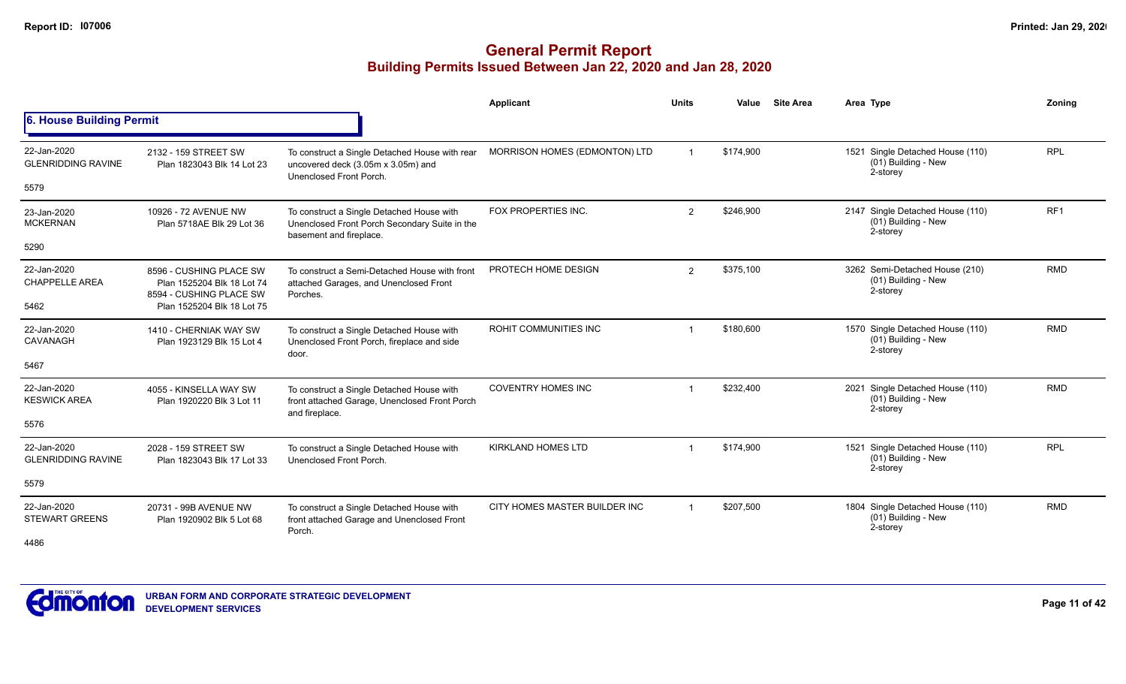|                                          |                                                                                  |                                                                                                                       | Applicant                     | <b>Units</b>   | Value     | <b>Site Area</b> | Area Type                                                              | Zoning          |
|------------------------------------------|----------------------------------------------------------------------------------|-----------------------------------------------------------------------------------------------------------------------|-------------------------------|----------------|-----------|------------------|------------------------------------------------------------------------|-----------------|
| <b>6. House Building Permit</b>          |                                                                                  |                                                                                                                       |                               |                |           |                  |                                                                        |                 |
| 22-Jan-2020<br><b>GLENRIDDING RAVINE</b> | 2132 - 159 STREET SW<br>Plan 1823043 Blk 14 Lot 23                               | To construct a Single Detached House with rear<br>uncovered deck (3.05m x 3.05m) and<br>Unenclosed Front Porch.       | MORRISON HOMES (EDMONTON) LTD |                | \$174,900 |                  | 1521 Single Detached House (110)<br>(01) Building - New<br>2-storey    | <b>RPL</b>      |
| 5579                                     |                                                                                  |                                                                                                                       |                               |                |           |                  |                                                                        |                 |
| 23-Jan-2020<br><b>MCKERNAN</b>           | 10926 - 72 AVENUE NW<br>Plan 5718AE Blk 29 Lot 36                                | To construct a Single Detached House with<br>Unenclosed Front Porch Secondary Suite in the<br>basement and fireplace. | FOX PROPERTIES INC.           | $\overline{2}$ | \$246,900 |                  | 2147 Single Detached House (110)<br>(01) Building - New<br>2-storey    | RF <sub>1</sub> |
| 5290                                     |                                                                                  |                                                                                                                       |                               |                |           |                  |                                                                        |                 |
| 22-Jan-2020<br><b>CHAPPELLE AREA</b>     | 8596 - CUSHING PLACE SW<br>Plan 1525204 Blk 18 Lot 74<br>8594 - CUSHING PLACE SW | To construct a Semi-Detached House with front<br>attached Garages, and Unenclosed Front<br>Porches.                   | PROTECH HOME DESIGN           | 2              | \$375,100 |                  | 3262 Semi-Detached House (210)<br>(01) Building - New<br>2-storey      | <b>RMD</b>      |
| 5462                                     | Plan 1525204 Blk 18 Lot 75                                                       |                                                                                                                       |                               |                |           |                  |                                                                        |                 |
| 22-Jan-2020<br>CAVANAGH                  | 1410 - CHERNIAK WAY SW<br>Plan 1923129 Blk 15 Lot 4                              | To construct a Single Detached House with<br>Unenclosed Front Porch, fireplace and side<br>door.                      | <b>ROHIT COMMUNITIES INC</b>  |                | \$180,600 |                  | 1570 Single Detached House (110)<br>(01) Building - New<br>2-storey    | <b>RMD</b>      |
| 5467                                     |                                                                                  |                                                                                                                       |                               |                |           |                  |                                                                        |                 |
| 22-Jan-2020<br><b>KESWICK AREA</b>       | 4055 - KINSELLA WAY SW<br>Plan 1920220 Blk 3 Lot 11                              | To construct a Single Detached House with<br>front attached Garage, Unenclosed Front Porch<br>and fireplace.          | <b>COVENTRY HOMES INC</b>     |                | \$232,400 |                  | Single Detached House (110)<br>2021<br>(01) Building - New<br>2-storey | <b>RMD</b>      |
| 5576                                     |                                                                                  |                                                                                                                       |                               |                |           |                  |                                                                        |                 |
| 22-Jan-2020<br><b>GLENRIDDING RAVINE</b> | 2028 - 159 STREET SW<br>Plan 1823043 Blk 17 Lot 33                               | To construct a Single Detached House with<br>Unenclosed Front Porch.                                                  | <b>KIRKLAND HOMES LTD</b>     |                | \$174,900 |                  | 1521 Single Detached House (110)<br>(01) Building - New<br>2-storey    | <b>RPL</b>      |
| 5579                                     |                                                                                  |                                                                                                                       |                               |                |           |                  |                                                                        |                 |
| 22-Jan-2020<br><b>STEWART GREENS</b>     | 20731 - 99B AVENUE NW<br>Plan 1920902 Blk 5 Lot 68                               | To construct a Single Detached House with<br>front attached Garage and Unenclosed Front<br>Porch.                     | CITY HOMES MASTER BUILDER INC | $\mathbf 1$    | \$207,500 |                  | 1804 Single Detached House (110)<br>(01) Building - New<br>2-storey    | <b>RMD</b>      |
| 4486                                     |                                                                                  |                                                                                                                       |                               |                |           |                  |                                                                        |                 |

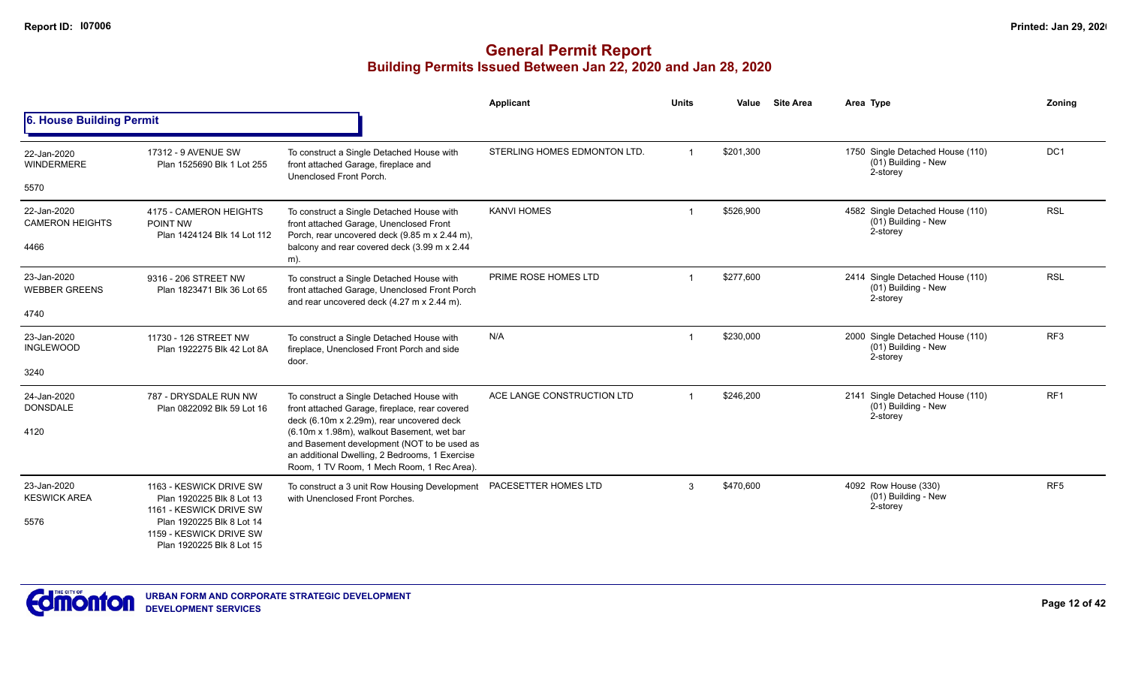|                                               |                                                                                   |                                                                                                                                                                                                                                        | Applicant                    | <b>Units</b> | Value     | <b>Site Area</b> | Area Type                                                           | Zoning          |
|-----------------------------------------------|-----------------------------------------------------------------------------------|----------------------------------------------------------------------------------------------------------------------------------------------------------------------------------------------------------------------------------------|------------------------------|--------------|-----------|------------------|---------------------------------------------------------------------|-----------------|
| 6. House Building Permit                      |                                                                                   |                                                                                                                                                                                                                                        |                              |              |           |                  |                                                                     |                 |
| 22-Jan-2020<br><b>WINDERMERE</b>              | 17312 - 9 AVENUE SW<br>Plan 1525690 Blk 1 Lot 255                                 | To construct a Single Detached House with<br>front attached Garage, fireplace and<br>Unenclosed Front Porch.                                                                                                                           | STERLING HOMES EDMONTON LTD. |              | \$201,300 |                  | 1750 Single Detached House (110)<br>(01) Building - New<br>2-storey | DC <sub>1</sub> |
| 5570                                          |                                                                                   |                                                                                                                                                                                                                                        |                              |              |           |                  |                                                                     |                 |
| 22-Jan-2020<br><b>CAMERON HEIGHTS</b><br>4466 | 4175 - CAMERON HEIGHTS<br>POINT NW<br>Plan 1424124 Blk 14 Lot 112                 | To construct a Single Detached House with<br>front attached Garage, Unenclosed Front<br>Porch, rear uncovered deck (9.85 m x 2.44 m),<br>balcony and rear covered deck (3.99 m x 2.44<br>m).                                           | <b>KANVI HOMES</b>           |              | \$526,900 |                  | 4582 Single Detached House (110)<br>(01) Building - New<br>2-storey | <b>RSL</b>      |
| 23-Jan-2020<br><b>WEBBER GREENS</b>           | 9316 - 206 STREET NW<br>Plan 1823471 Blk 36 Lot 65                                | To construct a Single Detached House with<br>front attached Garage, Unenclosed Front Porch<br>and rear uncovered deck (4.27 m x 2.44 m).                                                                                               | PRIME ROSE HOMES LTD         |              | \$277,600 |                  | 2414 Single Detached House (110)<br>(01) Building - New<br>2-storey | <b>RSL</b>      |
| 4740                                          |                                                                                   |                                                                                                                                                                                                                                        |                              |              |           |                  |                                                                     |                 |
| 23-Jan-2020<br><b>INGLEWOOD</b>               | 11730 - 126 STREET NW<br>Plan 1922275 Blk 42 Lot 8A                               | To construct a Single Detached House with<br>fireplace, Unenclosed Front Porch and side<br>door.                                                                                                                                       | N/A                          |              | \$230,000 |                  | 2000 Single Detached House (110)<br>(01) Building - New<br>2-storey | RF <sub>3</sub> |
| 3240                                          |                                                                                   |                                                                                                                                                                                                                                        |                              |              |           |                  |                                                                     |                 |
| 24-Jan-2020<br><b>DONSDALE</b>                | 787 - DRYSDALE RUN NW<br>Plan 0822092 Blk 59 Lot 16                               | To construct a Single Detached House with<br>front attached Garage, fireplace, rear covered                                                                                                                                            | ACE LANGE CONSTRUCTION LTD   |              | \$246,200 |                  | 2141 Single Detached House (110)<br>(01) Building - New<br>2-storey | RF <sub>1</sub> |
| 4120                                          |                                                                                   | deck (6.10m x 2.29m), rear uncovered deck<br>(6.10m x 1.98m), walkout Basement, wet bar<br>and Basement development (NOT to be used as<br>an additional Dwelling, 2 Bedrooms, 1 Exercise<br>Room, 1 TV Room, 1 Mech Room, 1 Rec Area). |                              |              |           |                  |                                                                     |                 |
| 23-Jan-2020<br><b>KESWICK AREA</b>            | 1163 - KESWICK DRIVE SW<br>Plan 1920225 Blk 8 Lot 13<br>1161 - KESWICK DRIVE SW   | To construct a 3 unit Row Housing Development<br>with Unenclosed Front Porches.                                                                                                                                                        | PACESETTER HOMES LTD         | 3            | \$470,600 |                  | 4092 Row House (330)<br>(01) Building - New<br>2-storey             | RF <sub>5</sub> |
| 5576                                          | Plan 1920225 Blk 8 Lot 14<br>1159 - KESWICK DRIVE SW<br>Plan 1920225 Blk 8 Lot 15 |                                                                                                                                                                                                                                        |                              |              |           |                  |                                                                     |                 |

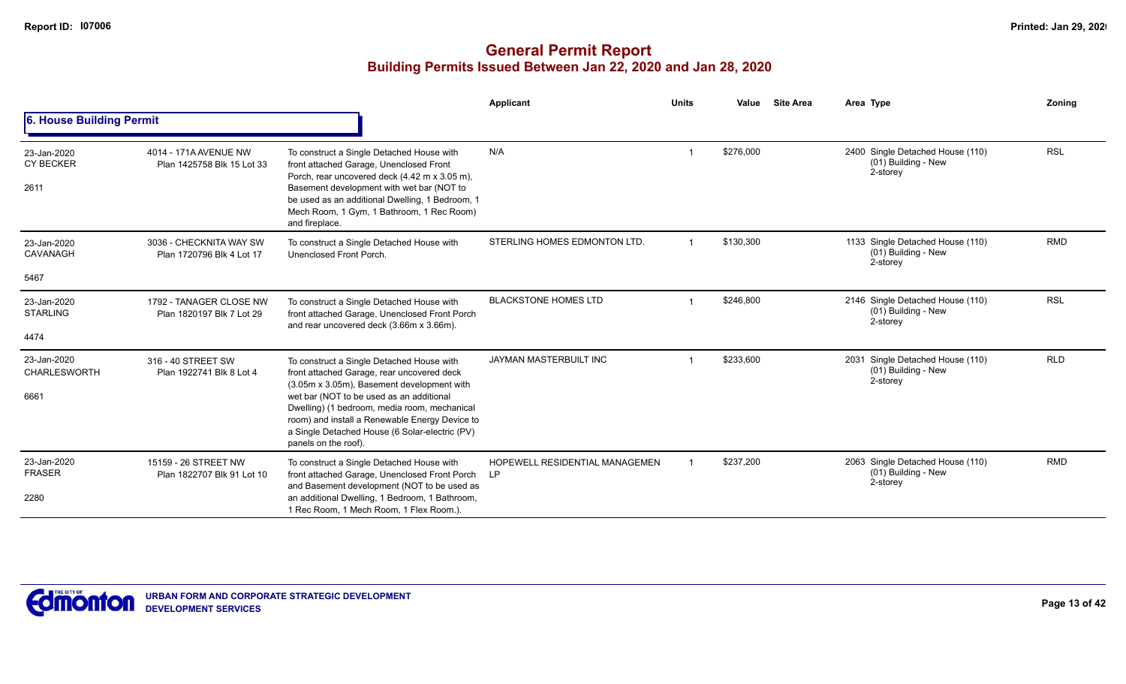|                                         |                                                      |                                                                                                                                                                                                                                                                                                                                                               | Applicant                                   | <b>Units</b> | Value     | <b>Site Area</b> | Area Type                                                           | Zoning     |
|-----------------------------------------|------------------------------------------------------|---------------------------------------------------------------------------------------------------------------------------------------------------------------------------------------------------------------------------------------------------------------------------------------------------------------------------------------------------------------|---------------------------------------------|--------------|-----------|------------------|---------------------------------------------------------------------|------------|
| 6. House Building Permit                |                                                      |                                                                                                                                                                                                                                                                                                                                                               |                                             |              |           |                  |                                                                     |            |
| 23-Jan-2020<br><b>CY BECKER</b><br>2611 | 4014 - 171A AVENUE NW<br>Plan 1425758 Blk 15 Lot 33  | To construct a Single Detached House with<br>front attached Garage, Unenclosed Front<br>Porch, rear uncovered deck (4.42 m x 3.05 m),<br>Basement development with wet bar (NOT to<br>be used as an additional Dwelling, 1 Bedroom, 1<br>Mech Room, 1 Gym, 1 Bathroom, 1 Rec Room)<br>and fireplace.                                                          | N/A                                         |              | \$276,000 |                  | 2400 Single Detached House (110)<br>(01) Building - New<br>2-storey | <b>RSL</b> |
| 23-Jan-2020<br>CAVANAGH                 | 3036 - CHECKNITA WAY SW<br>Plan 1720796 Blk 4 Lot 17 | To construct a Single Detached House with<br>Unenclosed Front Porch.                                                                                                                                                                                                                                                                                          | STERLING HOMES EDMONTON LTD.                |              | \$130,300 |                  | 1133 Single Detached House (110)<br>(01) Building - New<br>2-storey | <b>RMD</b> |
| 5467                                    |                                                      |                                                                                                                                                                                                                                                                                                                                                               |                                             |              |           |                  |                                                                     |            |
| 23-Jan-2020<br><b>STARLING</b><br>4474  | 1792 - TANAGER CLOSE NW<br>Plan 1820197 Blk 7 Lot 29 | To construct a Single Detached House with<br>front attached Garage, Unenclosed Front Porch<br>and rear uncovered deck (3.66m x 3.66m).                                                                                                                                                                                                                        | <b>BLACKSTONE HOMES LTD</b>                 |              | \$246.800 |                  | 2146 Single Detached House (110)<br>(01) Building - New<br>2-storey | <b>RSL</b> |
| 23-Jan-2020<br>CHARLESWORTH<br>6661     | 316 - 40 STREET SW<br>Plan 1922741 Blk 8 Lot 4       | To construct a Single Detached House with<br>front attached Garage, rear uncovered deck<br>(3.05m x 3.05m), Basement development with<br>wet bar (NOT to be used as an additional<br>Dwelling) (1 bedroom, media room, mechanical<br>room) and install a Renewable Energy Device to<br>a Single Detached House (6 Solar-electric (PV)<br>panels on the roof). | JAYMAN MASTERBUILT INC                      |              | \$233,600 |                  | 2031 Single Detached House (110)<br>(01) Building - New<br>2-storey | <b>RLD</b> |
| 23-Jan-2020<br><b>FRASER</b><br>2280    | 15159 - 26 STREET NW<br>Plan 1822707 Blk 91 Lot 10   | To construct a Single Detached House with<br>front attached Garage, Unenclosed Front Porch<br>and Basement development (NOT to be used as<br>an additional Dwelling, 1 Bedroom, 1 Bathroom,<br>1 Rec Room, 1 Mech Room, 1 Flex Room.).                                                                                                                        | HOPEWELL RESIDENTIAL MANAGEMEN<br><b>LP</b> |              | \$237,200 |                  | 2063 Single Detached House (110)<br>(01) Building - New<br>2-storey | <b>RMD</b> |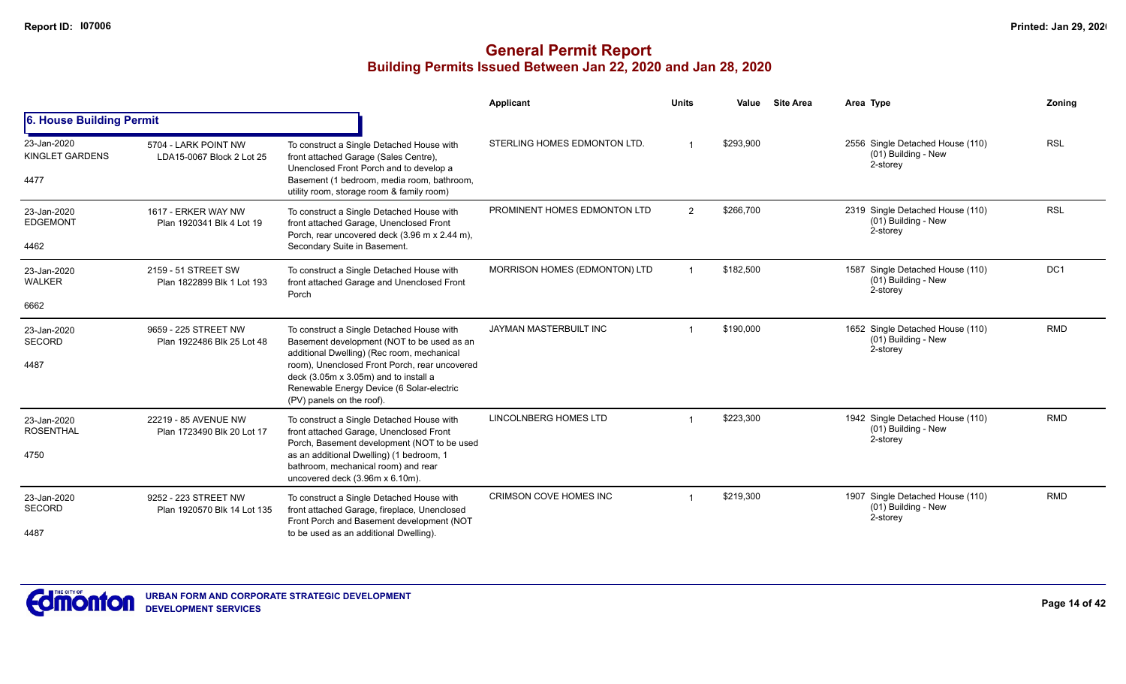|                                               |                                                     |                                                                                                                                                                                                                                                                                                           | Applicant                     | <b>Units</b> | Value     | <b>Site Area</b> | Area Type                                                           | Zoning     |
|-----------------------------------------------|-----------------------------------------------------|-----------------------------------------------------------------------------------------------------------------------------------------------------------------------------------------------------------------------------------------------------------------------------------------------------------|-------------------------------|--------------|-----------|------------------|---------------------------------------------------------------------|------------|
| 6. House Building Permit                      |                                                     |                                                                                                                                                                                                                                                                                                           |                               |              |           |                  |                                                                     |            |
| 23-Jan-2020<br><b>KINGLET GARDENS</b><br>4477 | 5704 - LARK POINT NW<br>LDA15-0067 Block 2 Lot 25   | To construct a Single Detached House with<br>front attached Garage (Sales Centre),<br>Unenclosed Front Porch and to develop a<br>Basement (1 bedroom, media room, bathroom,<br>utility room, storage room & family room)                                                                                  | STERLING HOMES EDMONTON LTD.  |              | \$293,900 |                  | 2556 Single Detached House (110)<br>(01) Building - New<br>2-storey | <b>RSL</b> |
| 23-Jan-2020<br><b>EDGEMONT</b><br>4462        | 1617 - ERKER WAY NW<br>Plan 1920341 Blk 4 Lot 19    | To construct a Single Detached House with<br>front attached Garage, Unenclosed Front<br>Porch, rear uncovered deck (3.96 m x 2.44 m),<br>Secondary Suite in Basement.                                                                                                                                     | PROMINENT HOMES EDMONTON LTD  | 2            | \$266,700 |                  | 2319 Single Detached House (110)<br>(01) Building - New<br>2-storey | <b>RSL</b> |
| 23-Jan-2020<br><b>WALKER</b>                  | 2159 - 51 STREET SW<br>Plan 1822899 Blk 1 Lot 193   | To construct a Single Detached House with<br>front attached Garage and Unenclosed Front<br>Porch                                                                                                                                                                                                          | MORRISON HOMES (EDMONTON) LTD |              | \$182,500 |                  | 1587 Single Detached House (110)<br>(01) Building - New<br>2-storey | DC1        |
| 6662                                          |                                                     |                                                                                                                                                                                                                                                                                                           |                               |              |           |                  |                                                                     |            |
| 23-Jan-2020<br><b>SECORD</b><br>4487          | 9659 - 225 STREET NW<br>Plan 1922486 Blk 25 Lot 48  | To construct a Single Detached House with<br>Basement development (NOT to be used as an<br>additional Dwelling) (Rec room, mechanical<br>room), Unenclosed Front Porch, rear uncovered<br>deck (3.05m x 3.05m) and to install a<br>Renewable Energy Device (6 Solar-electric<br>(PV) panels on the roof). | JAYMAN MASTERBUILT INC        |              | \$190,000 |                  | 1652 Single Detached House (110)<br>(01) Building - New<br>2-storey | <b>RMD</b> |
| 23-Jan-2020<br><b>ROSENTHAL</b><br>4750       | 22219 - 85 AVENUE NW<br>Plan 1723490 Blk 20 Lot 17  | To construct a Single Detached House with<br>front attached Garage, Unenclosed Front<br>Porch, Basement development (NOT to be used<br>as an additional Dwelling) (1 bedroom, 1<br>bathroom, mechanical room) and rear<br>uncovered deck (3.96m x 6.10m).                                                 | LINCOLNBERG HOMES LTD         |              | \$223,300 |                  | 1942 Single Detached House (110)<br>(01) Building - New<br>2-storey | <b>RMD</b> |
| 23-Jan-2020<br><b>SECORD</b><br>4487          | 9252 - 223 STREET NW<br>Plan 1920570 Blk 14 Lot 135 | To construct a Single Detached House with<br>front attached Garage, fireplace, Unenclosed<br>Front Porch and Basement development (NOT<br>to be used as an additional Dwelling).                                                                                                                          | CRIMSON COVE HOMES INC        |              | \$219,300 |                  | 1907 Single Detached House (110)<br>(01) Building - New<br>2-storey | <b>RMD</b> |

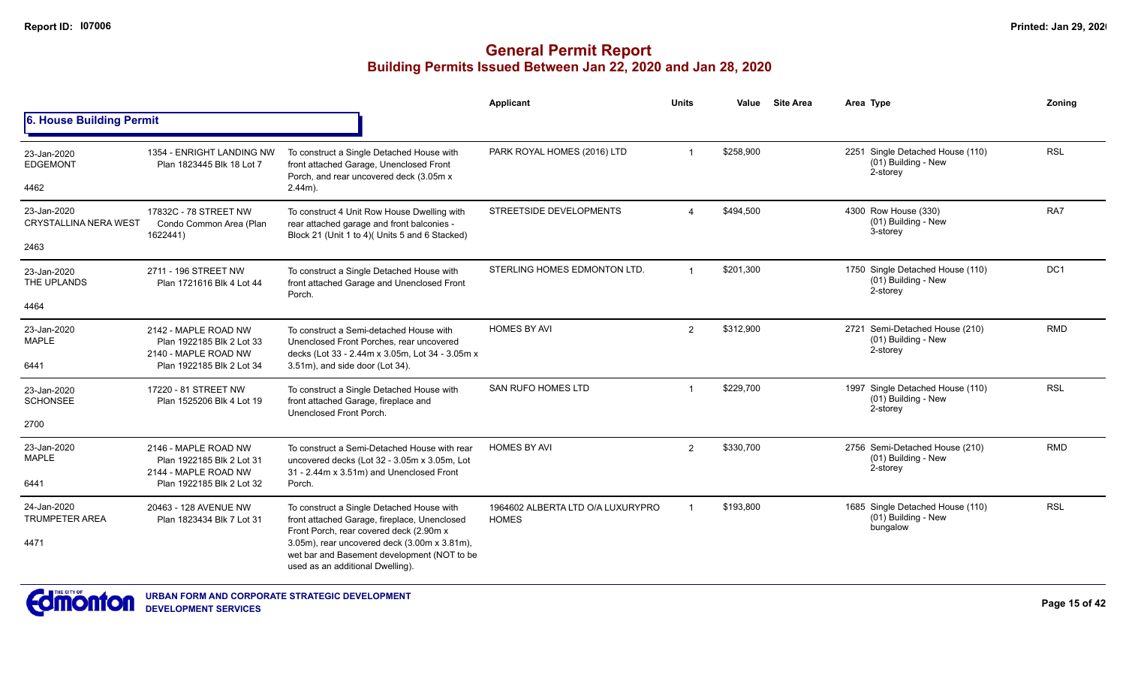|                                              |                                                                           |                                                                                                                                                                                                                                     | Applicant                                         | <b>Units</b>   | Value     | <b>Site Area</b> | Area Type                                                             | Zonina          |
|----------------------------------------------|---------------------------------------------------------------------------|-------------------------------------------------------------------------------------------------------------------------------------------------------------------------------------------------------------------------------------|---------------------------------------------------|----------------|-----------|------------------|-----------------------------------------------------------------------|-----------------|
| <b>6. House Building Permit</b>              |                                                                           |                                                                                                                                                                                                                                     |                                                   |                |           |                  |                                                                       |                 |
| 23-Jan-2020<br><b>EDGEMONT</b>               | 1354 - ENRIGHT LANDING NW<br>Plan 1823445 Blk 18 Lot 7                    | To construct a Single Detached House with<br>front attached Garage, Unenclosed Front<br>Porch, and rear uncovered deck (3.05m x                                                                                                     | PARK ROYAL HOMES (2016) LTD                       | -1             | \$258,900 |                  | 2251 Single Detached House (110)<br>(01) Building - New<br>2-storey   | <b>RSL</b>      |
| 4462                                         |                                                                           | $2.44m$ ).                                                                                                                                                                                                                          |                                                   |                |           |                  |                                                                       |                 |
| 23-Jan-2020<br><b>CRYSTALLINA NERA WEST</b>  | 17832C - 78 STREET NW<br>Condo Common Area (Plan<br>1622441)              | To construct 4 Unit Row House Dwelling with<br>rear attached garage and front balconies -<br>Block 21 (Unit 1 to 4)( Units 5 and 6 Stacked)                                                                                         | STREETSIDE DEVELOPMENTS                           |                | \$494,500 |                  | 4300 Row House (330)<br>(01) Building - New<br>3-storey               | RA7             |
| 2463                                         |                                                                           |                                                                                                                                                                                                                                     |                                                   |                |           |                  |                                                                       |                 |
| 23-Jan-2020<br>THE UPLANDS                   | 2711 - 196 STREET NW<br>Plan 1721616 Blk 4 Lot 44                         | To construct a Single Detached House with<br>front attached Garage and Unenclosed Front<br>Porch.                                                                                                                                   | STERLING HOMES EDMONTON LTD.                      | $\overline{1}$ | \$201,300 |                  | 1750 Single Detached House (110)<br>(01) Building - New<br>2-storey   | DC <sub>1</sub> |
| 4464                                         |                                                                           |                                                                                                                                                                                                                                     |                                                   |                |           |                  |                                                                       |                 |
| 23-Jan-2020<br><b>MAPLE</b>                  | 2142 - MAPLE ROAD NW<br>Plan 1922185 Blk 2 Lot 33<br>2140 - MAPLE ROAD NW | To construct a Semi-detached House with<br>Unenclosed Front Porches, rear uncovered<br>decks (Lot 33 - 2.44m x 3.05m, Lot 34 - 3.05m x                                                                                              | <b>HOMES BY AVI</b>                               | $\overline{2}$ | \$312,900 |                  | 2721 Semi-Detached House (210)<br>(01) Building - New<br>2-storey     | <b>RMD</b>      |
| 6441                                         | Plan 1922185 Blk 2 Lot 34                                                 | 3.51m), and side door (Lot 34).                                                                                                                                                                                                     |                                                   |                |           |                  |                                                                       |                 |
| 23-Jan-2020<br><b>SCHONSEE</b>               | 17220 - 81 STREET NW<br>Plan 1525206 Blk 4 Lot 19                         | To construct a Single Detached House with<br>front attached Garage, fireplace and<br>Unenclosed Front Porch.                                                                                                                        | <b>SAN RUFO HOMES LTD</b>                         |                | \$229,700 |                  | 1997 Single Detached House (110)<br>$(01)$ Building - New<br>2-storey | <b>RSL</b>      |
| 2700                                         |                                                                           |                                                                                                                                                                                                                                     |                                                   |                |           |                  |                                                                       |                 |
| 23-Jan-2020<br><b>MAPLE</b>                  | 2146 - MAPLE ROAD NW<br>Plan 1922185 Blk 2 Lot 31<br>2144 - MAPLE ROAD NW | To construct a Semi-Detached House with rear<br>uncovered decks (Lot 32 - 3.05m x 3.05m, Lot<br>31 - 2.44m x 3.51m) and Unenclosed Front                                                                                            | <b>HOMES BY AVI</b>                               | $\overline{2}$ | \$330,700 |                  | 2756 Semi-Detached House (210)<br>(01) Building - New<br>2-storey     | <b>RMD</b>      |
| 6441                                         | Plan 1922185 Blk 2 Lot 32                                                 | Porch.                                                                                                                                                                                                                              |                                                   |                |           |                  |                                                                       |                 |
| 24-Jan-2020<br><b>TRUMPETER AREA</b><br>4471 | 20463 - 128 AVENUE NW<br>Plan 1823434 Blk 7 Lot 31                        | To construct a Single Detached House with<br>front attached Garage, fireplace, Unenclosed<br>Front Porch, rear covered deck (2.90m x<br>3.05m), rear uncovered deck (3.00m x 3.81m),<br>wet bar and Basement development (NOT to be | 1964602 ALBERTA LTD O/A LUXURYPRO<br><b>HOMES</b> |                | \$193.800 |                  | 1685 Single Detached House (110)<br>(01) Building - New<br>bungalow   | <b>RSL</b>      |
|                                              |                                                                           | used as an additional Dwelling).                                                                                                                                                                                                    |                                                   |                |           |                  |                                                                       |                 |

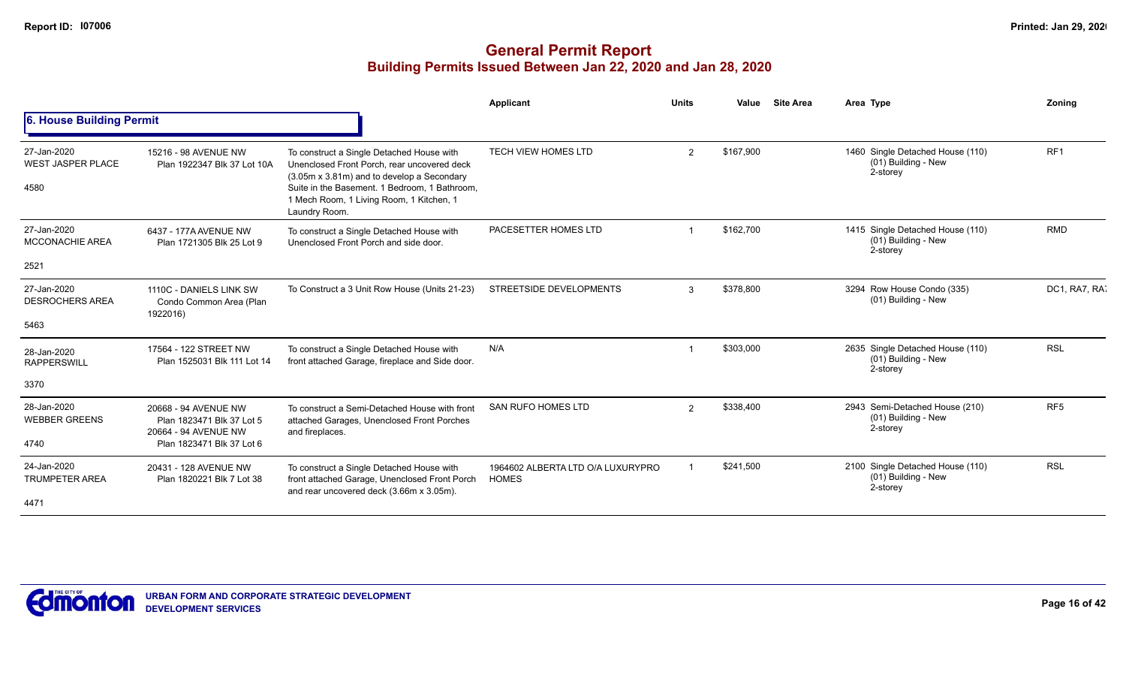|                                                 |                                                                           |                                                                                                                                                                                                                                                      | Applicant                                         | <b>Units</b>   | Value     | <b>Site Area</b> | Area Type                                                           | Zoning          |
|-------------------------------------------------|---------------------------------------------------------------------------|------------------------------------------------------------------------------------------------------------------------------------------------------------------------------------------------------------------------------------------------------|---------------------------------------------------|----------------|-----------|------------------|---------------------------------------------------------------------|-----------------|
| 6. House Building Permit                        |                                                                           |                                                                                                                                                                                                                                                      |                                                   |                |           |                  |                                                                     |                 |
| 27-Jan-2020<br><b>WEST JASPER PLACE</b><br>4580 | 15216 - 98 AVENUE NW<br>Plan 1922347 Blk 37 Lot 10A                       | To construct a Single Detached House with<br>Unenclosed Front Porch, rear uncovered deck<br>(3.05m x 3.81m) and to develop a Secondary<br>Suite in the Basement. 1 Bedroom, 1 Bathroom,<br>1 Mech Room, 1 Living Room, 1 Kitchen, 1<br>Laundry Room. | <b>TECH VIEW HOMES LTD</b>                        | 2              | \$167,900 |                  | 1460 Single Detached House (110)<br>(01) Building - New<br>2-storey | RF <sub>1</sub> |
| 27-Jan-2020<br><b>MCCONACHIE AREA</b>           | 6437 - 177A AVENUE NW<br>Plan 1721305 Blk 25 Lot 9                        | To construct a Single Detached House with<br>Unenclosed Front Porch and side door.                                                                                                                                                                   | PACESETTER HOMES LTD                              |                | \$162,700 |                  | 1415 Single Detached House (110)<br>(01) Building - New<br>2-storey | <b>RMD</b>      |
| 2521                                            |                                                                           |                                                                                                                                                                                                                                                      |                                                   |                |           |                  |                                                                     |                 |
| 27-Jan-2020<br><b>DESROCHERS AREA</b>           | 1110C - DANIELS LINK SW<br>Condo Common Area (Plan<br>1922016)            | To Construct a 3 Unit Row House (Units 21-23)                                                                                                                                                                                                        | STREETSIDE DEVELOPMENTS                           | 3              | \$378,800 |                  | 3294 Row House Condo (335)<br>(01) Building - New                   | DC1, RA7, RA    |
| 5463                                            |                                                                           |                                                                                                                                                                                                                                                      |                                                   |                |           |                  |                                                                     |                 |
| 28-Jan-2020<br><b>RAPPERSWILL</b>               | 17564 - 122 STREET NW<br>Plan 1525031 Blk 111 Lot 14                      | To construct a Single Detached House with<br>front attached Garage, fireplace and Side door.                                                                                                                                                         | N/A                                               |                | \$303,000 |                  | 2635 Single Detached House (110)<br>(01) Building - New<br>2-storey | <b>RSL</b>      |
| 3370                                            |                                                                           |                                                                                                                                                                                                                                                      |                                                   |                |           |                  |                                                                     |                 |
| 28-Jan-2020<br><b>WEBBER GREENS</b>             | 20668 - 94 AVENUE NW<br>Plan 1823471 Blk 37 Lot 5<br>20664 - 94 AVENUE NW | To construct a Semi-Detached House with front<br>attached Garages, Unenclosed Front Porches<br>and fireplaces.                                                                                                                                       | <b>SAN RUFO HOMES LTD</b>                         | $\overline{2}$ | \$338,400 |                  | 2943 Semi-Detached House (210)<br>(01) Building - New<br>2-storey   | RF <sub>5</sub> |
| 4740                                            | Plan 1823471 Blk 37 Lot 6                                                 |                                                                                                                                                                                                                                                      |                                                   |                |           |                  |                                                                     |                 |
| 24-Jan-2020<br><b>TRUMPETER AREA</b>            | 20431 - 128 AVENUE NW<br>Plan 1820221 Blk 7 Lot 38                        | To construct a Single Detached House with<br>front attached Garage, Unenclosed Front Porch<br>and rear uncovered deck (3.66m x 3.05m).                                                                                                               | 1964602 ALBERTA LTD O/A LUXURYPRO<br><b>HOMES</b> |                | \$241,500 |                  | 2100 Single Detached House (110)<br>(01) Building - New<br>2-storey | <b>RSL</b>      |
| 4471                                            |                                                                           |                                                                                                                                                                                                                                                      |                                                   |                |           |                  |                                                                     |                 |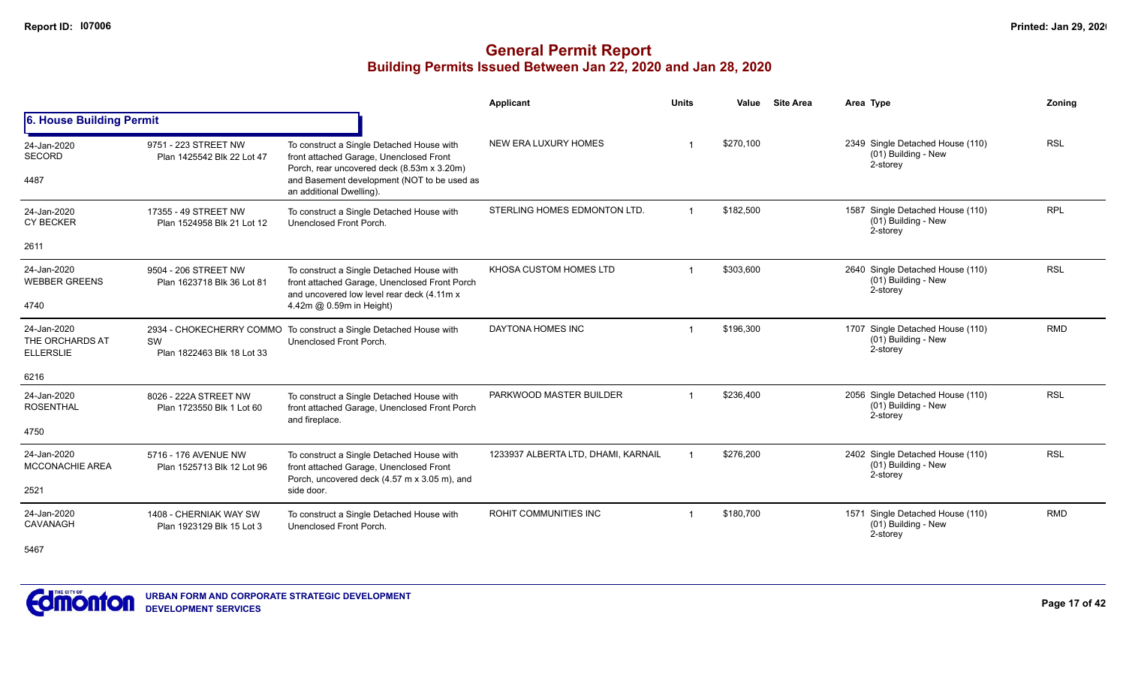|                                                    |                                                     |                                                                                                                                                                                   | <b>Applicant</b>                    | <b>Units</b> | Value     | <b>Site Area</b> | Area Type                                                             | <b>Zoning</b> |
|----------------------------------------------------|-----------------------------------------------------|-----------------------------------------------------------------------------------------------------------------------------------------------------------------------------------|-------------------------------------|--------------|-----------|------------------|-----------------------------------------------------------------------|---------------|
| 6. House Building Permit                           |                                                     |                                                                                                                                                                                   |                                     |              |           |                  |                                                                       |               |
| 24-Jan-2020<br><b>SECORD</b><br>4487               | 9751 - 223 STREET NW<br>Plan 1425542 Blk 22 Lot 47  | To construct a Single Detached House with<br>front attached Garage, Unenclosed Front<br>Porch, rear uncovered deck (8.53m x 3.20m)<br>and Basement development (NOT to be used as | NEW ERA LUXURY HOMES                |              | \$270,100 |                  | 2349 Single Detached House (110)<br>(01) Building - New<br>2-storey   | <b>RSL</b>    |
|                                                    |                                                     | an additional Dwelling).                                                                                                                                                          |                                     |              |           |                  |                                                                       |               |
| 24-Jan-2020<br><b>CY BECKER</b>                    | 17355 - 49 STREET NW<br>Plan 1524958 Blk 21 Lot 12  | To construct a Single Detached House with<br>Unenclosed Front Porch.                                                                                                              | STERLING HOMES EDMONTON LTD.        |              | \$182,500 |                  | 1587 Single Detached House (110)<br>(01) Building - New<br>2-storey   | <b>RPL</b>    |
| 2611                                               |                                                     |                                                                                                                                                                                   |                                     |              |           |                  |                                                                       |               |
| 24-Jan-2020<br><b>WEBBER GREENS</b>                | 9504 - 206 STREET NW<br>Plan 1623718 Blk 36 Lot 81  | To construct a Single Detached House with<br>front attached Garage, Unenclosed Front Porch<br>and uncovered low level rear deck (4.11m x                                          | KHOSA CUSTOM HOMES LTD              |              | \$303,600 |                  | 2640 Single Detached House (110)<br>(01) Building - New<br>2-storey   | <b>RSL</b>    |
| 4740                                               |                                                     | 4.42m @ 0.59m in Height)                                                                                                                                                          |                                     |              |           |                  |                                                                       |               |
| 24-Jan-2020<br>THE ORCHARDS AT<br><b>ELLERSLIE</b> | SW<br>Plan 1822463 Blk 18 Lot 33                    | 2934 - CHOKECHERRY COMMO To construct a Single Detached House with<br>Unenclosed Front Porch.                                                                                     | DAYTONA HOMES INC                   |              | \$196,300 |                  | 1707 Single Detached House (110)<br>(01) Building - New<br>2-storey   | <b>RMD</b>    |
| 6216                                               |                                                     |                                                                                                                                                                                   |                                     |              |           |                  |                                                                       |               |
| 24-Jan-2020<br><b>ROSENTHAL</b>                    | 8026 - 222A STREET NW<br>Plan 1723550 Blk 1 Lot 60  | To construct a Single Detached House with<br>front attached Garage, Unenclosed Front Porch<br>and fireplace.                                                                      | PARKWOOD MASTER BUILDER             |              | \$236,400 |                  | 2056 Single Detached House (110)<br>(01) Building - New<br>2-storey   | <b>RSL</b>    |
| 4750                                               |                                                     |                                                                                                                                                                                   |                                     |              |           |                  |                                                                       |               |
| 24-Jan-2020<br><b>MCCONACHIE AREA</b>              | 5716 - 176 AVENUE NW<br>Plan 1525713 Blk 12 Lot 96  | To construct a Single Detached House with<br>front attached Garage, Unenclosed Front<br>Porch, uncovered deck (4.57 m x 3.05 m), and                                              | 1233937 ALBERTA LTD, DHAMI, KARNAIL |              | \$276,200 |                  | 2402 Single Detached House (110)<br>$(01)$ Building - New<br>2-storey | <b>RSL</b>    |
| 2521                                               |                                                     | side door.                                                                                                                                                                        |                                     |              |           |                  |                                                                       |               |
| 24-Jan-2020<br>CAVANAGH                            | 1408 - CHERNIAK WAY SW<br>Plan 1923129 Blk 15 Lot 3 | To construct a Single Detached House with<br>Unenclosed Front Porch.                                                                                                              | <b>ROHIT COMMUNITIES INC</b>        |              | \$180,700 |                  | 1571 Single Detached House (110)<br>(01) Building - New<br>2-storey   | <b>RMD</b>    |
| 5467                                               |                                                     |                                                                                                                                                                                   |                                     |              |           |                  |                                                                       |               |

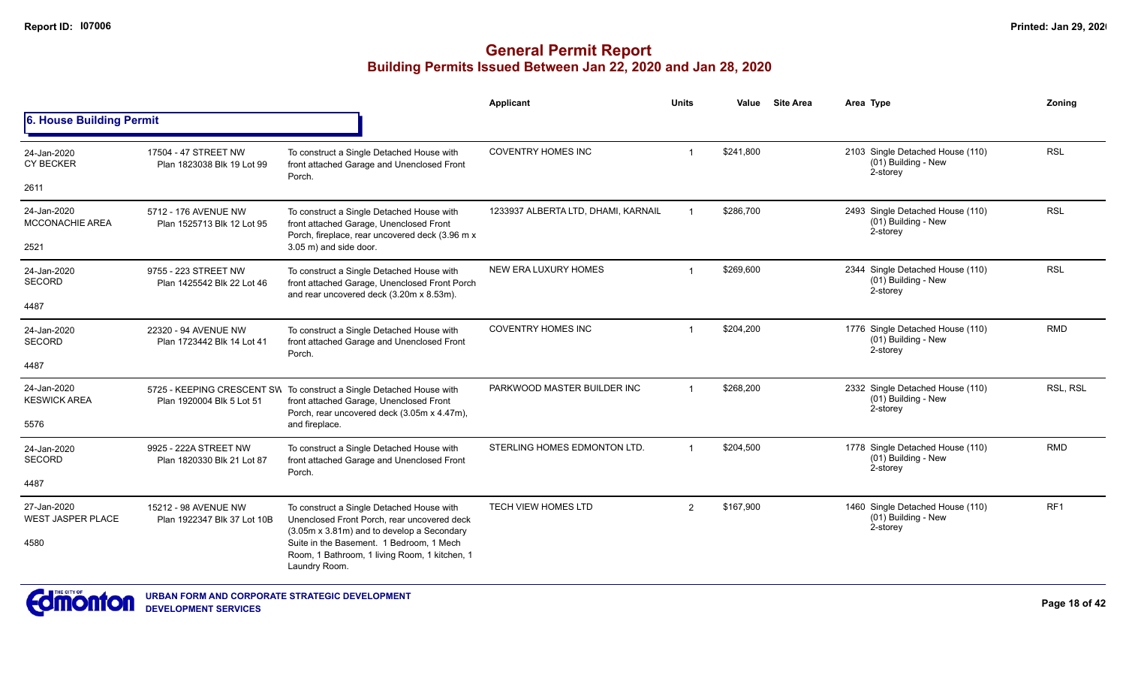|                                         |                                                     |                                                                                                                                                                | <b>Applicant</b>                    | <b>Units</b>   | Value     | <b>Site Area</b> | Area Type                                                           | Zoning          |
|-----------------------------------------|-----------------------------------------------------|----------------------------------------------------------------------------------------------------------------------------------------------------------------|-------------------------------------|----------------|-----------|------------------|---------------------------------------------------------------------|-----------------|
| <b>6. House Building Permit</b>         |                                                     |                                                                                                                                                                |                                     |                |           |                  |                                                                     |                 |
| 24-Jan-2020<br><b>CY BECKER</b>         | 17504 - 47 STREET NW<br>Plan 1823038 Blk 19 Lot 99  | To construct a Single Detached House with<br>front attached Garage and Unenclosed Front<br>Porch.                                                              | <b>COVENTRY HOMES INC</b>           |                | \$241,800 |                  | 2103 Single Detached House (110)<br>(01) Building - New<br>2-storey | <b>RSL</b>      |
| 2611                                    |                                                     |                                                                                                                                                                |                                     |                |           |                  |                                                                     |                 |
| 24-Jan-2020<br><b>MCCONACHIE AREA</b>   | 5712 - 176 AVENUE NW<br>Plan 1525713 Blk 12 Lot 95  | To construct a Single Detached House with<br>front attached Garage, Unenclosed Front<br>Porch, fireplace, rear uncovered deck (3.96 m x                        | 1233937 ALBERTA LTD, DHAMI, KARNAIL |                | \$286,700 |                  | 2493 Single Detached House (110)<br>(01) Building - New<br>2-storey | <b>RSL</b>      |
| 2521                                    |                                                     | 3.05 m) and side door.                                                                                                                                         |                                     |                |           |                  |                                                                     |                 |
| 24-Jan-2020<br><b>SECORD</b>            | 9755 - 223 STREET NW<br>Plan 1425542 Blk 22 Lot 46  | To construct a Single Detached House with<br>front attached Garage, Unenclosed Front Porch<br>and rear uncovered deck (3.20m x 8.53m).                         | NEW ERA LUXURY HOMES                |                | \$269.600 |                  | 2344 Single Detached House (110)<br>(01) Building - New<br>2-storey | <b>RSL</b>      |
| 4487                                    |                                                     |                                                                                                                                                                |                                     |                |           |                  |                                                                     |                 |
| 24-Jan-2020<br><b>SECORD</b>            | 22320 - 94 AVENUE NW<br>Plan 1723442 Blk 14 Lot 41  | To construct a Single Detached House with<br>front attached Garage and Unenclosed Front<br>Porch.                                                              | <b>COVENTRY HOMES INC</b>           |                | \$204,200 |                  | 1776 Single Detached House (110)<br>(01) Building - New<br>2-storey | <b>RMD</b>      |
| 4487                                    |                                                     |                                                                                                                                                                |                                     |                |           |                  |                                                                     |                 |
| 24-Jan-2020<br><b>KESWICK AREA</b>      | Plan 1920004 Blk 5 Lot 51                           | 5725 - KEEPING CRESCENT SW To construct a Single Detached House with<br>front attached Garage, Unenclosed Front<br>Porch, rear uncovered deck (3.05m x 4.47m), | PARKWOOD MASTER BUILDER INC         |                | \$268,200 |                  | 2332 Single Detached House (110)<br>(01) Building - New<br>2-storey | RSL, RSL        |
| 5576                                    |                                                     | and fireplace.                                                                                                                                                 |                                     |                |           |                  |                                                                     |                 |
| 24-Jan-2020<br><b>SECORD</b>            | 9925 - 222A STREET NW<br>Plan 1820330 Blk 21 Lot 87 | To construct a Single Detached House with<br>front attached Garage and Unenclosed Front<br>Porch.                                                              | STERLING HOMES EDMONTON LTD.        | $\overline{1}$ | \$204,500 |                  | 1778 Single Detached House (110)<br>(01) Building - New<br>2-storey | <b>RMD</b>      |
| 4487                                    |                                                     |                                                                                                                                                                |                                     |                |           |                  |                                                                     |                 |
| 27-Jan-2020<br><b>WEST JASPER PLACE</b> | 15212 - 98 AVENUE NW<br>Plan 1922347 Blk 37 Lot 10B | To construct a Single Detached House with<br>Unenclosed Front Porch, rear uncovered deck<br>(3.05m x 3.81m) and to develop a Secondary                         | TECH VIEW HOMES LTD                 | $\overline{2}$ | \$167,900 |                  | 1460 Single Detached House (110)<br>(01) Building - New<br>2-storey | RF <sub>1</sub> |
| 4580                                    |                                                     | Suite in the Basement. 1 Bedroom. 1 Mech<br>Room, 1 Bathroom, 1 living Room, 1 kitchen, 1<br>Laundry Room.                                                     |                                     |                |           |                  |                                                                     |                 |

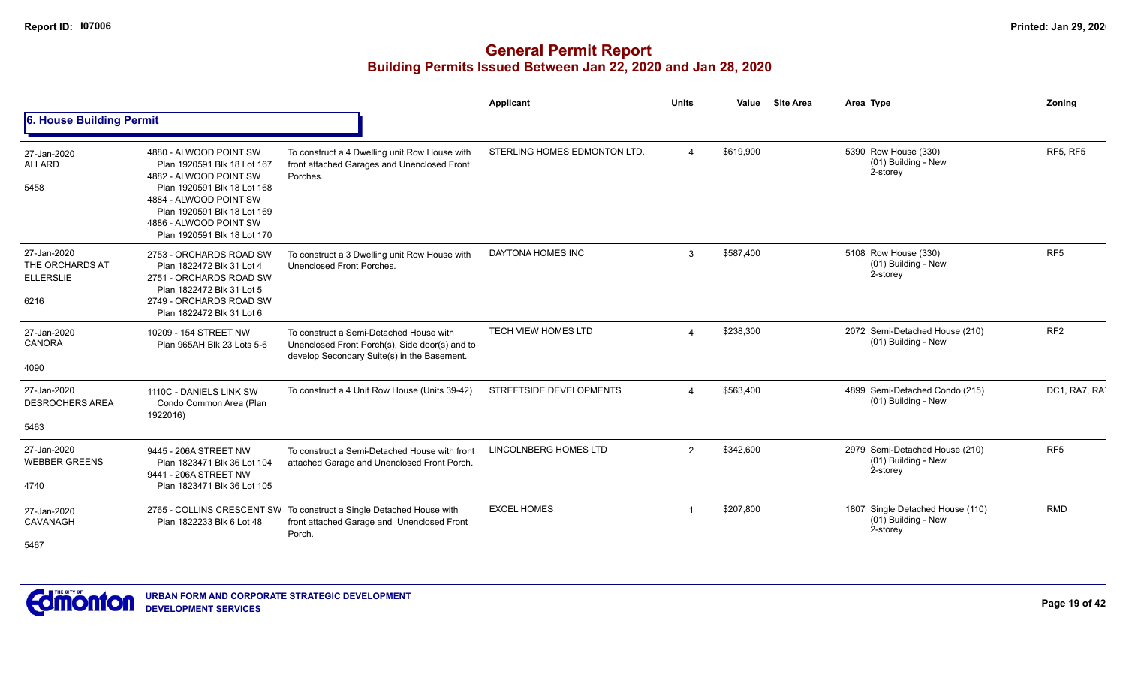|                                                            |                                                                                                                                                                                                                                  |                                                                                                                                          | <b>Applicant</b>               | <b>Units</b>  | Value     | <b>Site Area</b> | Area Type                                                             | Zoning          |
|------------------------------------------------------------|----------------------------------------------------------------------------------------------------------------------------------------------------------------------------------------------------------------------------------|------------------------------------------------------------------------------------------------------------------------------------------|--------------------------------|---------------|-----------|------------------|-----------------------------------------------------------------------|-----------------|
| 6. House Building Permit                                   |                                                                                                                                                                                                                                  |                                                                                                                                          |                                |               |           |                  |                                                                       |                 |
| 27-Jan-2020<br><b>ALLARD</b><br>5458                       | 4880 - ALWOOD POINT SW<br>Plan 1920591 Blk 18 Lot 167<br>4882 - ALWOOD POINT SW<br>Plan 1920591 Blk 18 Lot 168<br>4884 - ALWOOD POINT SW<br>Plan 1920591 Blk 18 Lot 169<br>4886 - ALWOOD POINT SW<br>Plan 1920591 Blk 18 Lot 170 | To construct a 4 Dwelling unit Row House with<br>front attached Garages and Unenclosed Front<br>Porches.                                 | STERLING HOMES EDMONTON LTD.   |               | \$619,900 |                  | 5390 Row House (330)<br>(01) Building - New<br>2-storey               | RF5, RF5        |
| 27-Jan-2020<br>THE ORCHARDS AT<br><b>ELLERSLIE</b><br>6216 | 2753 - ORCHARDS ROAD SW<br>Plan 1822472 Blk 31 Lot 4<br>2751 - ORCHARDS ROAD SW<br>Plan 1822472 Blk 31 Lot 5<br>2749 - ORCHARDS ROAD SW<br>Plan 1822472 Blk 31 Lot 6                                                             | To construct a 3 Dwelling unit Row House with<br>Unenclosed Front Porches.                                                               | DAYTONA HOMES INC              | 3             | \$587,400 |                  | 5108 Row House (330)<br>(01) Building - New<br>2-storey               | RF <sub>5</sub> |
| 27-Jan-2020<br><b>CANORA</b><br>4090                       | 10209 - 154 STREET NW<br>Plan 965AH Blk 23 Lots 5-6                                                                                                                                                                              | To construct a Semi-Detached House with<br>Unenclosed Front Porch(s), Side door(s) and to<br>develop Secondary Suite(s) in the Basement. | <b>TECH VIEW HOMES LTD</b>     |               | \$238,300 |                  | 2072 Semi-Detached House (210)<br>(01) Building - New                 | RF <sub>2</sub> |
| 27-Jan-2020<br><b>DESROCHERS AREA</b><br>5463              | 1110C - DANIELS LINK SW<br>Condo Common Area (Plan<br>1922016)                                                                                                                                                                   | To construct a 4 Unit Row House (Units 39-42)                                                                                            | <b>STREETSIDE DEVELOPMENTS</b> |               | \$563,400 |                  | 4899 Semi-Detached Condo (215)<br>(01) Building - New                 | DC1, RA7, RA7   |
| 27-Jan-2020<br><b>WEBBER GREENS</b><br>4740                | 9445 - 206A STREET NW<br>Plan 1823471 Blk 36 Lot 104<br>9441 - 206A STREET NW<br>Plan 1823471 Blk 36 Lot 105                                                                                                                     | To construct a Semi-Detached House with front<br>attached Garage and Unenclosed Front Porch.                                             | <b>LINCOLNBERG HOMES LTD</b>   | $\mathcal{P}$ | \$342,600 |                  | 2979 Semi-Detached House (210)<br>(01) Building - New<br>2-storey     | RF <sub>5</sub> |
| 27-Jan-2020<br>CAVANAGH<br>5467                            | Plan 1822233 Blk 6 Lot 48                                                                                                                                                                                                        | 2765 - COLLINS CRESCENT SW To construct a Single Detached House with<br>front attached Garage and Unenclosed Front<br>Porch.             | <b>EXCEL HOMES</b>             |               | \$207,800 |                  | 1807 Single Detached House (110)<br>$(01)$ Building - New<br>2-storey | <b>RMD</b>      |

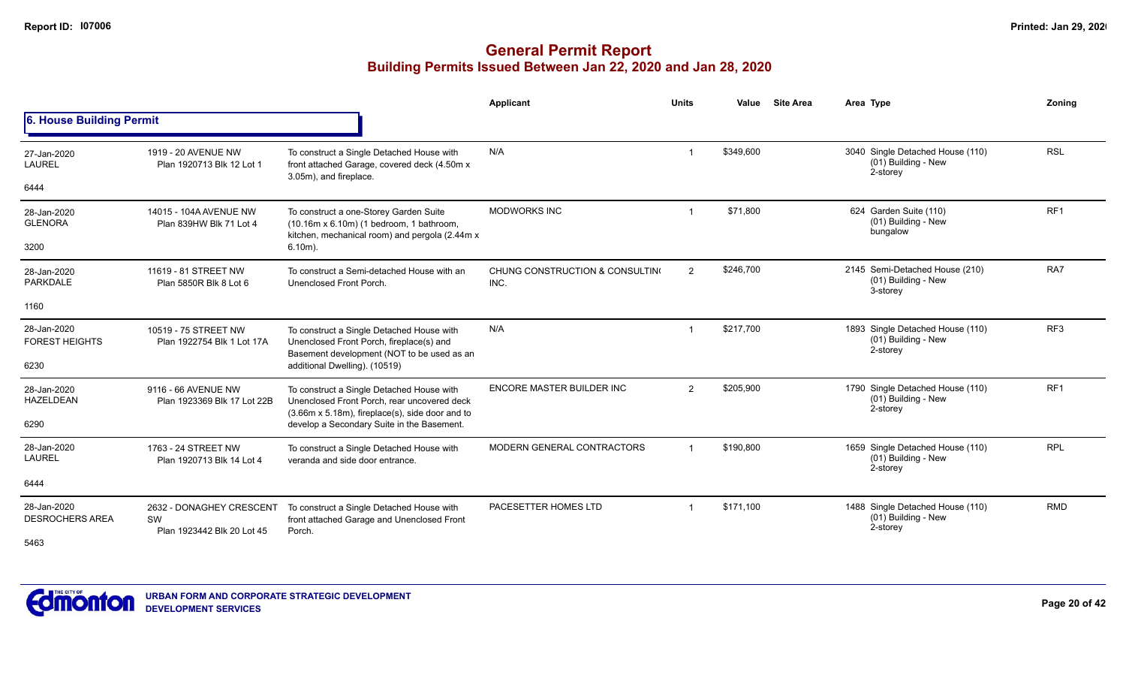|                                       |                                                              |                                                                                                                                             | <b>Applicant</b>                        | <b>Units</b> | Value     | <b>Site Area</b> | Area Type                                                           | Zonina          |
|---------------------------------------|--------------------------------------------------------------|---------------------------------------------------------------------------------------------------------------------------------------------|-----------------------------------------|--------------|-----------|------------------|---------------------------------------------------------------------|-----------------|
| 6. House Building Permit              |                                                              |                                                                                                                                             |                                         |              |           |                  |                                                                     |                 |
| 27-Jan-2020<br>LAUREL                 | 1919 - 20 AVENUE NW<br>Plan 1920713 Blk 12 Lot 1             | To construct a Single Detached House with<br>front attached Garage, covered deck (4.50m x<br>3.05m), and fireplace.                         | N/A                                     |              | \$349,600 |                  | 3040 Single Detached House (110)<br>(01) Building - New<br>2-storey | <b>RSL</b>      |
| 6444                                  |                                                              |                                                                                                                                             |                                         |              |           |                  |                                                                     |                 |
| 28-Jan-2020<br><b>GLENORA</b>         | 14015 - 104A AVENUE NW<br>Plan 839HW Blk 71 Lot 4            | To construct a one-Storey Garden Suite<br>(10.16m x 6.10m) (1 bedroom, 1 bathroom,<br>kitchen, mechanical room) and pergola (2.44m x        | <b>MODWORKS INC</b>                     |              | \$71,800  |                  | 624 Garden Suite (110)<br>(01) Building - New<br>bungalow           | RF <sub>1</sub> |
| 3200                                  |                                                              | $6.10m$ ).                                                                                                                                  |                                         |              |           |                  |                                                                     |                 |
| 28-Jan-2020<br>PARKDALE               | 11619 - 81 STREET NW<br>Plan 5850R Blk 8 Lot 6               | To construct a Semi-detached House with an<br>Unenclosed Front Porch.                                                                       | CHUNG CONSTRUCTION & CONSULTING<br>INC. | 2            | \$246,700 |                  | 2145 Semi-Detached House (210)<br>(01) Building - New<br>3-storey   | RA7             |
| 1160                                  |                                                              |                                                                                                                                             |                                         |              |           |                  |                                                                     |                 |
| 28-Jan-2020<br><b>FOREST HEIGHTS</b>  | 10519 - 75 STREET NW<br>Plan 1922754 Blk 1 Lot 17A           | To construct a Single Detached House with<br>Unenclosed Front Porch, fireplace(s) and<br>Basement development (NOT to be used as an         | N/A                                     |              | \$217,700 |                  | 1893 Single Detached House (110)<br>(01) Building - New<br>2-storey | RF <sub>3</sub> |
| 6230                                  |                                                              | additional Dwelling). (10519)                                                                                                               |                                         |              |           |                  |                                                                     |                 |
| 28-Jan-2020<br><b>HAZELDEAN</b>       | 9116 - 66 AVENUE NW<br>Plan 1923369 Blk 17 Lot 22B           | To construct a Single Detached House with<br>Unenclosed Front Porch, rear uncovered deck<br>(3.66m x 5.18m), fireplace(s), side door and to | <b>ENCORE MASTER BUILDER INC</b>        | 2            | \$205,900 |                  | 1790 Single Detached House (110)<br>(01) Building - New<br>2-storey | RF <sub>1</sub> |
| 6290                                  |                                                              | develop a Secondary Suite in the Basement.                                                                                                  |                                         |              |           |                  |                                                                     |                 |
| 28-Jan-2020<br><b>LAUREL</b>          | 1763 - 24 STREET NW<br>Plan 1920713 Blk 14 Lot 4             | To construct a Single Detached House with<br>veranda and side door entrance.                                                                | MODERN GENERAL CONTRACTORS              |              | \$190,800 |                  | 1659 Single Detached House (110)<br>(01) Building - New<br>2-storey | <b>RPL</b>      |
| 6444                                  |                                                              |                                                                                                                                             |                                         |              |           |                  |                                                                     |                 |
| 28-Jan-2020<br><b>DESROCHERS AREA</b> | 2632 - DONAGHEY CRESCENT<br>SW<br>Plan 1923442 Blk 20 Lot 45 | To construct a Single Detached House with<br>front attached Garage and Unenclosed Front<br>Porch.                                           | PACESETTER HOMES LTD                    | -1           | \$171,100 |                  | 1488 Single Detached House (110)<br>(01) Building - New<br>2-storey | <b>RMD</b>      |
| 5463                                  |                                                              |                                                                                                                                             |                                         |              |           |                  |                                                                     |                 |

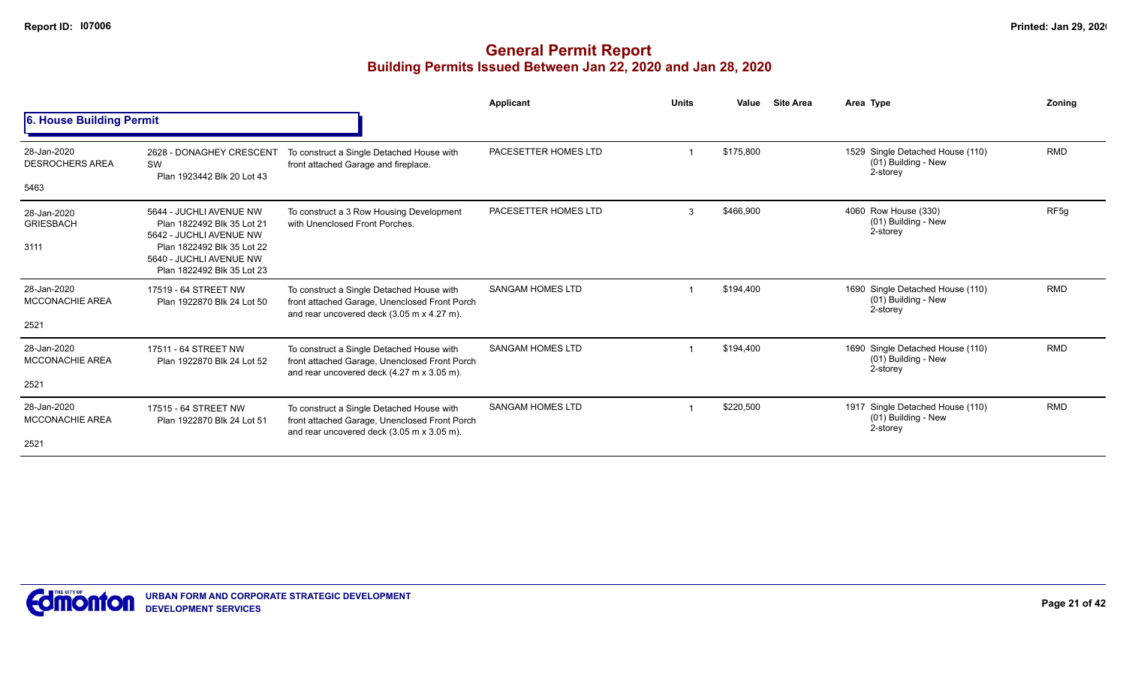|                                               |                                                                                                                                                                         |                                                                                                                                          | Applicant               | <b>Units</b> | Value     | <b>Site Area</b> | Area Type                                                           | Zonina           |
|-----------------------------------------------|-------------------------------------------------------------------------------------------------------------------------------------------------------------------------|------------------------------------------------------------------------------------------------------------------------------------------|-------------------------|--------------|-----------|------------------|---------------------------------------------------------------------|------------------|
| 6. House Building Permit                      |                                                                                                                                                                         |                                                                                                                                          |                         |              |           |                  |                                                                     |                  |
| 28-Jan-2020<br><b>DESROCHERS AREA</b><br>5463 | 2628 - DONAGHEY CRESCENT<br>SW<br>Plan 1923442 Blk 20 Lot 43                                                                                                            | To construct a Single Detached House with<br>front attached Garage and fireplace.                                                        | PACESETTER HOMES LTD    |              | \$175,800 |                  | 1529 Single Detached House (110)<br>(01) Building - New<br>2-storey | <b>RMD</b>       |
| 28-Jan-2020<br><b>GRIESBACH</b><br>3111       | 5644 - JUCHLI AVENUE NW<br>Plan 1822492 Blk 35 Lot 21<br>5642 - JUCHLI AVENUE NW<br>Plan 1822492 Blk 35 Lot 22<br>5640 - JUCHLI AVENUE NW<br>Plan 1822492 Blk 35 Lot 23 | To construct a 3 Row Housing Development<br>with Unenclosed Front Porches.                                                               | PACESETTER HOMES LTD    | 3            | \$466,900 |                  | 4060 Row House (330)<br>(01) Building - New<br>2-storey             | RF <sub>5q</sub> |
| 28-Jan-2020<br><b>MCCONACHIE AREA</b><br>2521 | 17519 - 64 STREET NW<br>Plan 1922870 Blk 24 Lot 50                                                                                                                      | To construct a Single Detached House with<br>front attached Garage, Unenclosed Front Porch<br>and rear uncovered deck (3.05 m x 4.27 m). | <b>SANGAM HOMES LTD</b> |              | \$194,400 |                  | 1690 Single Detached House (110)<br>(01) Building - New<br>2-storey | <b>RMD</b>       |
| 28-Jan-2020<br><b>MCCONACHIE AREA</b><br>2521 | 17511 - 64 STREET NW<br>Plan 1922870 Blk 24 Lot 52                                                                                                                      | To construct a Single Detached House with<br>front attached Garage, Unenclosed Front Porch<br>and rear uncovered deck (4.27 m x 3.05 m). | <b>SANGAM HOMES LTD</b> |              | \$194.400 |                  | 1690 Single Detached House (110)<br>(01) Building - New<br>2-storey | <b>RMD</b>       |
| 28-Jan-2020<br><b>MCCONACHIE AREA</b><br>2521 | 17515 - 64 STREET NW<br>Plan 1922870 Blk 24 Lot 51                                                                                                                      | To construct a Single Detached House with<br>front attached Garage, Unenclosed Front Porch<br>and rear uncovered deck (3.05 m x 3.05 m). | <b>SANGAM HOMES LTD</b> |              | \$220,500 |                  | 1917 Single Detached House (110)<br>(01) Building - New<br>2-storey | <b>RMD</b>       |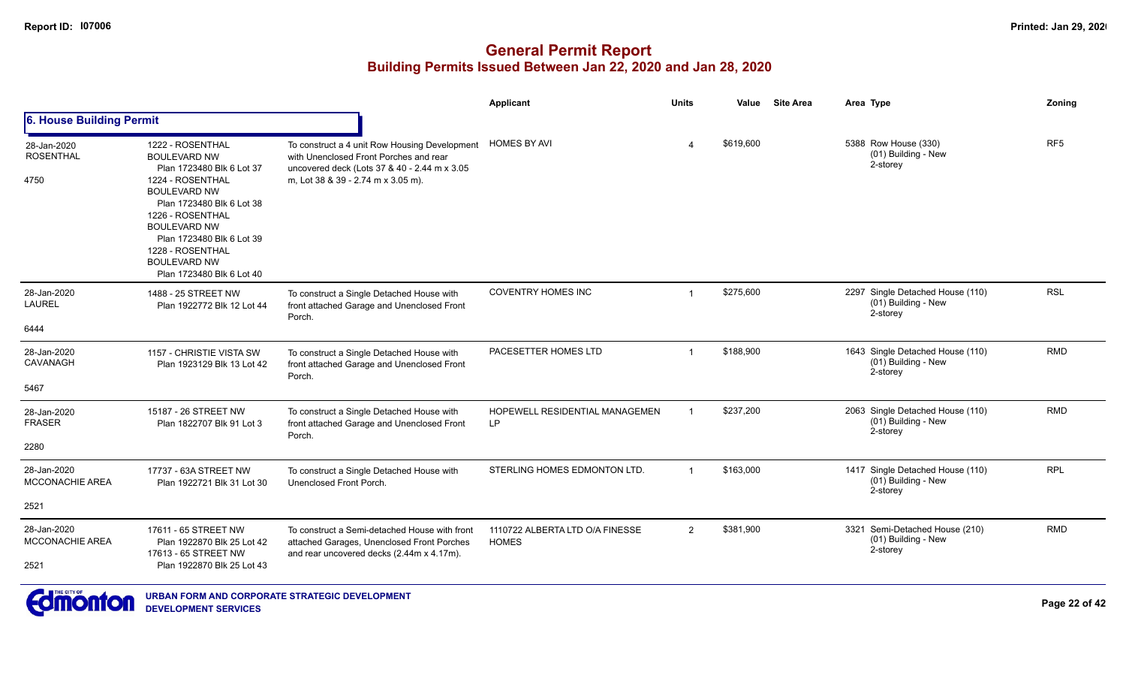|                                               |                                                                                                                                                                                                                                                                                              |                                                                                                                                                                               | <b>Applicant</b>                                | <b>Units</b>   | Value<br><b>Site Area</b> | Area Type                                                           | Zoning          |
|-----------------------------------------------|----------------------------------------------------------------------------------------------------------------------------------------------------------------------------------------------------------------------------------------------------------------------------------------------|-------------------------------------------------------------------------------------------------------------------------------------------------------------------------------|-------------------------------------------------|----------------|---------------------------|---------------------------------------------------------------------|-----------------|
| 6. House Building Permit                      |                                                                                                                                                                                                                                                                                              |                                                                                                                                                                               |                                                 |                |                           |                                                                     |                 |
| 28-Jan-2020<br><b>ROSENTHAL</b><br>4750       | 1222 - ROSENTHAL<br><b>BOULEVARD NW</b><br>Plan 1723480 Blk 6 Lot 37<br>1224 - ROSENTHAL<br><b>BOULEVARD NW</b><br>Plan 1723480 Blk 6 Lot 38<br>1226 - ROSENTHAL<br><b>BOULEVARD NW</b><br>Plan 1723480 Blk 6 Lot 39<br>1228 - ROSENTHAL<br><b>BOULEVARD NW</b><br>Plan 1723480 Blk 6 Lot 40 | To construct a 4 unit Row Housing Development<br>with Unenclosed Front Porches and rear<br>uncovered deck (Lots 37 & 40 - 2.44 m x 3.05<br>m, Lot 38 & 39 - 2.74 m x 3.05 m). | <b>HOMES BY AVI</b>                             |                | \$619,600                 | 5388 Row House (330)<br>(01) Building - New<br>2-storey             | RF <sub>5</sub> |
| 28-Jan-2020<br><b>LAUREL</b>                  | 1488 - 25 STREET NW<br>Plan 1922772 Blk 12 Lot 44                                                                                                                                                                                                                                            | To construct a Single Detached House with<br>front attached Garage and Unenclosed Front<br>Porch.                                                                             | <b>COVENTRY HOMES INC</b>                       | $\mathbf{1}$   | \$275,600                 | 2297 Single Detached House (110)<br>(01) Building - New<br>2-storey | <b>RSL</b>      |
| 6444                                          |                                                                                                                                                                                                                                                                                              |                                                                                                                                                                               |                                                 |                |                           |                                                                     |                 |
| 28-Jan-2020<br>CAVANAGH<br>5467               | 1157 - CHRISTIE VISTA SW<br>Plan 1923129 Blk 13 Lot 42                                                                                                                                                                                                                                       | To construct a Single Detached House with<br>front attached Garage and Unenclosed Front<br>Porch.                                                                             | PACESETTER HOMES LTD                            | $\mathbf 1$    | \$188,900                 | 1643 Single Detached House (110)<br>(01) Building - New<br>2-storey | <b>RMD</b>      |
| 28-Jan-2020<br><b>FRASER</b><br>2280          | 15187 - 26 STREET NW<br>Plan 1822707 Blk 91 Lot 3                                                                                                                                                                                                                                            | To construct a Single Detached House with<br>front attached Garage and Unenclosed Front<br>Porch.                                                                             | HOPEWELL RESIDENTIAL MANAGEMEN<br><b>LP</b>     |                | \$237,200                 | 2063 Single Detached House (110)<br>(01) Building - New<br>2-storey | <b>RMD</b>      |
| 28-Jan-2020<br><b>MCCONACHIE AREA</b>         | 17737 - 63A STREET NW<br>Plan 1922721 Blk 31 Lot 30                                                                                                                                                                                                                                          | To construct a Single Detached House with<br>Unenclosed Front Porch.                                                                                                          | STERLING HOMES EDMONTON LTD.                    | $\mathbf{1}$   | \$163,000                 | 1417 Single Detached House (110)<br>(01) Building - New<br>2-storey | <b>RPL</b>      |
| 2521                                          |                                                                                                                                                                                                                                                                                              |                                                                                                                                                                               |                                                 |                |                           |                                                                     |                 |
| 28-Jan-2020<br><b>MCCONACHIE AREA</b><br>2521 | 17611 - 65 STREET NW<br>Plan 1922870 Blk 25 Lot 42<br>17613 - 65 STREET NW<br>Plan 1922870 Blk 25 Lot 43                                                                                                                                                                                     | To construct a Semi-detached House with front<br>attached Garages, Unenclosed Front Porches<br>and rear uncovered decks (2.44m x 4.17m).                                      | 1110722 ALBERTA LTD O/A FINESSE<br><b>HOMES</b> | $\overline{2}$ | \$381,900                 | 3321 Semi-Detached House (210)<br>(01) Building - New<br>2-storey   | <b>RMD</b>      |

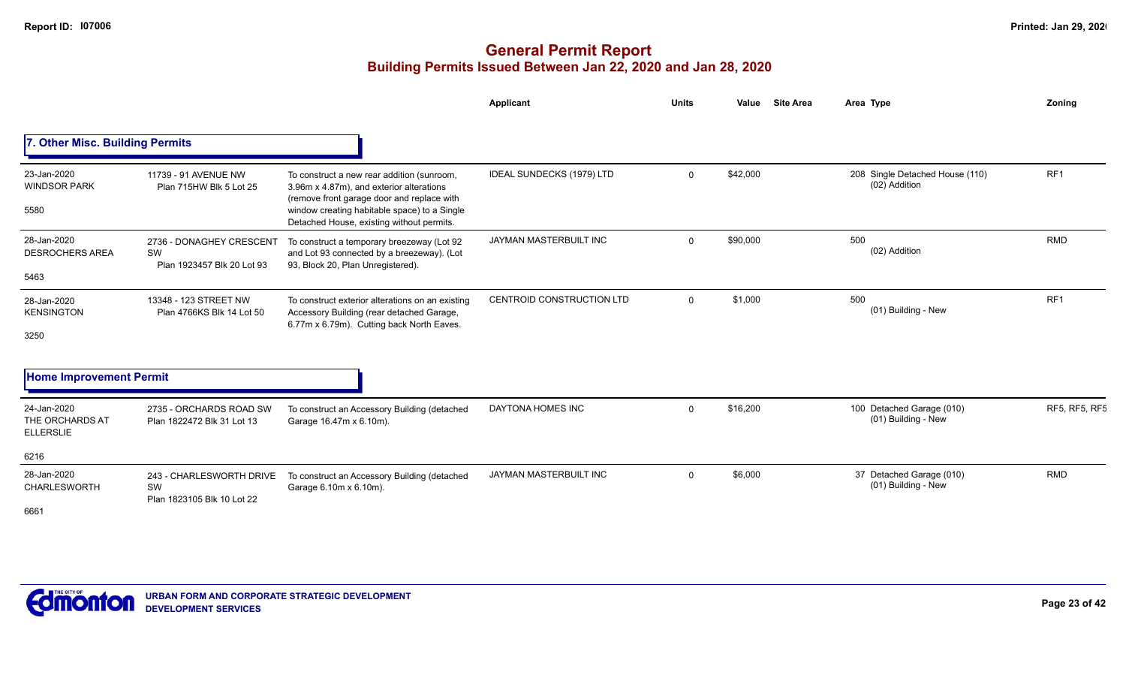|                                                    |                                                              |                                                                                                                                                                                                                                   | Applicant                        | <b>Units</b> | Value<br><b>Site Area</b> | Area Type                                        | Zoning               |
|----------------------------------------------------|--------------------------------------------------------------|-----------------------------------------------------------------------------------------------------------------------------------------------------------------------------------------------------------------------------------|----------------------------------|--------------|---------------------------|--------------------------------------------------|----------------------|
| 7. Other Misc. Building Permits                    |                                                              |                                                                                                                                                                                                                                   |                                  |              |                           |                                                  |                      |
| 23-Jan-2020<br><b>WINDSOR PARK</b><br>5580         | 11739 - 91 AVENUE NW<br>Plan 715HW Blk 5 Lot 25              | To construct a new rear addition (sunroom,<br>3.96m x 4.87m), and exterior alterations<br>(remove front garage door and replace with<br>window creating habitable space) to a Single<br>Detached House, existing without permits. | IDEAL SUNDECKS (1979) LTD        | $\Omega$     | \$42,000                  | 208 Single Detached House (110)<br>(02) Addition | RF <sub>1</sub>      |
| 28-Jan-2020<br><b>DESROCHERS AREA</b><br>5463      | 2736 - DONAGHEY CRESCENT<br>SW<br>Plan 1923457 Blk 20 Lot 93 | To construct a temporary breezeway (Lot 92<br>and Lot 93 connected by a breezeway). (Lot<br>93, Block 20, Plan Unregistered).                                                                                                     | JAYMAN MASTERBUILT INC           | $\Omega$     | \$90,000                  | 500<br>(02) Addition                             | RMD                  |
| 28-Jan-2020<br><b>KENSINGTON</b><br>3250           | 13348 - 123 STREET NW<br>Plan 4766KS Blk 14 Lot 50           | To construct exterior alterations on an existing<br>Accessory Building (rear detached Garage,<br>6.77m x 6.79m). Cutting back North Eaves.                                                                                        | <b>CENTROID CONSTRUCTION LTD</b> | $\Omega$     | \$1,000                   | 500<br>(01) Building - New                       | RF1                  |
| <b>Home Improvement Permit</b>                     |                                                              |                                                                                                                                                                                                                                   |                                  |              |                           |                                                  |                      |
| 24-Jan-2020<br>THE ORCHARDS AT<br><b>ELLERSLIE</b> | 2735 - ORCHARDS ROAD SW<br>Plan 1822472 Blk 31 Lot 13        | To construct an Accessory Building (detached<br>Garage 16.47m x 6.10m).                                                                                                                                                           | DAYTONA HOMES INC                | $\Omega$     | \$16,200                  | 100 Detached Garage (010)<br>(01) Building - New | <b>RF5, RF5, RF5</b> |
| 6216                                               |                                                              |                                                                                                                                                                                                                                   |                                  |              |                           |                                                  |                      |
| 28-Jan-2020<br><b>CHARLESWORTH</b><br>6661         | 243 - CHARLESWORTH DRIVE<br>SW<br>Plan 1823105 Blk 10 Lot 22 | To construct an Accessory Building (detached<br>Garage 6.10m x 6.10m).                                                                                                                                                            | JAYMAN MASTERBUILT INC           | $\Omega$     | \$6,000                   | 37 Detached Garage (010)<br>(01) Building - New  | <b>RMD</b>           |
|                                                    |                                                              |                                                                                                                                                                                                                                   |                                  |              |                           |                                                  |                      |

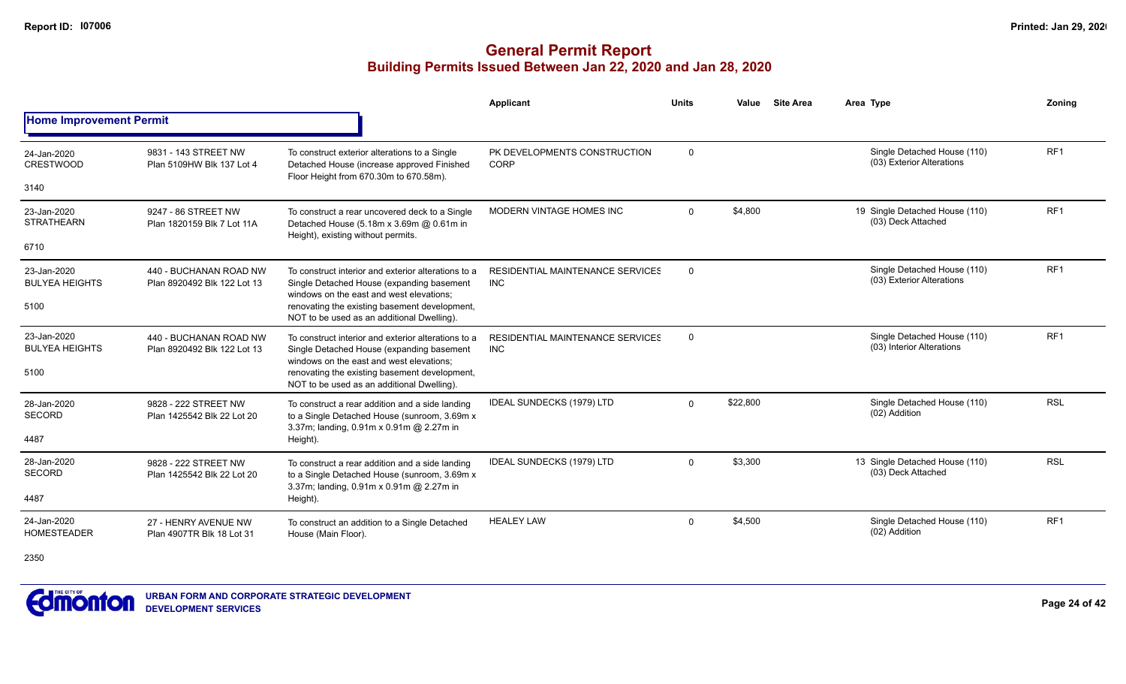|                                      |                                                       |                                                                                                                                              | Applicant                                             | <b>Units</b> | Value    | <b>Site Area</b> | Area Type                                                | Zonina          |
|--------------------------------------|-------------------------------------------------------|----------------------------------------------------------------------------------------------------------------------------------------------|-------------------------------------------------------|--------------|----------|------------------|----------------------------------------------------------|-----------------|
| <b>Home Improvement Permit</b>       |                                                       |                                                                                                                                              |                                                       |              |          |                  |                                                          |                 |
| 24-Jan-2020<br><b>CRESTWOOD</b>      | 9831 - 143 STREET NW<br>Plan 5109HW Blk 137 Lot 4     | To construct exterior alterations to a Single<br>Detached House (increase approved Finished<br>Floor Height from 670.30m to 670.58m).        | PK DEVELOPMENTS CONSTRUCTION<br>CORP                  | 0            |          |                  | Single Detached House (110)<br>(03) Exterior Alterations | RF1             |
| 3140                                 |                                                       |                                                                                                                                              |                                                       |              |          |                  |                                                          |                 |
| 23-Jan-2020<br><b>STRATHEARN</b>     | 9247 - 86 STREET NW<br>Plan 1820159 Blk 7 Lot 11A     | To construct a rear uncovered deck to a Single<br>Detached House (5.18m x 3.69m @ 0.61m in                                                   | MODERN VINTAGE HOMES INC                              | $\Omega$     | \$4,800  |                  | 19 Single Detached House (110)<br>(03) Deck Attached     | RF <sub>1</sub> |
| 6710                                 |                                                       | Height), existing without permits.                                                                                                           |                                                       |              |          |                  |                                                          |                 |
| 23-Jan-2020<br><b>BULYEA HEIGHTS</b> | 440 - BUCHANAN ROAD NW<br>Plan 8920492 Blk 122 Lot 13 | To construct interior and exterior alterations to a<br>Single Detached House (expanding basement                                             | <b>RESIDENTIAL MAINTENANCE SERVICES</b><br><b>INC</b> | $\mathbf 0$  |          |                  | Single Detached House (110)<br>(03) Exterior Alterations | RF <sub>1</sub> |
| 5100                                 |                                                       | windows on the east and west elevations:<br>renovating the existing basement development,<br>NOT to be used as an additional Dwelling).      |                                                       |              |          |                  | Single Detached House (110)                              |                 |
| 23-Jan-2020<br><b>BULYEA HEIGHTS</b> | 440 - BUCHANAN ROAD NW<br>Plan 8920492 Blk 122 Lot 13 | To construct interior and exterior alterations to a<br>Single Detached House (expanding basement<br>windows on the east and west elevations; | <b>RESIDENTIAL MAINTENANCE SERVICES</b><br><b>INC</b> | $\mathbf 0$  |          |                  | (03) Interior Alterations                                | RF <sub>1</sub> |
| 5100                                 |                                                       | renovating the existing basement development,<br>NOT to be used as an additional Dwelling).                                                  |                                                       |              |          |                  |                                                          |                 |
| 28-Jan-2020<br>SECORD                | 9828 - 222 STREET NW<br>Plan 1425542 Blk 22 Lot 20    | To construct a rear addition and a side landing<br>to a Single Detached House (sunroom, 3.69m x                                              | IDEAL SUNDECKS (1979) LTD                             | $\Omega$     | \$22,800 |                  | Single Detached House (110)<br>(02) Addition             | <b>RSL</b>      |
| 4487                                 |                                                       | 3.37m; landing, 0.91m x 0.91m @ 2.27m in<br>Height).                                                                                         |                                                       |              |          |                  |                                                          |                 |
| 28-Jan-2020<br>SECORD                | 9828 - 222 STREET NW<br>Plan 1425542 Blk 22 Lot 20    | To construct a rear addition and a side landing<br>to a Single Detached House (sunroom, 3.69m x                                              | <b>IDEAL SUNDECKS (1979) LTD</b>                      | $\Omega$     | \$3,300  |                  | 13 Single Detached House (110)<br>(03) Deck Attached     | <b>RSL</b>      |
| 4487                                 |                                                       | 3.37m; landing, 0.91m x 0.91m @ 2.27m in<br>Height).                                                                                         |                                                       |              |          |                  |                                                          |                 |
| 24-Jan-2020<br><b>HOMESTEADER</b>    | 27 - HENRY AVENUE NW<br>Plan 4907TR Blk 18 Lot 31     | To construct an addition to a Single Detached<br>House (Main Floor).                                                                         | <b>HEALEY LAW</b>                                     | $\mathbf{0}$ | \$4,500  |                  | Single Detached House (110)<br>(02) Addition             | RF <sub>1</sub> |
| 2350                                 |                                                       |                                                                                                                                              |                                                       |              |          |                  |                                                          |                 |

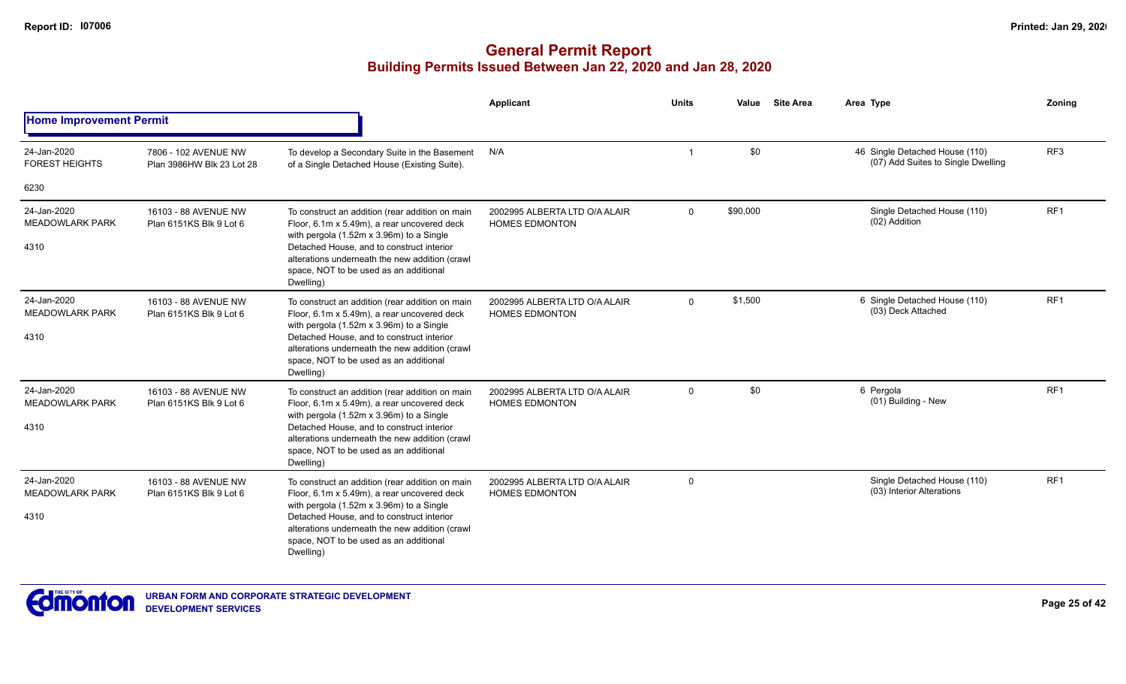|                                               |                                                   |                                                                                                                                                                                                                                                                                                  | <b>Applicant</b>                                       | <b>Units</b> | Value    | <b>Site Area</b> | Area Type                                                            | Zoning          |
|-----------------------------------------------|---------------------------------------------------|--------------------------------------------------------------------------------------------------------------------------------------------------------------------------------------------------------------------------------------------------------------------------------------------------|--------------------------------------------------------|--------------|----------|------------------|----------------------------------------------------------------------|-----------------|
| <b>Home Improvement Permit</b>                |                                                   |                                                                                                                                                                                                                                                                                                  |                                                        |              |          |                  |                                                                      |                 |
| 24-Jan-2020<br><b>FOREST HEIGHTS</b>          | 7806 - 102 AVENUE NW<br>Plan 3986HW Blk 23 Lot 28 | To develop a Secondary Suite in the Basement<br>of a Single Detached House (Existing Suite).                                                                                                                                                                                                     | N/A                                                    |              | \$0      |                  | 46 Single Detached House (110)<br>(07) Add Suites to Single Dwelling | RF <sub>3</sub> |
| 6230                                          |                                                   |                                                                                                                                                                                                                                                                                                  |                                                        |              |          |                  |                                                                      |                 |
| 24-Jan-2020<br><b>MEADOWLARK PARK</b><br>4310 | 16103 - 88 AVENUE NW<br>Plan 6151KS Blk 9 Lot 6   | To construct an addition (rear addition on main<br>Floor, 6.1m x 5.49m), a rear uncovered deck<br>with pergola (1.52m x 3.96m) to a Single<br>Detached House, and to construct interior<br>alterations underneath the new addition (crawl<br>space, NOT to be used as an additional<br>Dwelling) | 2002995 ALBERTA LTD O/A ALAIR<br><b>HOMES EDMONTON</b> | $\Omega$     | \$90,000 |                  | Single Detached House (110)<br>(02) Addition                         | RF <sub>1</sub> |
| 24-Jan-2020<br><b>MEADOWLARK PARK</b><br>4310 | 16103 - 88 AVENUE NW<br>Plan 6151KS Blk 9 Lot 6   | To construct an addition (rear addition on main<br>Floor, 6.1m x 5.49m), a rear uncovered deck<br>with pergola (1.52m x 3.96m) to a Single<br>Detached House, and to construct interior<br>alterations underneath the new addition (crawl<br>space, NOT to be used as an additional<br>Dwelling) | 2002995 ALBERTA LTD O/A ALAIR<br><b>HOMES EDMONTON</b> | $\Omega$     | \$1,500  |                  | 6 Single Detached House (110)<br>(03) Deck Attached                  | RF <sub>1</sub> |
| 24-Jan-2020<br><b>MEADOWLARK PARK</b><br>4310 | 16103 - 88 AVENUE NW<br>Plan 6151KS Blk 9 Lot 6   | To construct an addition (rear addition on main<br>Floor, 6.1m x 5.49m), a rear uncovered deck<br>with pergola (1.52m x 3.96m) to a Single<br>Detached House, and to construct interior<br>alterations underneath the new addition (crawl<br>space, NOT to be used as an additional<br>Dwelling) | 2002995 ALBERTA LTD O/A ALAIR<br><b>HOMES EDMONTON</b> | $\mathbf 0$  | \$0      |                  | 6 Pergola<br>(01) Building - New                                     | RF <sub>1</sub> |
| 24-Jan-2020<br><b>MEADOWLARK PARK</b><br>4310 | 16103 - 88 AVENUE NW<br>Plan 6151KS Blk 9 Lot 6   | To construct an addition (rear addition on main<br>Floor, 6.1m x 5.49m), a rear uncovered deck<br>with pergola (1.52m x 3.96m) to a Single<br>Detached House, and to construct interior<br>alterations underneath the new addition (crawl<br>space, NOT to be used as an additional<br>Dwelling) | 2002995 ALBERTA LTD O/A ALAIR<br><b>HOMES EDMONTON</b> | $\Omega$     |          |                  | Single Detached House (110)<br>(03) Interior Alterations             | RF <sub>1</sub> |

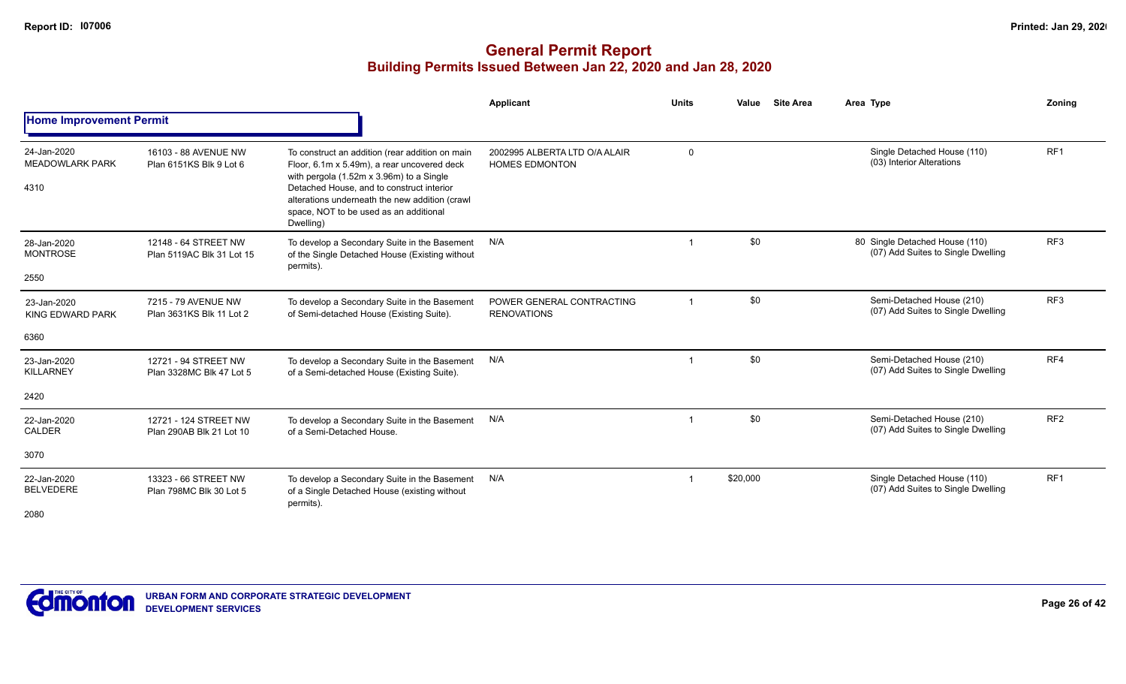|                                               |                                                   |                                                                                                                                                                                                                                                                                                  | <b>Applicant</b>                                       | <b>Units</b> | <b>Site Area</b><br>Value | Area Type                                                            | Zonina          |
|-----------------------------------------------|---------------------------------------------------|--------------------------------------------------------------------------------------------------------------------------------------------------------------------------------------------------------------------------------------------------------------------------------------------------|--------------------------------------------------------|--------------|---------------------------|----------------------------------------------------------------------|-----------------|
| <b>Home Improvement Permit</b>                |                                                   |                                                                                                                                                                                                                                                                                                  |                                                        |              |                           |                                                                      |                 |
| 24-Jan-2020<br><b>MEADOWLARK PARK</b><br>4310 | 16103 - 88 AVENUE NW<br>Plan 6151KS Blk 9 Lot 6   | To construct an addition (rear addition on main<br>Floor, 6.1m x 5.49m), a rear uncovered deck<br>with pergola (1.52m x 3.96m) to a Single<br>Detached House, and to construct interior<br>alterations underneath the new addition (crawl<br>space, NOT to be used as an additional<br>Dwelling) | 2002995 ALBERTA LTD O/A ALAIR<br><b>HOMES EDMONTON</b> | $\mathbf 0$  |                           | Single Detached House (110)<br>(03) Interior Alterations             | RF <sub>1</sub> |
| 28-Jan-2020<br><b>MONTROSE</b><br>2550        | 12148 - 64 STREET NW<br>Plan 5119AC Blk 31 Lot 15 | To develop a Secondary Suite in the Basement<br>of the Single Detached House (Existing without<br>permits).                                                                                                                                                                                      | N/A                                                    |              | \$0                       | 80 Single Detached House (110)<br>(07) Add Suites to Single Dwelling | RF3             |
| 23-Jan-2020<br>KING EDWARD PARK<br>6360       | 7215 - 79 AVENUE NW<br>Plan 3631KS Blk 11 Lot 2   | To develop a Secondary Suite in the Basement<br>of Semi-detached House (Existing Suite).                                                                                                                                                                                                         | POWER GENERAL CONTRACTING<br><b>RENOVATIONS</b>        |              | \$0                       | Semi-Detached House (210)<br>(07) Add Suites to Single Dwelling      | RF <sub>3</sub> |
| 23-Jan-2020<br>KILLARNEY<br>2420              | 12721 - 94 STREET NW<br>Plan 3328MC Blk 47 Lot 5  | To develop a Secondary Suite in the Basement<br>of a Semi-detached House (Existing Suite).                                                                                                                                                                                                       | N/A                                                    |              | \$0                       | Semi-Detached House (210)<br>(07) Add Suites to Single Dwelling      | RF4             |
| 22-Jan-2020<br><b>CALDER</b><br>3070          | 12721 - 124 STREET NW<br>Plan 290AB Blk 21 Lot 10 | To develop a Secondary Suite in the Basement<br>of a Semi-Detached House.                                                                                                                                                                                                                        | N/A                                                    |              | \$0                       | Semi-Detached House (210)<br>(07) Add Suites to Single Dwelling      | RF <sub>2</sub> |
| 22-Jan-2020<br><b>BELVEDERE</b><br>2080       | 13323 - 66 STREET NW<br>Plan 798MC Blk 30 Lot 5   | To develop a Secondary Suite in the Basement<br>of a Single Detached House (existing without<br>permits).                                                                                                                                                                                        | N/A                                                    |              | \$20,000                  | Single Detached House (110)<br>(07) Add Suites to Single Dwelling    | RF <sub>1</sub> |

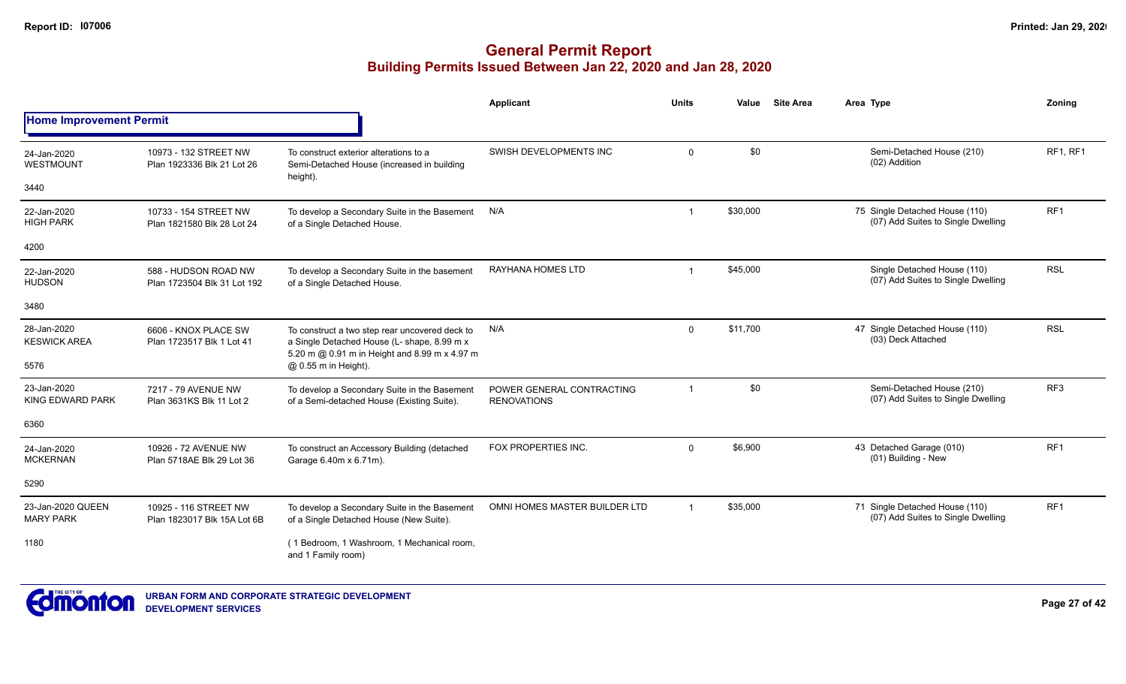|                                       |                                                      |                                                                                                                                                | Applicant                                       | <b>Units</b> | Value    | <b>Site Area</b> | Area Type                                                            | Zoning          |
|---------------------------------------|------------------------------------------------------|------------------------------------------------------------------------------------------------------------------------------------------------|-------------------------------------------------|--------------|----------|------------------|----------------------------------------------------------------------|-----------------|
| <b>Home Improvement Permit</b>        |                                                      |                                                                                                                                                |                                                 |              |          |                  |                                                                      |                 |
| 24-Jan-2020<br>WESTMOUNT              | 10973 - 132 STREET NW<br>Plan 1923336 Blk 21 Lot 26  | To construct exterior alterations to a<br>Semi-Detached House (increased in building                                                           | SWISH DEVELOPMENTS INC                          | $\Omega$     | \$0      |                  | Semi-Detached House (210)<br>(02) Addition                           | RF1, RF1        |
| 3440                                  |                                                      | height).                                                                                                                                       |                                                 |              |          |                  |                                                                      |                 |
| 22-Jan-2020<br><b>HIGH PARK</b>       | 10733 - 154 STREET NW<br>Plan 1821580 Blk 28 Lot 24  | To develop a Secondary Suite in the Basement<br>of a Single Detached House.                                                                    | N/A                                             | $\mathbf 1$  | \$30,000 |                  | 75 Single Detached House (110)<br>(07) Add Suites to Single Dwelling | RF1             |
| 4200                                  |                                                      |                                                                                                                                                |                                                 |              |          |                  |                                                                      |                 |
| 22-Jan-2020<br><b>HUDSON</b>          | 588 - HUDSON ROAD NW<br>Plan 1723504 Blk 31 Lot 192  | To develop a Secondary Suite in the basement<br>of a Single Detached House.                                                                    | RAYHANA HOMES LTD                               |              | \$45,000 |                  | Single Detached House (110)<br>(07) Add Suites to Single Dwelling    | <b>RSL</b>      |
| 3480                                  |                                                      |                                                                                                                                                |                                                 |              |          |                  |                                                                      |                 |
| 28-Jan-2020<br><b>KESWICK AREA</b>    | 6606 - KNOX PLACE SW<br>Plan 1723517 Blk 1 Lot 41    | To construct a two step rear uncovered deck to<br>a Single Detached House (L- shape, 8.99 m x<br>5.20 m @ 0.91 m in Height and 8.99 m x 4.97 m | N/A                                             | $\Omega$     | \$11,700 |                  | 47 Single Detached House (110)<br>(03) Deck Attached                 | <b>RSL</b>      |
| 5576                                  |                                                      | @ 0.55 m in Height).                                                                                                                           |                                                 |              |          |                  |                                                                      |                 |
| 23-Jan-2020<br>KING EDWARD PARK       | 7217 - 79 AVENUE NW<br>Plan 3631KS Blk 11 Lot 2      | To develop a Secondary Suite in the Basement<br>of a Semi-detached House (Existing Suite).                                                     | POWER GENERAL CONTRACTING<br><b>RENOVATIONS</b> | $\mathbf 1$  | \$0      |                  | Semi-Detached House (210)<br>(07) Add Suites to Single Dwelling      | RF <sub>3</sub> |
| 6360                                  |                                                      |                                                                                                                                                |                                                 |              |          |                  |                                                                      |                 |
| 24-Jan-2020<br><b>MCKERNAN</b>        | 10926 - 72 AVENUE NW<br>Plan 5718AE Blk 29 Lot 36    | To construct an Accessory Building (detached<br>Garage 6.40m x 6.71m).                                                                         | FOX PROPERTIES INC.                             | $\Omega$     | \$6,900  |                  | 43 Detached Garage (010)<br>(01) Building - New                      | RF <sub>1</sub> |
| 5290                                  |                                                      |                                                                                                                                                |                                                 |              |          |                  |                                                                      |                 |
| 23-Jan-2020 QUEEN<br><b>MARY PARK</b> | 10925 - 116 STREET NW<br>Plan 1823017 Blk 15A Lot 6B | To develop a Secondary Suite in the Basement<br>of a Single Detached House (New Suite).                                                        | OMNI HOMES MASTER BUILDER LTD                   |              | \$35,000 |                  | 71 Single Detached House (110)<br>(07) Add Suites to Single Dwelling | RF1             |
| 1180                                  |                                                      | (1 Bedroom, 1 Washroom, 1 Mechanical room,<br>and 1 Family room)                                                                               |                                                 |              |          |                  |                                                                      |                 |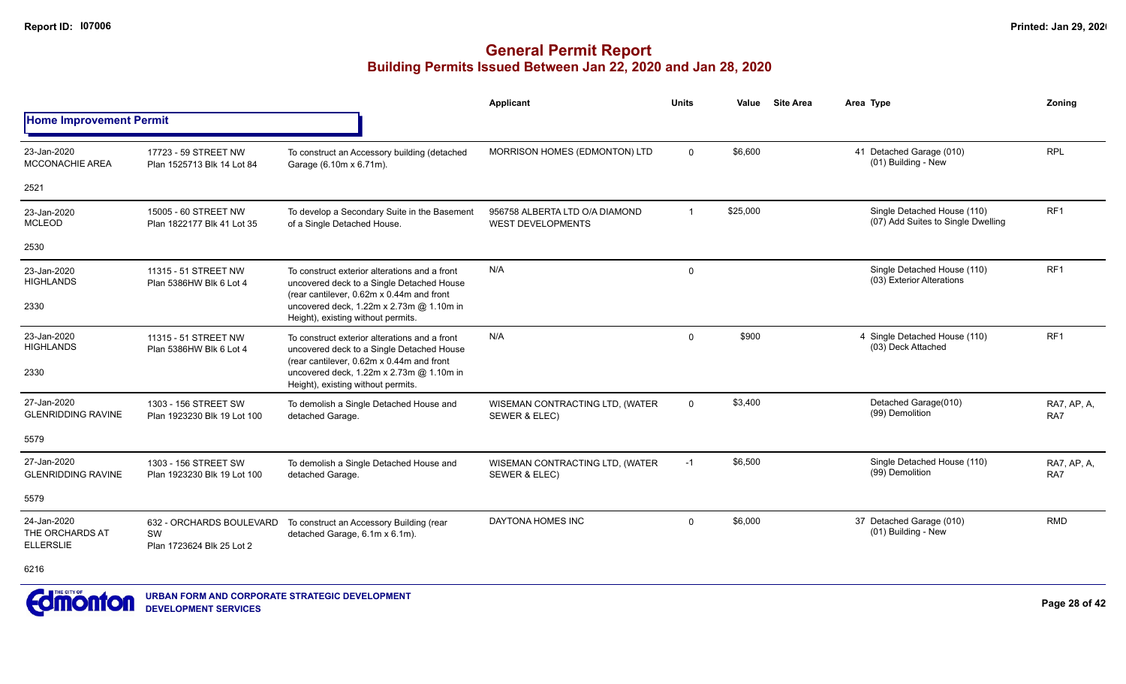|                                                    |                                                             |                                                                                                                                         | <b>Applicant</b>                                           | <b>Units</b>   | Value    | <b>Site Area</b> | Area Type                                                         | Zoning             |
|----------------------------------------------------|-------------------------------------------------------------|-----------------------------------------------------------------------------------------------------------------------------------------|------------------------------------------------------------|----------------|----------|------------------|-------------------------------------------------------------------|--------------------|
| <b>Home Improvement Permit</b>                     |                                                             |                                                                                                                                         |                                                            |                |          |                  |                                                                   |                    |
| 23-Jan-2020<br><b>MCCONACHIE AREA</b>              | 17723 - 59 STREET NW<br>Plan 1525713 Blk 14 Lot 84          | To construct an Accessory building (detached<br>Garage (6.10m x 6.71m).                                                                 | MORRISON HOMES (EDMONTON) LTD                              | $\overline{0}$ | \$6,600  |                  | 41 Detached Garage (010)<br>(01) Building - New                   | <b>RPL</b>         |
| 2521                                               |                                                             |                                                                                                                                         |                                                            |                |          |                  |                                                                   |                    |
| 23-Jan-2020<br><b>MCLEOD</b>                       | 15005 - 60 STREET NW<br>Plan 1822177 Blk 41 Lot 35          | To develop a Secondary Suite in the Basement<br>of a Single Detached House.                                                             | 956758 ALBERTA LTD O/A DIAMOND<br><b>WEST DEVELOPMENTS</b> | $\overline{1}$ | \$25,000 |                  | Single Detached House (110)<br>(07) Add Suites to Single Dwelling | RF <sub>1</sub>    |
| 2530                                               |                                                             |                                                                                                                                         |                                                            |                |          |                  |                                                                   |                    |
| 23-Jan-2020<br><b>HIGHLANDS</b>                    | 11315 - 51 STREET NW<br>Plan 5386HW Blk 6 Lot 4             | To construct exterior alterations and a front<br>uncovered deck to a Single Detached House<br>(rear cantilever, 0.62m x 0.44m and front | N/A                                                        | 0              |          |                  | Single Detached House (110)<br>(03) Exterior Alterations          | RF <sub>1</sub>    |
| 2330                                               |                                                             | uncovered deck, 1.22m x 2.73m @ 1.10m in<br>Height), existing without permits.                                                          |                                                            |                |          |                  |                                                                   |                    |
| 23-Jan-2020<br><b>HIGHLANDS</b>                    | 11315 - 51 STREET NW<br>Plan 5386HW Blk 6 Lot 4             | To construct exterior alterations and a front<br>uncovered deck to a Single Detached House<br>(rear cantilever, 0.62m x 0.44m and front | N/A                                                        | $\Omega$       | \$900    |                  | 4 Single Detached House (110)<br>(03) Deck Attached               | RF <sub>1</sub>    |
| 2330                                               |                                                             | uncovered deck, 1.22m x 2.73m @ 1.10m in<br>Height), existing without permits.                                                          |                                                            |                |          |                  |                                                                   |                    |
| 27-Jan-2020<br><b>GLENRIDDING RAVINE</b>           | 1303 - 156 STREET SW<br>Plan 1923230 Blk 19 Lot 100         | To demolish a Single Detached House and<br>detached Garage.                                                                             | WISEMAN CONTRACTING LTD, (WATER<br>SEWER & ELEC)           | $\mathbf{0}$   | \$3,400  |                  | Detached Garage(010)<br>(99) Demolition                           | RA7, AP, A,<br>RA7 |
| 5579                                               |                                                             |                                                                                                                                         |                                                            |                |          |                  |                                                                   |                    |
| 27-Jan-2020<br><b>GLENRIDDING RAVINE</b>           | 1303 - 156 STREET SW<br>Plan 1923230 Blk 19 Lot 100         | To demolish a Single Detached House and<br>detached Garage.                                                                             | WISEMAN CONTRACTING LTD, (WATER<br>SEWER & ELEC)           | $-1$           | \$6,500  |                  | Single Detached House (110)<br>(99) Demolition                    | RA7, AP, A.<br>RA7 |
| 5579                                               |                                                             |                                                                                                                                         |                                                            |                |          |                  |                                                                   |                    |
| 24-Jan-2020<br>THE ORCHARDS AT<br><b>ELLERSLIE</b> | 632 - ORCHARDS BOULEVARD<br>SW<br>Plan 1723624 Blk 25 Lot 2 | To construct an Accessory Building (rear<br>detached Garage, 6.1m x 6.1m).                                                              | DAYTONA HOMES INC                                          | $\mathbf{0}$   | \$6,000  |                  | 37 Detached Garage (010)<br>(01) Building - New                   | <b>RMD</b>         |
| 6216                                               |                                                             |                                                                                                                                         |                                                            |                |          |                  |                                                                   |                    |

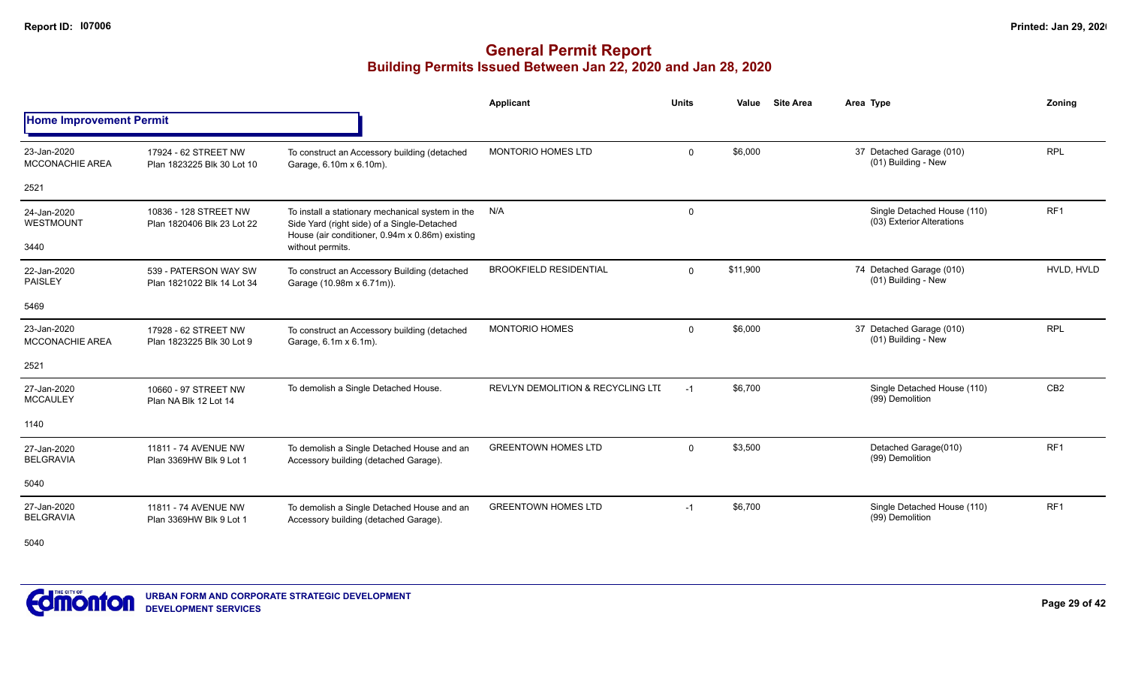# **General Permit Report Building Permits Issued Between Jan 22, 2020 and Jan 28, 2020**

|                                       |                                                     |                                                                                                                                                    | <b>Applicant</b>                             | <b>Units</b> | <b>Site Area</b><br>Value | Area Type                                                | Zonina          |
|---------------------------------------|-----------------------------------------------------|----------------------------------------------------------------------------------------------------------------------------------------------------|----------------------------------------------|--------------|---------------------------|----------------------------------------------------------|-----------------|
| <b>Home Improvement Permit</b>        |                                                     |                                                                                                                                                    |                                              |              |                           |                                                          |                 |
| 23-Jan-2020<br><b>MCCONACHIE AREA</b> | 17924 - 62 STREET NW<br>Plan 1823225 Blk 30 Lot 10  | To construct an Accessory building (detached<br>Garage, 6.10m x 6.10m).                                                                            | <b>MONTORIO HOMES LTD</b>                    | $\mathbf 0$  | \$6,000                   | 37 Detached Garage (010)<br>(01) Building - New          | <b>RPL</b>      |
| 2521                                  |                                                     |                                                                                                                                                    |                                              |              |                           |                                                          |                 |
| 24-Jan-2020<br>WESTMOUNT              | 10836 - 128 STREET NW<br>Plan 1820406 Blk 23 Lot 22 | To install a stationary mechanical system in the<br>Side Yard (right side) of a Single-Detached<br>House (air conditioner, 0.94m x 0.86m) existing | N/A                                          | $\mathbf 0$  |                           | Single Detached House (110)<br>(03) Exterior Alterations | RF <sub>1</sub> |
| 3440                                  |                                                     | without permits.                                                                                                                                   |                                              |              |                           |                                                          |                 |
| 22-Jan-2020<br><b>PAISLEY</b>         | 539 - PATERSON WAY SW<br>Plan 1821022 Blk 14 Lot 34 | To construct an Accessory Building (detached<br>Garage (10.98m x 6.71m)).                                                                          | <b>BROOKFIELD RESIDENTIAL</b>                | $\mathbf 0$  | \$11,900                  | 74 Detached Garage (010)<br>(01) Building - New          | HVLD. HVLD      |
| 5469                                  |                                                     |                                                                                                                                                    |                                              |              |                           |                                                          |                 |
| 23-Jan-2020<br><b>MCCONACHIE AREA</b> | 17928 - 62 STREET NW<br>Plan 1823225 Blk 30 Lot 9   | To construct an Accessory building (detached<br>Garage, 6.1m x 6.1m).                                                                              | <b>MONTORIO HOMES</b>                        | $\mathbf 0$  | \$6,000                   | 37 Detached Garage (010)<br>(01) Building - New          | <b>RPL</b>      |
| 2521                                  |                                                     |                                                                                                                                                    |                                              |              |                           |                                                          |                 |
| 27-Jan-2020<br><b>MCCAULEY</b>        | 10660 - 97 STREET NW<br>Plan NA Blk 12 Lot 14       | To demolish a Single Detached House.                                                                                                               | <b>REVLYN DEMOLITION &amp; RECYCLING LTI</b> | $-1$         | \$6,700                   | Single Detached House (110)<br>(99) Demolition           | CB <sub>2</sub> |
| 1140                                  |                                                     |                                                                                                                                                    |                                              |              |                           |                                                          |                 |
| 27-Jan-2020<br><b>BELGRAVIA</b>       | 11811 - 74 AVENUE NW<br>Plan 3369HW Blk 9 Lot 1     | To demolish a Single Detached House and an<br>Accessory building (detached Garage).                                                                | <b>GREENTOWN HOMES LTD</b>                   | $\mathbf 0$  | \$3,500                   | Detached Garage(010)<br>(99) Demolition                  | RF <sub>1</sub> |
| 5040                                  |                                                     |                                                                                                                                                    |                                              |              |                           |                                                          |                 |
| 27-Jan-2020<br><b>BELGRAVIA</b>       | 11811 - 74 AVENUE NW<br>Plan 3369HW Blk 9 Lot 1     | To demolish a Single Detached House and an<br>Accessory building (detached Garage).                                                                | <b>GREENTOWN HOMES LTD</b>                   | $-1$         | \$6,700                   | Single Detached House (110)<br>(99) Demolition           | RF <sub>1</sub> |

5040

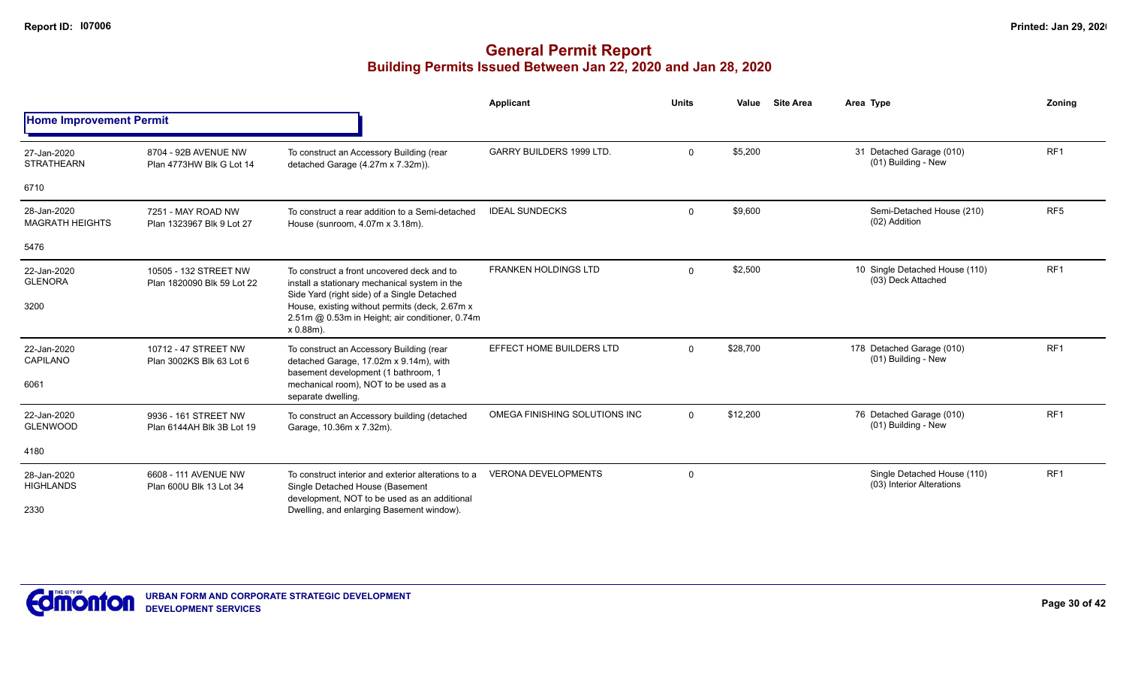|                                       |                                                     |                                                                                                                                                                                                                                                 | <b>Applicant</b>                | <b>Units</b> | Value    | <b>Site Area</b> | Area Type                                                | Zonina          |
|---------------------------------------|-----------------------------------------------------|-------------------------------------------------------------------------------------------------------------------------------------------------------------------------------------------------------------------------------------------------|---------------------------------|--------------|----------|------------------|----------------------------------------------------------|-----------------|
| <b>Home Improvement Permit</b>        |                                                     |                                                                                                                                                                                                                                                 |                                 |              |          |                  |                                                          |                 |
| 27-Jan-2020<br><b>STRATHEARN</b>      | 8704 - 92B AVENUE NW<br>Plan 4773HW Blk G Lot 14    | To construct an Accessory Building (rear<br>detached Garage (4.27m x 7.32m)).                                                                                                                                                                   | <b>GARRY BUILDERS 1999 LTD.</b> | $\mathbf 0$  | \$5,200  |                  | 31 Detached Garage (010)<br>(01) Building - New          | RF <sub>1</sub> |
| 6710                                  |                                                     |                                                                                                                                                                                                                                                 |                                 |              |          |                  |                                                          |                 |
| 28-Jan-2020<br><b>MAGRATH HEIGHTS</b> | 7251 - MAY ROAD NW<br>Plan 1323967 Blk 9 Lot 27     | To construct a rear addition to a Semi-detached<br>House (sunroom, 4.07m x 3.18m).                                                                                                                                                              | <b>IDEAL SUNDECKS</b>           | 0            | \$9,600  |                  | Semi-Detached House (210)<br>(02) Addition               | RF <sub>5</sub> |
| 5476                                  |                                                     |                                                                                                                                                                                                                                                 |                                 |              |          |                  |                                                          |                 |
| 22-Jan-2020<br><b>GLENORA</b><br>3200 | 10505 - 132 STREET NW<br>Plan 1820090 Blk 59 Lot 22 | To construct a front uncovered deck and to<br>install a stationary mechanical system in the<br>Side Yard (right side) of a Single Detached<br>House, existing without permits (deck, 2.67m x<br>2.51m @ 0.53m in Height; air conditioner, 0.74m | <b>FRANKEN HOLDINGS LTD</b>     | $\mathbf 0$  | \$2,500  |                  | 10 Single Detached House (110)<br>(03) Deck Attached     | RF <sub>1</sub> |
|                                       |                                                     | $x 0.88m$ ).                                                                                                                                                                                                                                    |                                 |              |          |                  |                                                          |                 |
| 22-Jan-2020<br>CAPILANO<br>6061       | 10712 - 47 STREET NW<br>Plan 3002KS Blk 63 Lot 6    | To construct an Accessory Building (rear<br>detached Garage, 17.02m x 9.14m), with<br>basement development (1 bathroom, 1<br>mechanical room), NOT to be used as a<br>separate dwelling.                                                        | EFFECT HOME BUILDERS LTD        | $\mathbf{0}$ | \$28,700 |                  | 178 Detached Garage (010)<br>(01) Building - New         | RF <sub>1</sub> |
| 22-Jan-2020<br><b>GLENWOOD</b>        | 9936 - 161 STREET NW<br>Plan 6144AH Blk 3B Lot 19   | To construct an Accessory building (detached<br>Garage, 10.36m x 7.32m).                                                                                                                                                                        | OMEGA FINISHING SOLUTIONS INC   | $\Omega$     | \$12,200 |                  | 76 Detached Garage (010)<br>(01) Building - New          | RF <sub>1</sub> |
| 4180                                  |                                                     |                                                                                                                                                                                                                                                 |                                 |              |          |                  |                                                          |                 |
| 28-Jan-2020<br><b>HIGHLANDS</b>       | 6608 - 111 AVENUE NW<br>Plan 600U Blk 13 Lot 34     | To construct interior and exterior alterations to a<br>Single Detached House (Basement<br>development, NOT to be used as an additional                                                                                                          | <b>VERONA DEVELOPMENTS</b>      | $\mathbf 0$  |          |                  | Single Detached House (110)<br>(03) Interior Alterations | RF <sub>1</sub> |
| 2330                                  |                                                     | Dwelling, and enlarging Basement window).                                                                                                                                                                                                       |                                 |              |          |                  |                                                          |                 |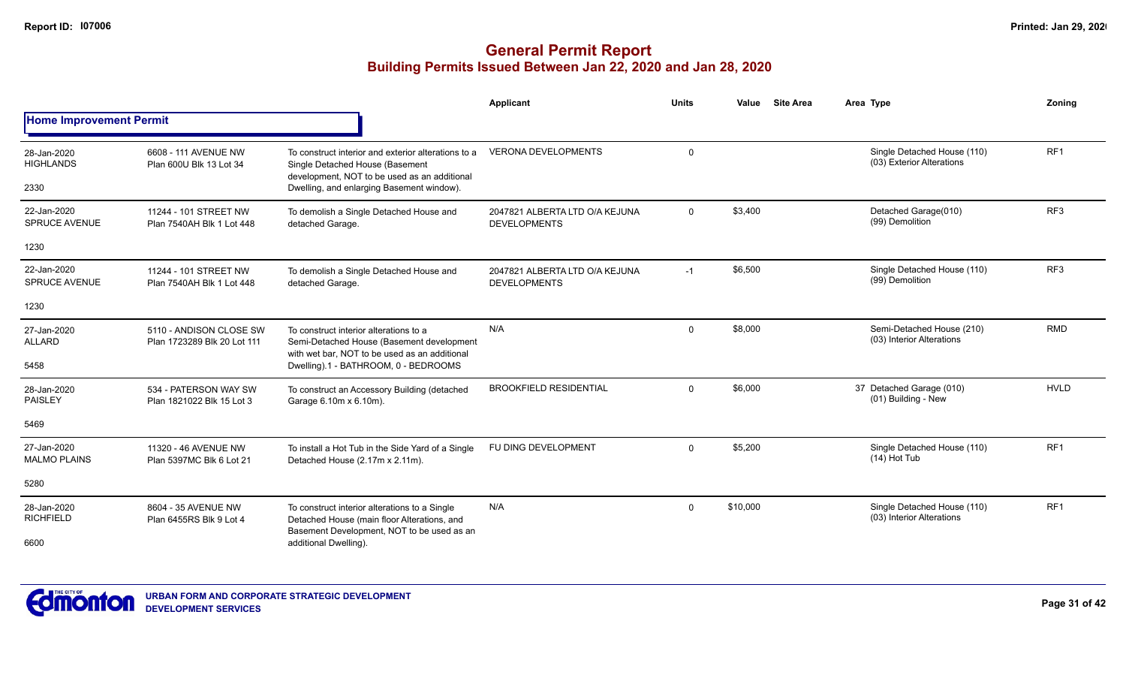|                                     |                                                        |                                                                                                                                            | Applicant                                             | <b>Units</b> | <b>Site Area</b><br>Value | Area Type                                                | Zonina          |
|-------------------------------------|--------------------------------------------------------|--------------------------------------------------------------------------------------------------------------------------------------------|-------------------------------------------------------|--------------|---------------------------|----------------------------------------------------------|-----------------|
| <b>Home Improvement Permit</b>      |                                                        |                                                                                                                                            |                                                       |              |                           |                                                          |                 |
| 28-Jan-2020<br><b>HIGHLANDS</b>     | 6608 - 111 AVENUE NW<br>Plan 600U Blk 13 Lot 34        | To construct interior and exterior alterations to a<br>Single Detached House (Basement<br>development, NOT to be used as an additional     | <b>VERONA DEVELOPMENTS</b>                            | 0            |                           | Single Detached House (110)<br>(03) Exterior Alterations | RF <sub>1</sub> |
| 2330                                |                                                        | Dwelling, and enlarging Basement window).                                                                                                  |                                                       |              |                           |                                                          |                 |
| 22-Jan-2020<br><b>SPRUCE AVENUE</b> | 11244 - 101 STREET NW<br>Plan 7540AH Blk 1 Lot 448     | To demolish a Single Detached House and<br>detached Garage.                                                                                | 2047821 ALBERTA LTD O/A KEJUNA<br><b>DEVELOPMENTS</b> | $\mathbf{0}$ | \$3,400                   | Detached Garage(010)<br>(99) Demolition                  | RF <sub>3</sub> |
| 1230                                |                                                        |                                                                                                                                            |                                                       |              |                           |                                                          |                 |
| 22-Jan-2020<br><b>SPRUCE AVENUE</b> | 11244 - 101 STREET NW<br>Plan 7540AH Blk 1 Lot 448     | To demolish a Single Detached House and<br>detached Garage.                                                                                | 2047821 ALBERTA LTD O/A KEJUNA<br><b>DEVELOPMENTS</b> | $-1$         | \$6,500                   | Single Detached House (110)<br>(99) Demolition           | RF <sub>3</sub> |
| 1230                                |                                                        |                                                                                                                                            |                                                       |              |                           |                                                          |                 |
| 27-Jan-2020<br><b>ALLARD</b>        | 5110 - ANDISON CLOSE SW<br>Plan 1723289 Blk 20 Lot 111 | To construct interior alterations to a<br>Semi-Detached House (Basement development<br>with wet bar, NOT to be used as an additional       | N/A                                                   | $\mathbf{0}$ | \$8,000                   | Semi-Detached House (210)<br>(03) Interior Alterations   | <b>RMD</b>      |
| 5458                                |                                                        | Dwelling).1 - BATHROOM, 0 - BEDROOMS                                                                                                       |                                                       |              |                           |                                                          |                 |
| 28-Jan-2020<br><b>PAISLEY</b>       | 534 - PATERSON WAY SW<br>Plan 1821022 Blk 15 Lot 3     | To construct an Accessory Building (detached<br>Garage 6.10m x 6.10m).                                                                     | <b>BROOKFIELD RESIDENTIAL</b>                         | $\mathbf 0$  | \$6,000                   | 37 Detached Garage (010)<br>(01) Building - New          | <b>HVLD</b>     |
| 5469                                |                                                        |                                                                                                                                            |                                                       |              |                           |                                                          |                 |
| 27-Jan-2020<br><b>MALMO PLAINS</b>  | 11320 - 46 AVENUE NW<br>Plan 5397MC Blk 6 Lot 21       | To install a Hot Tub in the Side Yard of a Single<br>Detached House (2.17m x 2.11m).                                                       | FU DING DEVELOPMENT                                   | $\Omega$     | \$5,200                   | Single Detached House (110)<br>$(14)$ Hot Tub            | RF <sub>1</sub> |
| 5280                                |                                                        |                                                                                                                                            |                                                       |              |                           |                                                          |                 |
| 28-Jan-2020<br><b>RICHFIELD</b>     | 8604 - 35 AVENUE NW<br>Plan 6455RS Blk 9 Lot 4         | To construct interior alterations to a Single<br>Detached House (main floor Alterations, and<br>Basement Development, NOT to be used as an | N/A                                                   | $\mathbf{0}$ | \$10,000                  | Single Detached House (110)<br>(03) Interior Alterations | RF <sub>1</sub> |
| 6600                                |                                                        | additional Dwelling).                                                                                                                      |                                                       |              |                           |                                                          |                 |

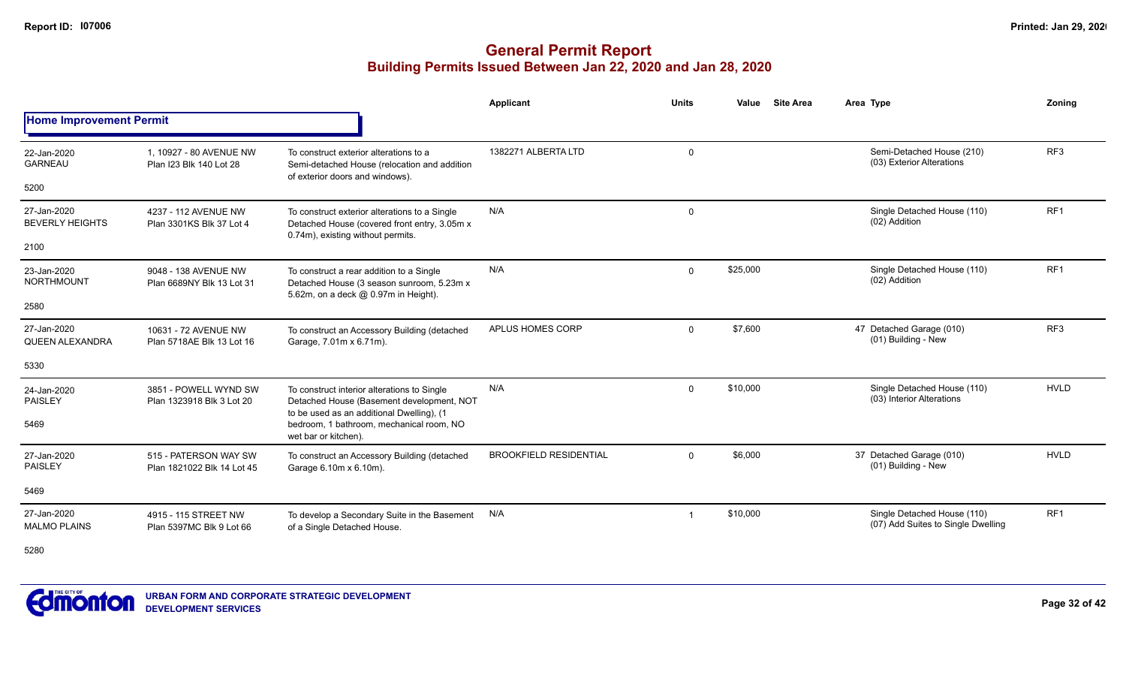|                                       |                                                     |                                                                                                                                       | <b>Applicant</b>              | <b>Units</b> | Value<br><b>Site Area</b> | Area Type                                                         | Zoning          |
|---------------------------------------|-----------------------------------------------------|---------------------------------------------------------------------------------------------------------------------------------------|-------------------------------|--------------|---------------------------|-------------------------------------------------------------------|-----------------|
| <b>Home Improvement Permit</b>        |                                                     |                                                                                                                                       |                               |              |                           |                                                                   |                 |
| 22-Jan-2020<br><b>GARNEAU</b>         | 1, 10927 - 80 AVENUE NW<br>Plan I23 Blk 140 Lot 28  | To construct exterior alterations to a<br>Semi-detached House (relocation and addition<br>of exterior doors and windows).             | 1382271 ALBERTA LTD           | 0            |                           | Semi-Detached House (210)<br>(03) Exterior Alterations            | RF <sub>3</sub> |
| 5200                                  |                                                     |                                                                                                                                       |                               |              |                           |                                                                   |                 |
| 27-Jan-2020<br><b>BEVERLY HEIGHTS</b> | 4237 - 112 AVENUE NW<br>Plan 3301KS Blk 37 Lot 4    | To construct exterior alterations to a Single<br>Detached House (covered front entry, 3.05m x<br>0.74m), existing without permits.    | N/A                           | $\mathsf{O}$ |                           | Single Detached House (110)<br>(02) Addition                      | RF <sub>1</sub> |
| 2100                                  |                                                     |                                                                                                                                       |                               |              |                           |                                                                   |                 |
| 23-Jan-2020<br><b>NORTHMOUNT</b>      | 9048 - 138 AVENUE NW<br>Plan 6689NY Blk 13 Lot 31   | To construct a rear addition to a Single<br>Detached House (3 season sunroom, 5.23m x<br>5.62m, on a deck @ 0.97m in Height).         | N/A                           | $\mathbf 0$  | \$25,000                  | Single Detached House (110)<br>(02) Addition                      | RF <sub>1</sub> |
| 2580                                  |                                                     |                                                                                                                                       |                               |              |                           |                                                                   |                 |
| 27-Jan-2020<br><b>QUEEN ALEXANDRA</b> | 10631 - 72 AVENUE NW<br>Plan 5718AE Blk 13 Lot 16   | To construct an Accessory Building (detached<br>Garage, 7.01m x 6.71m).                                                               | APLUS HOMES CORP              | $\mathbf 0$  | \$7,600                   | 47 Detached Garage (010)<br>(01) Building - New                   | RF <sub>3</sub> |
| 5330                                  |                                                     |                                                                                                                                       |                               |              |                           |                                                                   |                 |
| 24-Jan-2020<br><b>PAISLEY</b>         | 3851 - POWELL WYND SW<br>Plan 1323918 Blk 3 Lot 20  | To construct interior alterations to Single<br>Detached House (Basement development, NOT<br>to be used as an additional Dwelling), (1 | N/A                           | $\mathbf 0$  | \$10,000                  | Single Detached House (110)<br>(03) Interior Alterations          | <b>HVLD</b>     |
| 5469                                  |                                                     | bedroom, 1 bathroom, mechanical room, NO<br>wet bar or kitchen).                                                                      |                               |              |                           |                                                                   |                 |
| 27-Jan-2020<br><b>PAISLEY</b>         | 515 - PATERSON WAY SW<br>Plan 1821022 Blk 14 Lot 45 | To construct an Accessory Building (detached<br>Garage 6.10m x 6.10m).                                                                | <b>BROOKFIELD RESIDENTIAL</b> | $\Omega$     | \$6,000                   | 37 Detached Garage (010)<br>(01) Building - New                   | <b>HVLD</b>     |
| 5469                                  |                                                     |                                                                                                                                       |                               |              |                           |                                                                   |                 |
| 27-Jan-2020<br><b>MALMO PLAINS</b>    | 4915 - 115 STREET NW<br>Plan 5397MC Blk 9 Lot 66    | To develop a Secondary Suite in the Basement<br>of a Single Detached House.                                                           | N/A                           | -1           | \$10,000                  | Single Detached House (110)<br>(07) Add Suites to Single Dwelling | RF <sub>1</sub> |
| $F^{\sim}$                            |                                                     |                                                                                                                                       |                               |              |                           |                                                                   |                 |



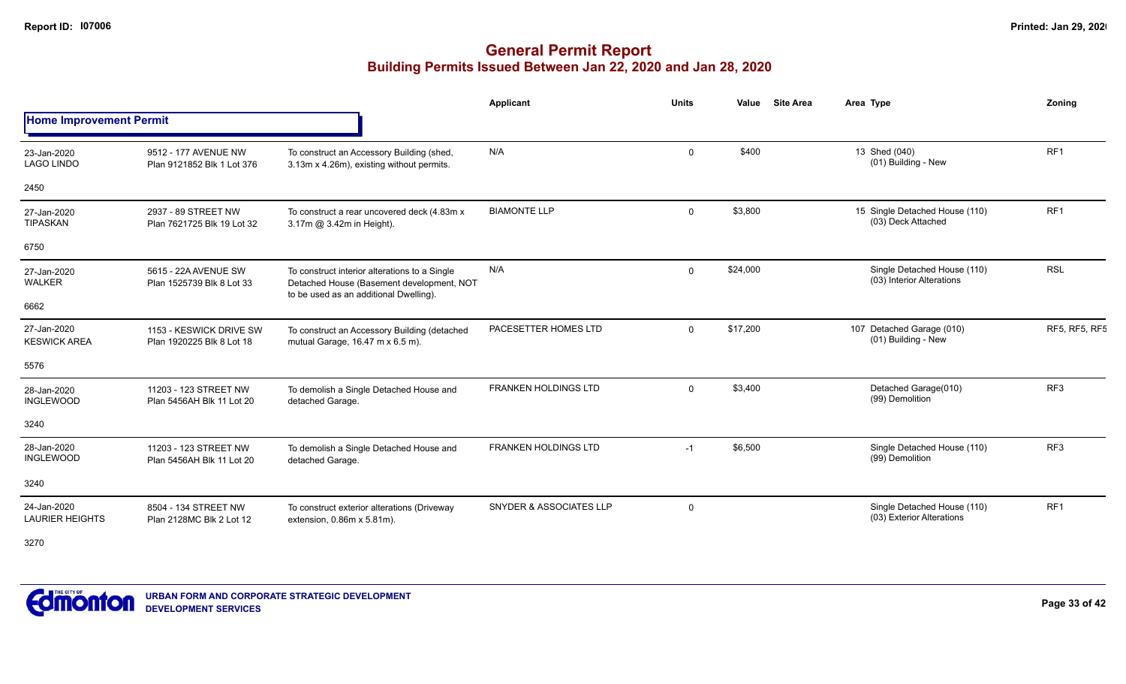# **General Permit Report Building Permits Issued Between Jan 22, 2020 and Jan 28, 2020**

|                                       |                                                      |                                                                                                                                      | Applicant                          | <b>Units</b> | <b>Site Area</b><br>Value | Area Type                                                | Zoning               |
|---------------------------------------|------------------------------------------------------|--------------------------------------------------------------------------------------------------------------------------------------|------------------------------------|--------------|---------------------------|----------------------------------------------------------|----------------------|
| <b>Home Improvement Permit</b>        |                                                      |                                                                                                                                      |                                    |              |                           |                                                          |                      |
| 23-Jan-2020<br><b>LAGO LINDO</b>      | 9512 - 177 AVENUE NW<br>Plan 9121852 Blk 1 Lot 376   | To construct an Accessory Building (shed,<br>3.13m x 4.26m), existing without permits.                                               | N/A                                | $\Omega$     | \$400                     | 13 Shed (040)<br>(01) Building - New                     | RF1                  |
| 2450                                  |                                                      |                                                                                                                                      |                                    |              |                           |                                                          |                      |
| 27-Jan-2020<br>TIPASKAN               | 2937 - 89 STREET NW<br>Plan 7621725 Blk 19 Lot 32    | To construct a rear uncovered deck (4.83m x)<br>3.17m @ 3.42m in Height).                                                            | <b>BIAMONTE LLP</b>                | $\Omega$     | \$3,800                   | 15 Single Detached House (110)<br>(03) Deck Attached     | RF <sub>1</sub>      |
| 6750                                  |                                                      |                                                                                                                                      |                                    |              |                           |                                                          |                      |
| 27-Jan-2020<br>WALKER                 | 5615 - 22A AVENUE SW<br>Plan 1525739 Blk 8 Lot 33    | To construct interior alterations to a Single<br>Detached House (Basement development, NOT<br>to be used as an additional Dwelling). | N/A                                | $\mathbf{0}$ | \$24,000                  | Single Detached House (110)<br>(03) Interior Alterations | <b>RSL</b>           |
| 6662                                  |                                                      |                                                                                                                                      |                                    |              |                           |                                                          |                      |
| 27-Jan-2020<br><b>KESWICK AREA</b>    | 1153 - KESWICK DRIVE SW<br>Plan 1920225 Blk 8 Lot 18 | To construct an Accessory Building (detached<br>mutual Garage, $16.47 \text{ m} \times 6.5 \text{ m}$ ).                             | PACESETTER HOMES LTD               | $\Omega$     | \$17,200                  | 107 Detached Garage (010)<br>(01) Building - New         | <b>RF5, RF5, RF5</b> |
| 5576                                  |                                                      |                                                                                                                                      |                                    |              |                           |                                                          |                      |
| 28-Jan-2020<br>INGLEWOOD              | 11203 - 123 STREET NW<br>Plan 5456AH Blk 11 Lot 20   | To demolish a Single Detached House and<br>detached Garage.                                                                          | <b>FRANKEN HOLDINGS LTD</b>        | $\mathbf{0}$ | \$3,400                   | Detached Garage(010)<br>(99) Demolition                  | RF <sub>3</sub>      |
| 3240                                  |                                                      |                                                                                                                                      |                                    |              |                           |                                                          |                      |
| 28-Jan-2020<br><b>INGLEWOOD</b>       | 11203 - 123 STREET NW<br>Plan 5456AH Blk 11 Lot 20   | To demolish a Single Detached House and<br>detached Garage.                                                                          | <b>FRANKEN HOLDINGS LTD</b>        | $-1$         | \$6,500                   | Single Detached House (110)<br>(99) Demolition           | RF <sub>3</sub>      |
| 3240                                  |                                                      |                                                                                                                                      |                                    |              |                           |                                                          |                      |
| 24-Jan-2020<br><b>LAURIER HEIGHTS</b> | 8504 - 134 STREET NW<br>Plan 2128MC Blk 2 Lot 12     | To construct exterior alterations (Driveway<br>extension, $0.86m \times 5.81m$ ).                                                    | <b>SNYDER &amp; ASSOCIATES LLP</b> | 0            |                           | Single Detached House (110)<br>(03) Exterior Alterations | RF1                  |

3270

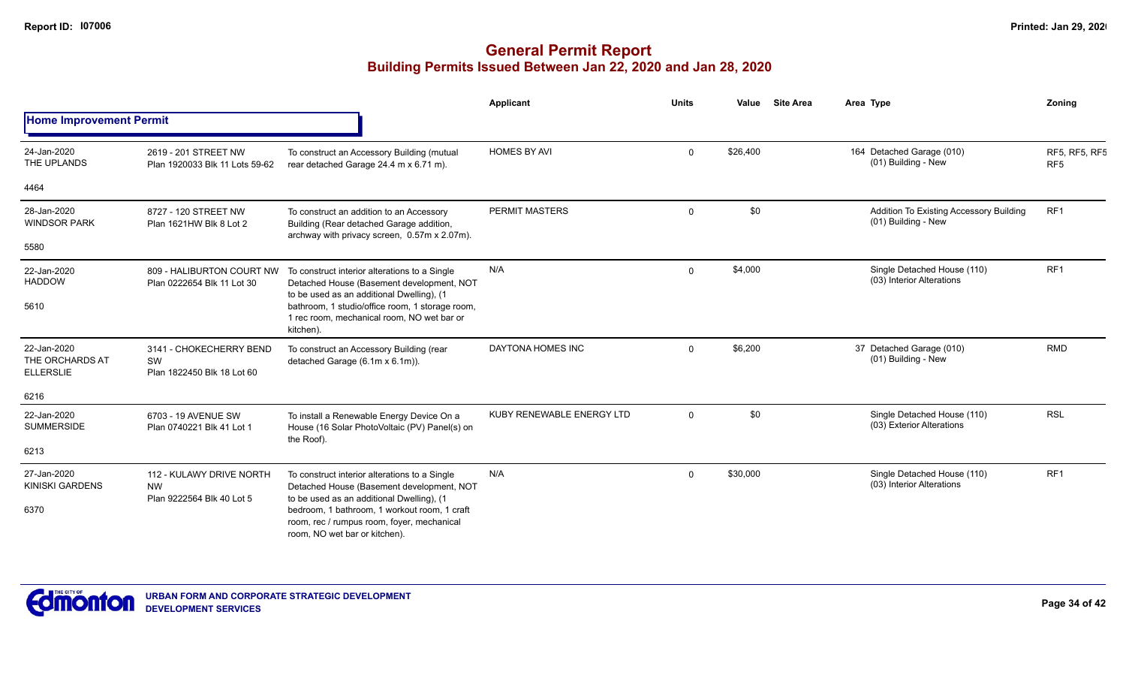|                                                    |                                                                    |                                                                                                                                         | Applicant                 | <b>Units</b> | Value    | <b>Site Area</b> | Area Type                                                      | Zoning                                  |
|----------------------------------------------------|--------------------------------------------------------------------|-----------------------------------------------------------------------------------------------------------------------------------------|---------------------------|--------------|----------|------------------|----------------------------------------------------------------|-----------------------------------------|
| <b>Home Improvement Permit</b>                     |                                                                    |                                                                                                                                         |                           |              |          |                  |                                                                |                                         |
| 24-Jan-2020<br>THE UPLANDS                         | 2619 - 201 STREET NW<br>Plan 1920033 Blk 11 Lots 59-62             | To construct an Accessory Building (mutual<br>rear detached Garage 24.4 m x 6.71 m).                                                    | <b>HOMES BY AVI</b>       | $\mathbf 0$  | \$26,400 |                  | 164 Detached Garage (010)<br>(01) Building - New               | <b>RF5, RF5, RF5</b><br>RF <sub>5</sub> |
| 4464                                               |                                                                    |                                                                                                                                         |                           |              |          |                  |                                                                |                                         |
| 28-Jan-2020<br><b>WINDSOR PARK</b>                 | 8727 - 120 STREET NW<br>Plan 1621HW Blk 8 Lot 2                    | To construct an addition to an Accessory<br>Building (Rear detached Garage addition,<br>archway with privacy screen, 0.57m x 2.07m).    | PERMIT MASTERS            | $\Omega$     | \$0      |                  | Addition To Existing Accessory Building<br>(01) Building - New | RF <sub>1</sub>                         |
| 5580                                               |                                                                    |                                                                                                                                         |                           |              |          |                  |                                                                |                                         |
| 22-Jan-2020<br><b>HADDOW</b>                       | 809 - HALIBURTON COURT NW<br>Plan 0222654 Blk 11 Lot 30            | To construct interior alterations to a Single<br>Detached House (Basement development, NOT<br>to be used as an additional Dwelling), (1 | N/A                       | $\Omega$     | \$4,000  |                  | Single Detached House (110)<br>(03) Interior Alterations       | RF <sub>1</sub>                         |
| 5610                                               |                                                                    | bathroom, 1 studio/office room, 1 storage room,<br>1 rec room, mechanical room, NO wet bar or<br>kitchen).                              |                           |              |          |                  |                                                                |                                         |
| 22-Jan-2020<br>THE ORCHARDS AT<br><b>ELLERSLIE</b> | 3141 - CHOKECHERRY BEND<br>SW<br>Plan 1822450 Blk 18 Lot 60        | To construct an Accessory Building (rear<br>detached Garage (6.1m x 6.1m)).                                                             | <b>DAYTONA HOMES INC</b>  | $\Omega$     | \$6,200  |                  | 37 Detached Garage (010)<br>(01) Building - New                | <b>RMD</b>                              |
| 6216                                               |                                                                    |                                                                                                                                         |                           |              |          |                  |                                                                |                                         |
| 22-Jan-2020<br><b>SUMMERSIDE</b>                   | 6703 - 19 AVENUE SW<br>Plan 0740221 Blk 41 Lot 1                   | To install a Renewable Energy Device On a<br>House (16 Solar PhotoVoltaic (PV) Panel(s) on<br>the Roof).                                | KUBY RENEWABLE ENERGY LTD | $\Omega$     | \$0      |                  | Single Detached House (110)<br>(03) Exterior Alterations       | <b>RSL</b>                              |
| 6213                                               |                                                                    |                                                                                                                                         |                           |              |          |                  |                                                                |                                         |
| 27-Jan-2020<br><b>KINISKI GARDENS</b>              | 112 - KULAWY DRIVE NORTH<br><b>NW</b><br>Plan 9222564 Blk 40 Lot 5 | To construct interior alterations to a Single<br>Detached House (Basement development, NOT<br>to be used as an additional Dwelling), (1 | N/A                       | $\Omega$     | \$30,000 |                  | Single Detached House (110)<br>(03) Interior Alterations       | RF <sub>1</sub>                         |
| 6370                                               |                                                                    | bedroom, 1 bathroom, 1 workout room, 1 craft<br>room, rec / rumpus room, foyer, mechanical<br>room, NO wet bar or kitchen).             |                           |              |          |                  |                                                                |                                         |

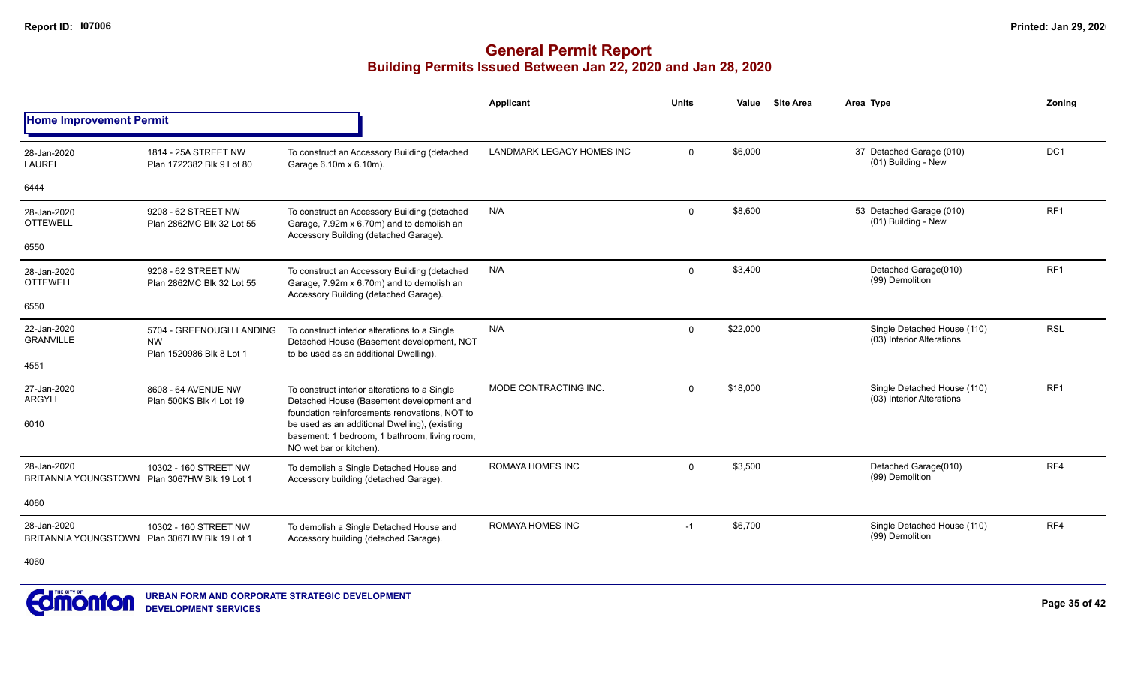# **General Permit Report Building Permits Issued Between Jan 22, 2020 and Jan 28, 2020**

|                                                              |                                                                   |                                                                                                                                            | Applicant                        | Units       | Value    | <b>Site Area</b> | Area Type                                                | Zoning          |
|--------------------------------------------------------------|-------------------------------------------------------------------|--------------------------------------------------------------------------------------------------------------------------------------------|----------------------------------|-------------|----------|------------------|----------------------------------------------------------|-----------------|
| <b>Home Improvement Permit</b>                               |                                                                   |                                                                                                                                            |                                  |             |          |                  |                                                          |                 |
| 28-Jan-2020<br><b>LAUREL</b>                                 | 1814 - 25A STREET NW<br>Plan 1722382 Blk 9 Lot 80                 | To construct an Accessory Building (detached<br>Garage 6.10m x 6.10m).                                                                     | <b>LANDMARK LEGACY HOMES INC</b> | $\Omega$    | \$6,000  |                  | 37 Detached Garage (010)<br>(01) Building - New          | DC <sub>1</sub> |
| 6444                                                         |                                                                   |                                                                                                                                            |                                  |             |          |                  |                                                          |                 |
| 28-Jan-2020<br><b>OTTEWELL</b>                               | 9208 - 62 STREET NW<br>Plan 2862MC Blk 32 Lot 55                  | To construct an Accessory Building (detached<br>Garage, 7.92m x 6.70m) and to demolish an<br>Accessory Building (detached Garage).         | N/A                              | $\mathbf 0$ | \$8,600  |                  | 53 Detached Garage (010)<br>(01) Building - New          | RF <sub>1</sub> |
| 6550                                                         |                                                                   |                                                                                                                                            |                                  |             |          |                  |                                                          |                 |
| 28-Jan-2020<br><b>OTTEWELL</b>                               | 9208 - 62 STREET NW<br>Plan 2862MC Blk 32 Lot 55                  | To construct an Accessory Building (detached<br>Garage, 7.92m x 6.70m) and to demolish an                                                  | N/A                              | $\mathbf 0$ | \$3,400  |                  | Detached Garage(010)<br>(99) Demolition                  | RF1             |
| 6550                                                         |                                                                   | Accessory Building (detached Garage).                                                                                                      |                                  |             |          |                  |                                                          |                 |
| 22-Jan-2020<br><b>GRANVILLE</b>                              | 5704 - GREENOUGH LANDING<br><b>NW</b><br>Plan 1520986 Blk 8 Lot 1 | To construct interior alterations to a Single<br>Detached House (Basement development, NOT<br>to be used as an additional Dwelling).       | N/A                              | $\Omega$    | \$22,000 |                  | Single Detached House (110)<br>(03) Interior Alterations | <b>RSL</b>      |
| 4551                                                         |                                                                   |                                                                                                                                            |                                  |             |          |                  |                                                          |                 |
| 27-Jan-2020<br><b>ARGYLL</b>                                 | 8608 - 64 AVENUE NW<br>Plan 500KS Blk 4 Lot 19                    | To construct interior alterations to a Single<br>Detached House (Basement development and<br>foundation reinforcements renovations, NOT to | MODE CONTRACTING INC.            | $\Omega$    | \$18,000 |                  | Single Detached House (110)<br>(03) Interior Alterations | RF <sub>1</sub> |
| 6010                                                         |                                                                   | be used as an additional Dwelling), (existing<br>basement: 1 bedroom, 1 bathroom, living room,<br>NO wet bar or kitchen).                  |                                  |             |          |                  |                                                          |                 |
| 28-Jan-2020<br>BRITANNIA YOUNGSTOWN Plan 3067HW Blk 19 Lot 1 | 10302 - 160 STREET NW                                             | To demolish a Single Detached House and<br>Accessory building (detached Garage).                                                           | <b>ROMAYA HOMES INC</b>          | $\Omega$    | \$3,500  |                  | Detached Garage(010)<br>(99) Demolition                  | RF4             |
| 4060                                                         |                                                                   |                                                                                                                                            |                                  |             |          |                  |                                                          |                 |
| 28-Jan-2020<br>BRITANNIA YOUNGSTOWN Plan 3067HW Blk 19 Lot 1 | 10302 - 160 STREET NW                                             | To demolish a Single Detached House and<br>Accessory building (detached Garage).                                                           | <b>ROMAYA HOMES INC</b>          | $-1$        | \$6,700  |                  | Single Detached House (110)<br>(99) Demolition           | RF4             |
| 4060                                                         |                                                                   |                                                                                                                                            |                                  |             |          |                  |                                                          |                 |



**URBAN FORM AND CORPORATE STRATEGIC DEVELOPMENT DEVELOPMENT SERVICES**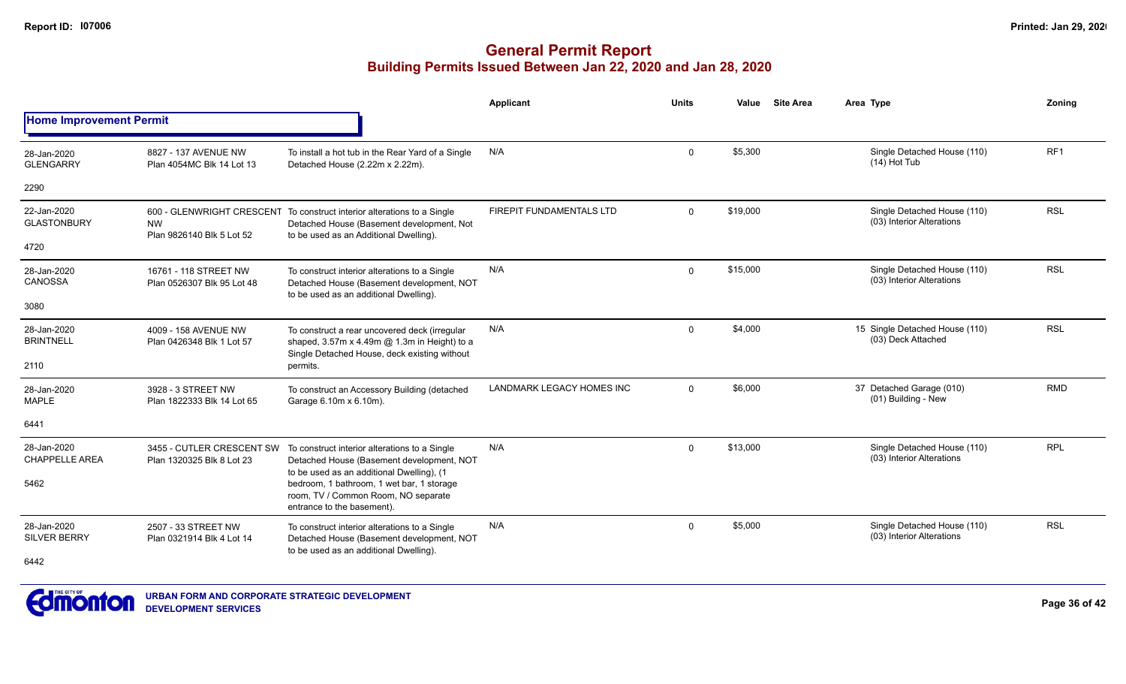|                                      |                                                        |                                                                                                                                                                | <b>Applicant</b>                | <b>Units</b>   | Value    | <b>Site Area</b> | Area Type                                                | Zoning          |
|--------------------------------------|--------------------------------------------------------|----------------------------------------------------------------------------------------------------------------------------------------------------------------|---------------------------------|----------------|----------|------------------|----------------------------------------------------------|-----------------|
| <b>Home Improvement Permit</b>       |                                                        |                                                                                                                                                                |                                 |                |          |                  |                                                          |                 |
| 28-Jan-2020<br><b>GLENGARRY</b>      | 8827 - 137 AVENUE NW<br>Plan 4054MC Blk 14 Lot 13      | To install a hot tub in the Rear Yard of a Single<br>Detached House (2.22m x 2.22m).                                                                           | N/A                             | $\mathsf{O}$   | \$5,300  |                  | Single Detached House (110)<br>$(14)$ Hot Tub            | RF <sub>1</sub> |
| 2290                                 |                                                        |                                                                                                                                                                |                                 |                |          |                  |                                                          |                 |
| 22-Jan-2020<br><b>GLASTONBURY</b>    | <b>NW</b><br>Plan 9826140 Blk 5 Lot 52                 | 600 - GLENWRIGHT CRESCENT To construct interior alterations to a Single<br>Detached House (Basement development, Not<br>to be used as an Additional Dwelling). | <b>FIREPIT FUNDAMENTALS LTD</b> | $\Omega$       | \$19,000 |                  | Single Detached House (110)<br>(03) Interior Alterations | <b>RSL</b>      |
| 4720                                 |                                                        |                                                                                                                                                                |                                 |                |          |                  |                                                          |                 |
| 28-Jan-2020<br>CANOSSA               | 16761 - 118 STREET NW<br>Plan 0526307 Blk 95 Lot 48    | To construct interior alterations to a Single<br>Detached House (Basement development, NOT<br>to be used as an additional Dwelling).                           | N/A                             | $\mathbf 0$    | \$15,000 |                  | Single Detached House (110)<br>(03) Interior Alterations | <b>RSL</b>      |
| 3080                                 |                                                        |                                                                                                                                                                |                                 |                |          |                  |                                                          |                 |
| 28-Jan-2020<br><b>BRINTNELL</b>      | 4009 - 158 AVENUE NW<br>Plan 0426348 Blk 1 Lot 57      | To construct a rear uncovered deck (irregular<br>shaped, 3.57m x 4.49m @ 1.3m in Height) to a<br>Single Detached House, deck existing without                  | N/A                             | $\Omega$       | \$4,000  |                  | 15 Single Detached House (110)<br>(03) Deck Attached     | <b>RSL</b>      |
| 2110                                 |                                                        | permits.                                                                                                                                                       |                                 |                |          |                  |                                                          |                 |
| 28-Jan-2020<br><b>MAPLE</b>          | 3928 - 3 STREET NW<br>Plan 1822333 Blk 14 Lot 65       | To construct an Accessory Building (detached<br>Garage 6.10m x 6.10m).                                                                                         | LANDMARK LEGACY HOMES INC       | $\overline{0}$ | \$6,000  |                  | 37 Detached Garage (010)<br>(01) Building - New          | <b>RMD</b>      |
| 6441                                 |                                                        |                                                                                                                                                                |                                 |                |          |                  |                                                          |                 |
| 28-Jan-2020<br><b>CHAPPELLE AREA</b> | 3455 - CUTLER CRESCENT SW<br>Plan 1320325 Blk 8 Lot 23 | To construct interior alterations to a Single<br>Detached House (Basement development, NOT<br>to be used as an additional Dwelling), (1                        | N/A                             | $\mathbf 0$    | \$13,000 |                  | Single Detached House (110)<br>(03) Interior Alterations | <b>RPL</b>      |
| 5462                                 |                                                        | bedroom, 1 bathroom, 1 wet bar, 1 storage<br>room, TV / Common Room, NO separate<br>entrance to the basement).                                                 |                                 |                |          |                  |                                                          |                 |
| 28-Jan-2020<br><b>SILVER BERRY</b>   | 2507 - 33 STREET NW<br>Plan 0321914 Blk 4 Lot 14       | To construct interior alterations to a Single<br>Detached House (Basement development, NOT<br>to be used as an additional Dwelling).                           | N/A                             | $\mathbf 0$    | \$5,000  |                  | Single Detached House (110)<br>(03) Interior Alterations | <b>RSL</b>      |
| 6442                                 |                                                        |                                                                                                                                                                |                                 |                |          |                  |                                                          |                 |

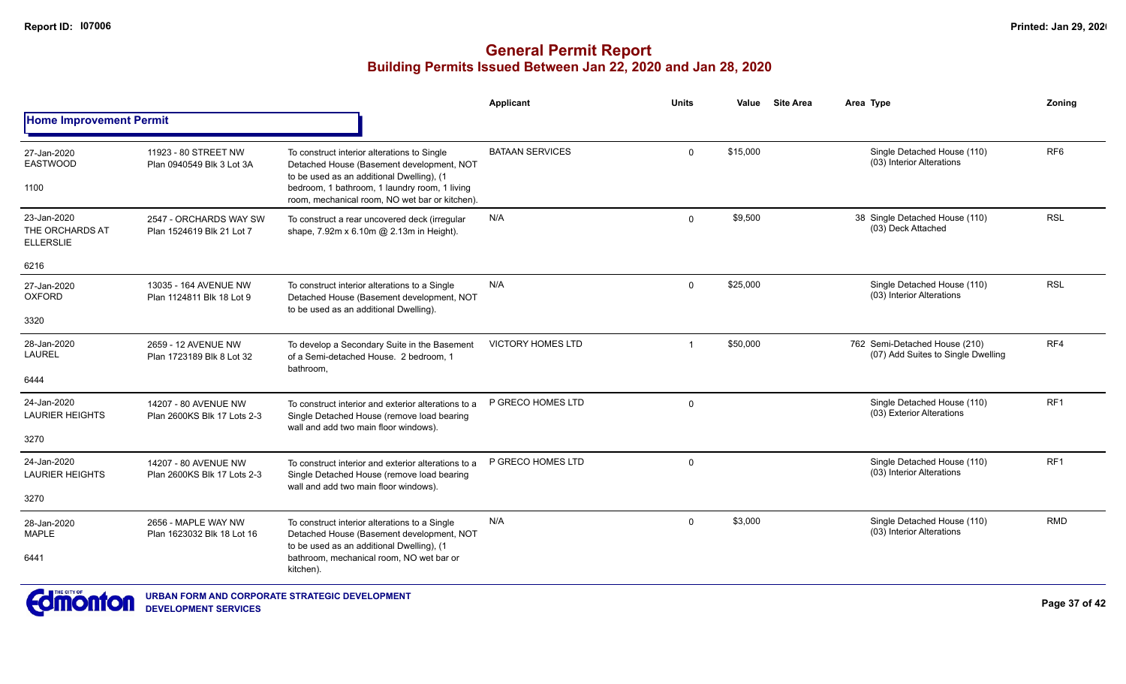|                                                    |                                                     |                                                                                                                                                                                                                                          | <b>Applicant</b>         | <b>Units</b>   | Value    | <b>Site Area</b> | Area Type                                                           | Zoning          |
|----------------------------------------------------|-----------------------------------------------------|------------------------------------------------------------------------------------------------------------------------------------------------------------------------------------------------------------------------------------------|--------------------------|----------------|----------|------------------|---------------------------------------------------------------------|-----------------|
| <b>Home Improvement Permit</b>                     |                                                     |                                                                                                                                                                                                                                          |                          |                |          |                  |                                                                     |                 |
| 27-Jan-2020<br><b>EASTWOOD</b><br>1100             | 11923 - 80 STREET NW<br>Plan 0940549 Blk 3 Lot 3A   | To construct interior alterations to Single<br>Detached House (Basement development, NOT<br>to be used as an additional Dwelling), (1<br>bedroom, 1 bathroom, 1 laundry room, 1 living<br>room, mechanical room, NO wet bar or kitchen). | <b>BATAAN SERVICES</b>   | $\mathsf{O}$   | \$15,000 |                  | Single Detached House (110)<br>(03) Interior Alterations            | RF <sub>6</sub> |
| 23-Jan-2020<br>THE ORCHARDS AT<br><b>ELLERSLIE</b> | 2547 - ORCHARDS WAY SW<br>Plan 1524619 Blk 21 Lot 7 | To construct a rear uncovered deck (irregular<br>shape, 7.92m x 6.10m @ 2.13m in Height).                                                                                                                                                | N/A                      | $\mathbf{0}$   | \$9,500  |                  | 38 Single Detached House (110)<br>(03) Deck Attached                | <b>RSL</b>      |
| 6216                                               |                                                     |                                                                                                                                                                                                                                          |                          |                |          |                  |                                                                     |                 |
| 27-Jan-2020<br><b>OXFORD</b>                       | 13035 - 164 AVENUE NW<br>Plan 1124811 Blk 18 Lot 9  | To construct interior alterations to a Single<br>Detached House (Basement development, NOT<br>to be used as an additional Dwelling).                                                                                                     | N/A                      | $\mathbf{0}$   | \$25,000 |                  | Single Detached House (110)<br>(03) Interior Alterations            | <b>RSL</b>      |
| 3320                                               |                                                     |                                                                                                                                                                                                                                          |                          |                |          |                  |                                                                     |                 |
| 28-Jan-2020<br><b>LAUREL</b>                       | 2659 - 12 AVENUE NW<br>Plan 1723189 Blk 8 Lot 32    | To develop a Secondary Suite in the Basement<br>of a Semi-detached House. 2 bedroom, 1<br>bathroom,                                                                                                                                      | <b>VICTORY HOMES LTD</b> | $\overline{1}$ | \$50,000 |                  | 762 Semi-Detached House (210)<br>(07) Add Suites to Single Dwelling | RF4             |
| 6444                                               |                                                     |                                                                                                                                                                                                                                          |                          |                |          |                  |                                                                     |                 |
| 24-Jan-2020<br><b>LAURIER HEIGHTS</b>              | 14207 - 80 AVENUE NW<br>Plan 2600KS Blk 17 Lots 2-3 | To construct interior and exterior alterations to a<br>Single Detached House (remove load bearing<br>wall and add two main floor windows).                                                                                               | P GRECO HOMES LTD        | $\mathbf 0$    |          |                  | Single Detached House (110)<br>(03) Exterior Alterations            | RF <sub>1</sub> |
| 3270                                               |                                                     |                                                                                                                                                                                                                                          |                          |                |          |                  |                                                                     |                 |
| 24-Jan-2020<br><b>LAURIER HEIGHTS</b>              | 14207 - 80 AVENUE NW<br>Plan 2600KS Blk 17 Lots 2-3 | To construct interior and exterior alterations to a<br>Single Detached House (remove load bearing                                                                                                                                        | P GRECO HOMES LTD        | $\mathbf 0$    |          |                  | Single Detached House (110)<br>(03) Interior Alterations            | RF <sub>1</sub> |
| 3270                                               |                                                     | wall and add two main floor windows).                                                                                                                                                                                                    |                          |                |          |                  |                                                                     |                 |
| 28-Jan-2020<br><b>MAPLE</b>                        | 2656 - MAPLE WAY NW<br>Plan 1623032 Blk 18 Lot 16   | To construct interior alterations to a Single<br>Detached House (Basement development, NOT<br>to be used as an additional Dwelling), (1                                                                                                  | N/A                      | $\mathbf 0$    | \$3,000  |                  | Single Detached House (110)<br>(03) Interior Alterations            | <b>RMD</b>      |
| 6441                                               |                                                     | bathroom, mechanical room, NO wet bar or<br>kitchen).                                                                                                                                                                                    |                          |                |          |                  |                                                                     |                 |
| $\blacksquare$ THE CITY OF $\blacksquare$          |                                                     |                                                                                                                                                                                                                                          |                          |                |          |                  |                                                                     |                 |

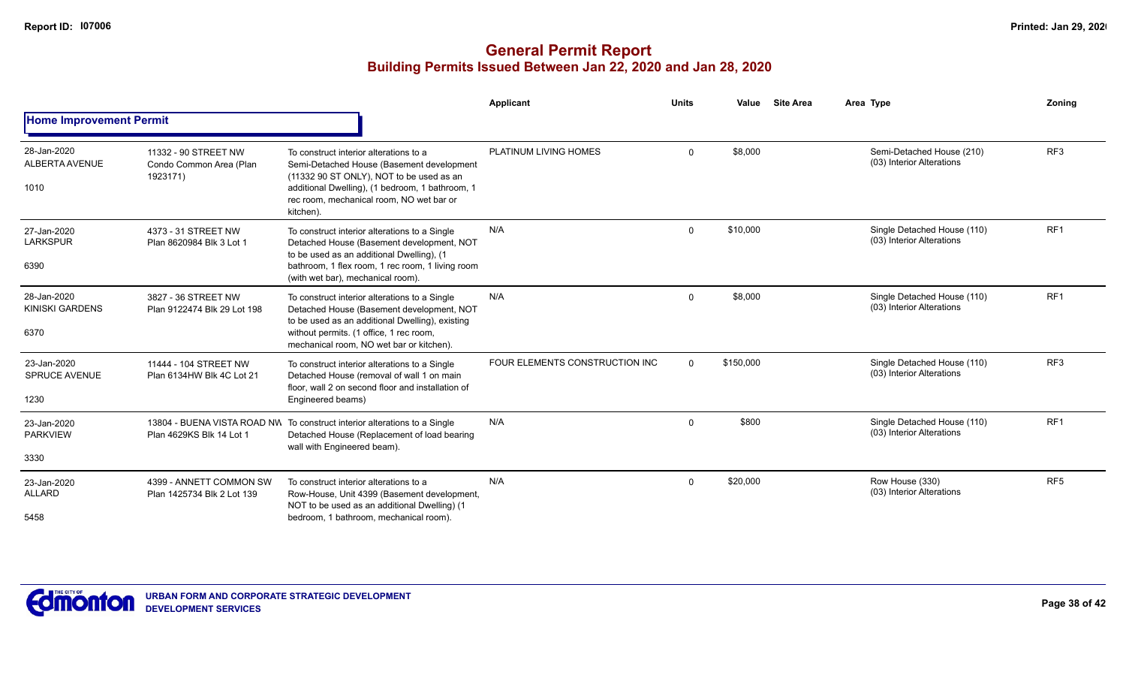|                                               |                                                             |                                                                                                                                                                                                                                             | Applicant                      | <b>Units</b> | Value     | <b>Site Area</b> | Area Type                                                | Zoning          |
|-----------------------------------------------|-------------------------------------------------------------|---------------------------------------------------------------------------------------------------------------------------------------------------------------------------------------------------------------------------------------------|--------------------------------|--------------|-----------|------------------|----------------------------------------------------------|-----------------|
| <b>Home Improvement Permit</b>                |                                                             |                                                                                                                                                                                                                                             |                                |              |           |                  |                                                          |                 |
| 28-Jan-2020<br>ALBERTA AVENUE<br>1010         | 11332 - 90 STREET NW<br>Condo Common Area (Plan<br>1923171) | To construct interior alterations to a<br>Semi-Detached House (Basement development<br>(11332 90 ST ONLY), NOT to be used as an<br>additional Dwelling), (1 bedroom, 1 bathroom, 1<br>rec room, mechanical room, NO wet bar or<br>kitchen). | PLATINUM LIVING HOMES          | $\Omega$     | \$8,000   |                  | Semi-Detached House (210)<br>(03) Interior Alterations   | RF <sub>3</sub> |
| 27-Jan-2020<br><b>LARKSPUR</b><br>6390        | 4373 - 31 STREET NW<br>Plan 8620984 Blk 3 Lot 1             | To construct interior alterations to a Single<br>Detached House (Basement development, NOT<br>to be used as an additional Dwelling), (1<br>bathroom, 1 flex room, 1 rec room, 1 living room<br>(with wet bar), mechanical room).            | N/A                            | $\Omega$     | \$10,000  |                  | Single Detached House (110)<br>(03) Interior Alterations | RF <sub>1</sub> |
| 28-Jan-2020<br><b>KINISKI GARDENS</b><br>6370 | 3827 - 36 STREET NW<br>Plan 9122474 Blk 29 Lot 198          | To construct interior alterations to a Single<br>Detached House (Basement development, NOT<br>to be used as an additional Dwelling), existing<br>without permits. (1 office, 1 rec room,<br>mechanical room. NO wet bar or kitchen).        | N/A                            | $\Omega$     | \$8.000   |                  | Single Detached House (110)<br>(03) Interior Alterations | RF <sub>1</sub> |
| 23-Jan-2020<br><b>SPRUCE AVENUE</b><br>1230   | 11444 - 104 STREET NW<br>Plan 6134HW Blk 4C Lot 21          | To construct interior alterations to a Single<br>Detached House (removal of wall 1 on main<br>floor, wall 2 on second floor and installation of<br>Engineered beams)                                                                        | FOUR ELEMENTS CONSTRUCTION INC | $\Omega$     | \$150,000 |                  | Single Detached House (110)<br>(03) Interior Alterations | RF <sub>3</sub> |
| 23-Jan-2020<br><b>PARKVIEW</b><br>3330        | 13804 - BUENA VISTA ROAD NW<br>Plan 4629KS Blk 14 Lot 1     | To construct interior alterations to a Single<br>Detached House (Replacement of load bearing<br>wall with Engineered beam).                                                                                                                 | N/A                            | $\Omega$     | \$800     |                  | Single Detached House (110)<br>(03) Interior Alterations | RF <sub>1</sub> |
| 23-Jan-2020<br><b>ALLARD</b><br>5458          | 4399 - ANNETT COMMON SW<br>Plan 1425734 Blk 2 Lot 139       | To construct interior alterations to a<br>Row-House, Unit 4399 (Basement development,<br>NOT to be used as an additional Dwelling) (1<br>bedroom, 1 bathroom, mechanical room).                                                             | N/A                            | $\Omega$     | \$20,000  |                  | Row House (330)<br>(03) Interior Alterations             | RF <sub>5</sub> |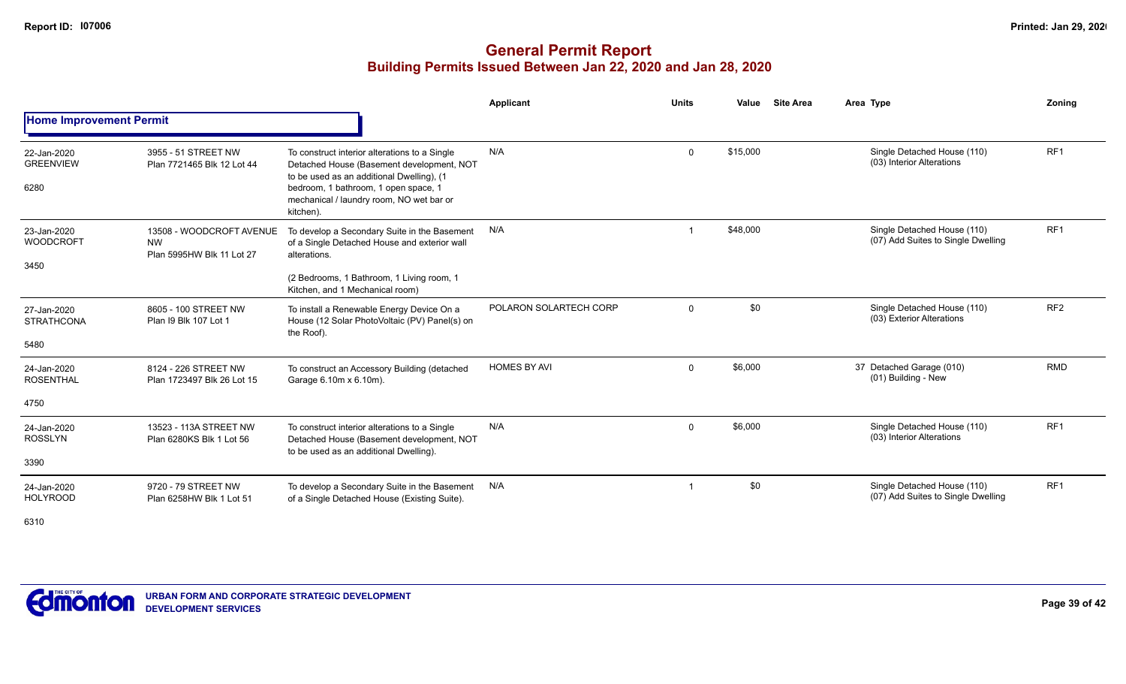|                                          |                                                                    |                                                                                                                                                                                                                                          | <b>Applicant</b>       | <b>Units</b> | Value    | <b>Site Area</b> | Area Type                                                         | Zoning          |
|------------------------------------------|--------------------------------------------------------------------|------------------------------------------------------------------------------------------------------------------------------------------------------------------------------------------------------------------------------------------|------------------------|--------------|----------|------------------|-------------------------------------------------------------------|-----------------|
| <b>Home Improvement Permit</b>           |                                                                    |                                                                                                                                                                                                                                          |                        |              |          |                  |                                                                   |                 |
| 22-Jan-2020<br><b>GREENVIEW</b><br>6280  | 3955 - 51 STREET NW<br>Plan 7721465 Blk 12 Lot 44                  | To construct interior alterations to a Single<br>Detached House (Basement development, NOT<br>to be used as an additional Dwelling), (1<br>bedroom, 1 bathroom, 1 open space, 1<br>mechanical / laundry room, NO wet bar or<br>kitchen). | N/A                    | $\mathbf 0$  | \$15,000 |                  | Single Detached House (110)<br>(03) Interior Alterations          | RF <sub>1</sub> |
| 23-Jan-2020<br><b>WOODCROFT</b><br>3450  | 13508 - WOODCROFT AVENUE<br><b>NW</b><br>Plan 5995HW Blk 11 Lot 27 | To develop a Secondary Suite in the Basement<br>of a Single Detached House and exterior wall<br>alterations.<br>(2 Bedrooms, 1 Bathroom, 1 Living room, 1<br>Kitchen, and 1 Mechanical room)                                             | N/A                    |              | \$48,000 |                  | Single Detached House (110)<br>(07) Add Suites to Single Dwelling | RF <sub>1</sub> |
| 27-Jan-2020<br><b>STRATHCONA</b><br>5480 | 8605 - 100 STREET NW<br>Plan I9 Blk 107 Lot 1                      | To install a Renewable Energy Device On a<br>House (12 Solar PhotoVoltaic (PV) Panel(s) on<br>the Roof).                                                                                                                                 | POLARON SOLARTECH CORP | $\mathbf 0$  | \$0      |                  | Single Detached House (110)<br>(03) Exterior Alterations          | RF <sub>2</sub> |
| 24-Jan-2020<br><b>ROSENTHAL</b><br>4750  | 8124 - 226 STREET NW<br>Plan 1723497 Blk 26 Lot 15                 | To construct an Accessory Building (detached<br>Garage 6.10m x 6.10m).                                                                                                                                                                   | <b>HOMES BY AVI</b>    | $\mathbf 0$  | \$6,000  |                  | 37 Detached Garage (010)<br>(01) Building - New                   | <b>RMD</b>      |
| 24-Jan-2020<br><b>ROSSLYN</b><br>3390    | 13523 - 113A STREET NW<br>Plan 6280KS Blk 1 Lot 56                 | To construct interior alterations to a Single<br>Detached House (Basement development, NOT<br>to be used as an additional Dwelling).                                                                                                     | N/A                    | $\mathbf 0$  | \$6,000  |                  | Single Detached House (110)<br>(03) Interior Alterations          | RF <sub>1</sub> |
| 24-Jan-2020<br><b>HOLYROOD</b><br>6310   | 9720 - 79 STREET NW<br>Plan 6258HW Blk 1 Lot 51                    | To develop a Secondary Suite in the Basement<br>of a Single Detached House (Existing Suite).                                                                                                                                             | N/A                    | -1           | \$0      |                  | Single Detached House (110)<br>(07) Add Suites to Single Dwelling | RF <sub>1</sub> |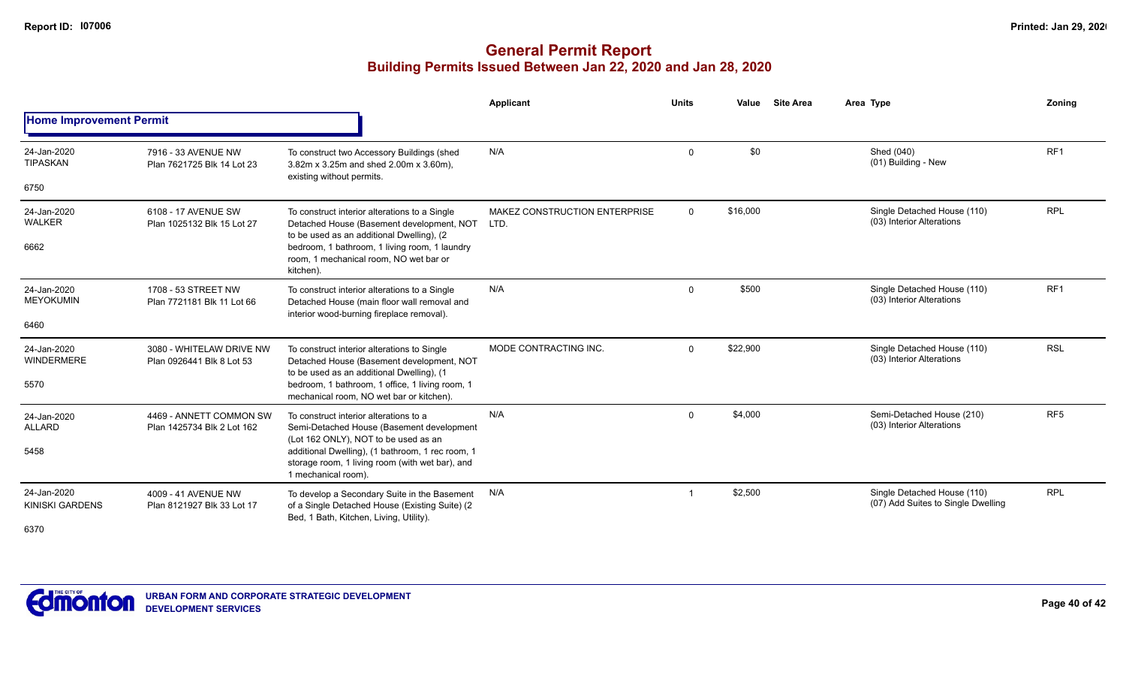|                                        |                                                       |                                                                                                                                                                    | <b>Applicant</b>                      | <b>Units</b> | Value    | <b>Site Area</b> | Area Type                                                         | Zoning          |
|----------------------------------------|-------------------------------------------------------|--------------------------------------------------------------------------------------------------------------------------------------------------------------------|---------------------------------------|--------------|----------|------------------|-------------------------------------------------------------------|-----------------|
| <b>Home Improvement Permit</b>         |                                                       |                                                                                                                                                                    |                                       |              |          |                  |                                                                   |                 |
| 24-Jan-2020<br>TIPASKAN                | 7916 - 33 AVENUE NW<br>Plan 7621725 Blk 14 Lot 23     | To construct two Accessory Buildings (shed<br>3.82m x 3.25m and shed 2.00m x 3.60m),<br>existing without permits.                                                  | N/A                                   | $\mathbf 0$  | \$0      |                  | Shed (040)<br>(01) Building - New                                 | RF <sub>1</sub> |
| 6750                                   |                                                       |                                                                                                                                                                    |                                       |              |          |                  |                                                                   |                 |
| 24-Jan-2020<br><b>WALKER</b><br>6662   | 6108 - 17 AVENUE SW<br>Plan 1025132 Blk 15 Lot 27     | To construct interior alterations to a Single<br>Detached House (Basement development, NOT<br>to be used as an additional Dwelling), (2)                           | MAKEZ CONSTRUCTION ENTERPRISE<br>LTD. | $\mathbf 0$  | \$16,000 |                  | Single Detached House (110)<br>(03) Interior Alterations          | <b>RPL</b>      |
|                                        |                                                       | bedroom, 1 bathroom, 1 living room, 1 laundry<br>room, 1 mechanical room, NO wet bar or<br>kitchen).                                                               |                                       |              |          |                  |                                                                   |                 |
| 24-Jan-2020<br><b>MEYOKUMIN</b>        | 1708 - 53 STREET NW<br>Plan 7721181 Blk 11 Lot 66     | To construct interior alterations to a Single<br>Detached House (main floor wall removal and<br>interior wood-burning fireplace removal).                          | N/A                                   | $\mathbf 0$  | \$500    |                  | Single Detached House (110)<br>(03) Interior Alterations          | RF1             |
| 6460                                   |                                                       |                                                                                                                                                                    |                                       |              |          |                  |                                                                   |                 |
| 24-Jan-2020<br><b>WINDERMERE</b>       | 3080 - WHITELAW DRIVE NW<br>Plan 0926441 Blk 8 Lot 53 | To construct interior alterations to Single<br>Detached House (Basement development, NOT<br>to be used as an additional Dwelling), (1                              | MODE CONTRACTING INC.                 | $\Omega$     | \$22,900 |                  | Single Detached House (110)<br>(03) Interior Alterations          | <b>RSL</b>      |
| 5570                                   |                                                       | bedroom, 1 bathroom, 1 office, 1 living room, 1<br>mechanical room, NO wet bar or kitchen).                                                                        |                                       |              |          |                  |                                                                   |                 |
| 24-Jan-2020<br><b>ALLARD</b>           | 4469 - ANNETT COMMON SW<br>Plan 1425734 Blk 2 Lot 162 | To construct interior alterations to a<br>Semi-Detached House (Basement development                                                                                | N/A                                   | $\mathbf 0$  | \$4,000  |                  | Semi-Detached House (210)<br>(03) Interior Alterations            | RF <sub>5</sub> |
| 5458                                   |                                                       | (Lot 162 ONLY), NOT to be used as an<br>additional Dwelling), (1 bathroom, 1 rec room, 1<br>storage room, 1 living room (with wet bar), and<br>1 mechanical room). |                                       |              |          |                  |                                                                   |                 |
| 24-Jan-2020<br>KINISKI GARDENS<br>6370 | 4009 - 41 AVENUE NW<br>Plan 8121927 Blk 33 Lot 17     | To develop a Secondary Suite in the Basement<br>of a Single Detached House (Existing Suite) (2<br>Bed, 1 Bath, Kitchen, Living, Utility).                          | N/A                                   |              | \$2,500  |                  | Single Detached House (110)<br>(07) Add Suites to Single Dwelling | <b>RPL</b>      |

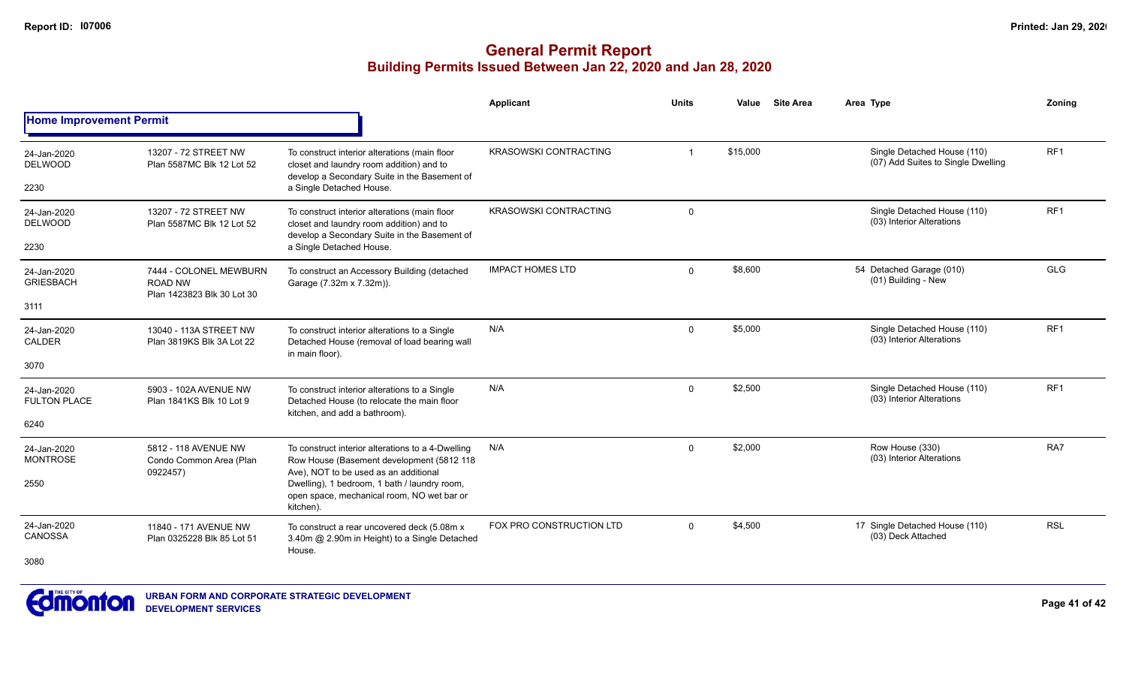|                                    |                                                                        |                                                                                                                                           | Applicant                    | <b>Units</b> | Value    | <b>Site Area</b> | Area Type                                                         | Zonina          |
|------------------------------------|------------------------------------------------------------------------|-------------------------------------------------------------------------------------------------------------------------------------------|------------------------------|--------------|----------|------------------|-------------------------------------------------------------------|-----------------|
| <b>Home Improvement Permit</b>     |                                                                        |                                                                                                                                           |                              |              |          |                  |                                                                   |                 |
| 24-Jan-2020<br><b>DELWOOD</b>      | 13207 - 72 STREET NW<br>Plan 5587MC Blk 12 Lot 52                      | To construct interior alterations (main floor<br>closet and laundry room addition) and to<br>develop a Secondary Suite in the Basement of | <b>KRASOWSKI CONTRACTING</b> | -1           | \$15,000 |                  | Single Detached House (110)<br>(07) Add Suites to Single Dwelling | RF <sub>1</sub> |
| 2230                               |                                                                        | a Single Detached House.                                                                                                                  |                              |              |          |                  |                                                                   |                 |
| 24-Jan-2020<br><b>DELWOOD</b>      | 13207 - 72 STREET NW<br>Plan 5587MC Blk 12 Lot 52                      | To construct interior alterations (main floor<br>closet and laundry room addition) and to<br>develop a Secondary Suite in the Basement of | <b>KRASOWSKI CONTRACTING</b> | $\Omega$     |          |                  | Single Detached House (110)<br>(03) Interior Alterations          | RF <sub>1</sub> |
| 2230                               |                                                                        | a Single Detached House.                                                                                                                  |                              |              |          |                  |                                                                   |                 |
| 24-Jan-2020<br><b>GRIESBACH</b>    | 7444 - COLONEL MEWBURN<br><b>ROAD NW</b><br>Plan 1423823 Blk 30 Lot 30 | To construct an Accessory Building (detached<br>Garage (7.32m x 7.32m)).                                                                  | <b>IMPACT HOMES LTD</b>      | $\Omega$     | \$8,600  |                  | 54 Detached Garage (010)<br>(01) Building - New                   | <b>GLG</b>      |
| 3111                               |                                                                        |                                                                                                                                           |                              |              |          |                  |                                                                   |                 |
| 24-Jan-2020<br>CALDER              | 13040 - 113A STREET NW<br>Plan 3819KS Blk 3A Lot 22                    | To construct interior alterations to a Single<br>Detached House (removal of load bearing wall<br>in main floor).                          | N/A                          | $\Omega$     | \$5,000  |                  | Single Detached House (110)<br>(03) Interior Alterations          | RF <sub>1</sub> |
| 3070                               |                                                                        |                                                                                                                                           |                              |              |          |                  |                                                                   |                 |
| 24-Jan-2020<br><b>FULTON PLACE</b> | 5903 - 102A AVENUE NW<br>Plan 1841KS Blk 10 Lot 9                      | To construct interior alterations to a Single<br>Detached House (to relocate the main floor<br>kitchen, and add a bathroom).              | N/A                          | $\mathbf 0$  | \$2,500  |                  | Single Detached House (110)<br>(03) Interior Alterations          | RF <sub>1</sub> |
| 6240                               |                                                                        |                                                                                                                                           |                              |              |          |                  |                                                                   |                 |
| 24-Jan-2020<br><b>MONTROSE</b>     | 5812 - 118 AVENUE NW<br>Condo Common Area (Plan<br>0922457)            | To construct interior alterations to a 4-Dwelling<br>Row House (Basement development (5812 118<br>Ave), NOT to be used as an additional   | N/A                          | $\Omega$     | \$2,000  |                  | Row House (330)<br>(03) Interior Alterations                      | RA7             |
| 2550                               |                                                                        | Dwelling), 1 bedroom, 1 bath / laundry room,<br>open space, mechanical room, NO wet bar or<br>kitchen).                                   |                              |              |          |                  |                                                                   |                 |
| 24-Jan-2020<br>CANOSSA             | 11840 - 171 AVENUE NW<br>Plan 0325228 Blk 85 Lot 51                    | To construct a rear uncovered deck (5.08m x<br>3.40m @ 2.90m in Height) to a Single Detached<br>House.                                    | FOX PRO CONSTRUCTION LTD     | $\Omega$     | \$4,500  |                  | 17 Single Detached House (110)<br>(03) Deck Attached              | <b>RSL</b>      |
| 3080                               |                                                                        |                                                                                                                                           |                              |              |          |                  |                                                                   |                 |